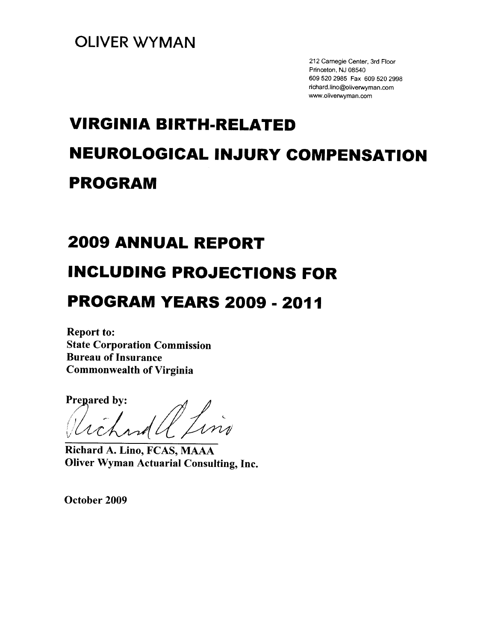212 Carnegie Center, 3rd Floor Princeton, NJ 08540 609 520 2985 Fax 609 520 2998 richard.lino@oliverwyman.com www.oliverwyman.com

# **VIRGINIA BIRTH-RELATED NEUROLOGICAL INJURY COMPENSATION PROGRAM**

# **2009 ANNUAL REPORT**

# **INCLUDING PROJECTIONS FOR**

# **PROGRAM YEARS 2009 - 2011**

**Report to: State Corporation Commission Bureau of Insurance Commonwealth of Virginia** 

**Prepared by:** 

Richard A. Lino, FCAS, MAAA **Oliver Wyman Actuarial Consulting, Inc.** 

October 2009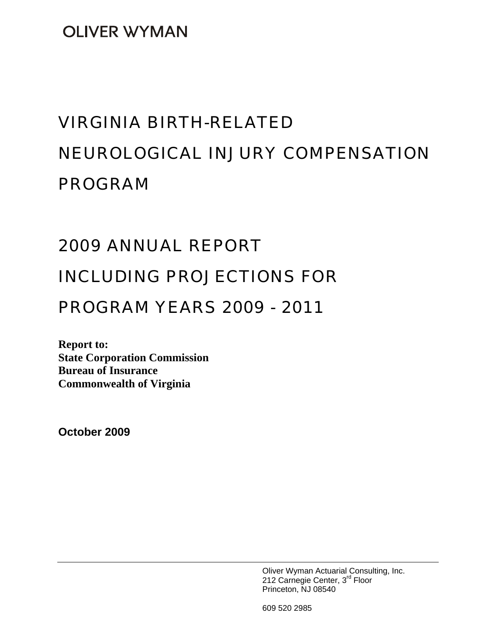**OLIVER WYMAN** 

# VIRGINIA BIRTH-RELATED NEUROLOGICAL INJURY COMPENSATION PROGRAM

# 2009 ANNUAL REPORT

# INCLUDING PROJECTIONS FOR

# PROGRAM YEARS 2009 - 2011

**Report to: State Corporation Commission Bureau of Insurance Commonwealth of Virginia** 

**October 2009** 

Oliver Wyman Actuarial Consulting, Inc. 212 Carnegie Center, 3<sup>rd</sup> Floor Princeton, NJ 08540

609 520 2985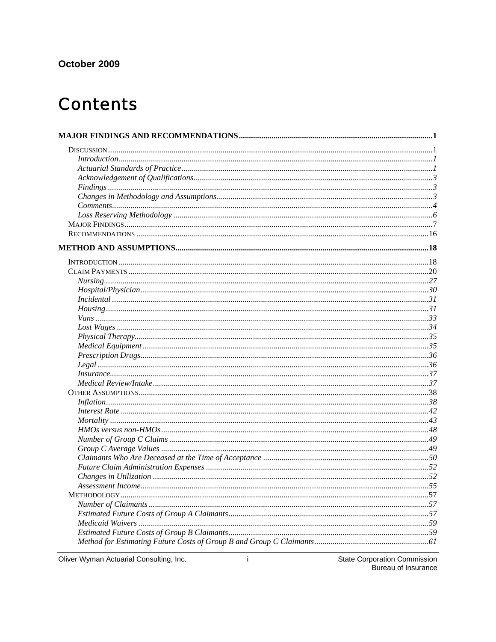## October 2009

# **Contents**

| In surface 37 |  |
|---------------|--|
|               |  |
|               |  |
|               |  |
|               |  |
|               |  |
|               |  |
|               |  |
|               |  |
|               |  |
|               |  |
|               |  |
|               |  |
|               |  |
|               |  |
|               |  |
|               |  |
|               |  |
|               |  |
|               |  |

Oliver Wyman Actuarial Consulting, Inc.

 $\mathbf{i}$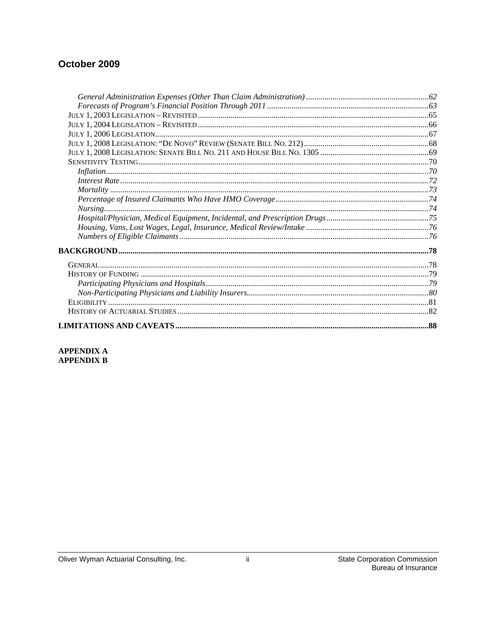## October 2009

### APPENDIX A **APPENDIX B**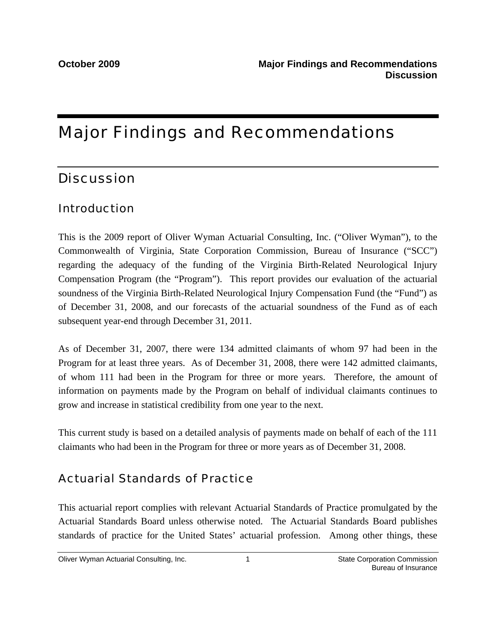# Major Findings and Recommendations

# **Discussion**

## Introduction

This is the 2009 report of Oliver Wyman Actuarial Consulting, Inc. ("Oliver Wyman"), to the Commonwealth of Virginia, State Corporation Commission, Bureau of Insurance ("SCC") regarding the adequacy of the funding of the Virginia Birth-Related Neurological Injury Compensation Program (the "Program"). This report provides our evaluation of the actuarial soundness of the Virginia Birth-Related Neurological Injury Compensation Fund (the "Fund") as of December 31, 2008, and our forecasts of the actuarial soundness of the Fund as of each subsequent year-end through December 31, 2011.

As of December 31, 2007, there were 134 admitted claimants of whom 97 had been in the Program for at least three years. As of December 31, 2008, there were 142 admitted claimants, of whom 111 had been in the Program for three or more years. Therefore, the amount of information on payments made by the Program on behalf of individual claimants continues to grow and increase in statistical credibility from one year to the next.

This current study is based on a detailed analysis of payments made on behalf of each of the 111 claimants who had been in the Program for three or more years as of December 31, 2008.

# Actuarial Standards of Practice

This actuarial report complies with relevant Actuarial Standards of Practice promulgated by the Actuarial Standards Board unless otherwise noted. The Actuarial Standards Board publishes standards of practice for the United States' actuarial profession. Among other things, these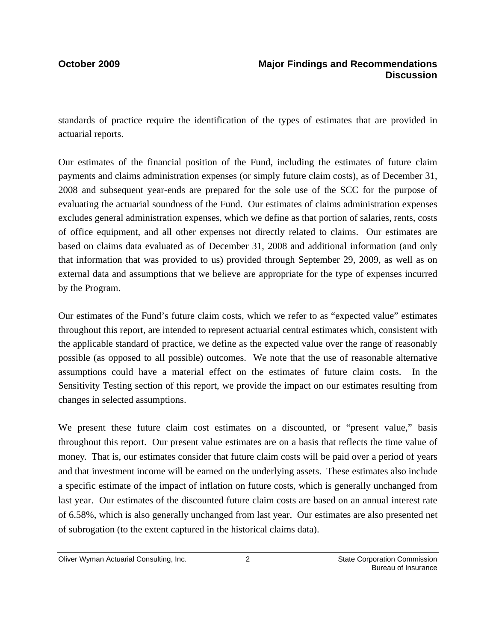standards of practice require the identification of the types of estimates that are provided in actuarial reports.

Our estimates of the financial position of the Fund, including the estimates of future claim payments and claims administration expenses (or simply future claim costs), as of December 31, 2008 and subsequent year-ends are prepared for the sole use of the SCC for the purpose of evaluating the actuarial soundness of the Fund. Our estimates of claims administration expenses excludes general administration expenses, which we define as that portion of salaries, rents, costs of office equipment, and all other expenses not directly related to claims. Our estimates are based on claims data evaluated as of December 31, 2008 and additional information (and only that information that was provided to us) provided through September 29, 2009, as well as on external data and assumptions that we believe are appropriate for the type of expenses incurred by the Program.

Our estimates of the Fund's future claim costs, which we refer to as "expected value" estimates throughout this report, are intended to represent actuarial central estimates which, consistent with the applicable standard of practice, we define as the expected value over the range of reasonably possible (as opposed to all possible) outcomes. We note that the use of reasonable alternative assumptions could have a material effect on the estimates of future claim costs. In the Sensitivity Testing section of this report, we provide the impact on our estimates resulting from changes in selected assumptions.

We present these future claim cost estimates on a discounted, or "present value," basis throughout this report. Our present value estimates are on a basis that reflects the time value of money. That is, our estimates consider that future claim costs will be paid over a period of years and that investment income will be earned on the underlying assets. These estimates also include a specific estimate of the impact of inflation on future costs, which is generally unchanged from last year. Our estimates of the discounted future claim costs are based on an annual interest rate of 6.58%, which is also generally unchanged from last year. Our estimates are also presented net of subrogation (to the extent captured in the historical claims data).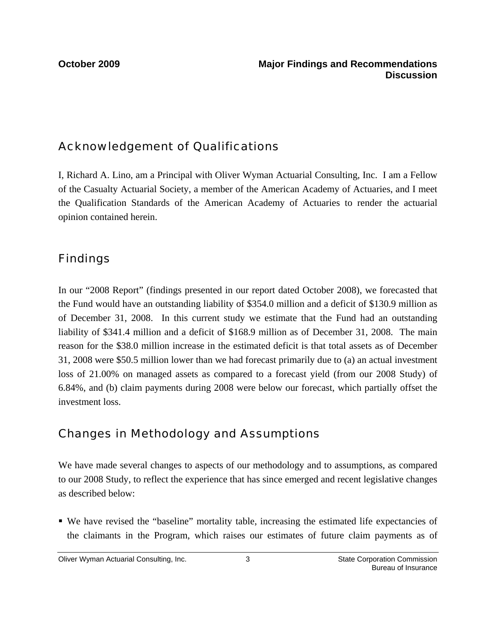# Acknowledgement of Qualifications

I, Richard A. Lino, am a Principal with Oliver Wyman Actuarial Consulting, Inc. I am a Fellow of the Casualty Actuarial Society, a member of the American Academy of Actuaries, and I meet the Qualification Standards of the American Academy of Actuaries to render the actuarial opinion contained herein.

# Findings

In our "2008 Report" (findings presented in our report dated October 2008), we forecasted that the Fund would have an outstanding liability of \$354.0 million and a deficit of \$130.9 million as of December 31, 2008. In this current study we estimate that the Fund had an outstanding liability of \$341.4 million and a deficit of \$168.9 million as of December 31, 2008. The main reason for the \$38.0 million increase in the estimated deficit is that total assets as of December 31, 2008 were \$50.5 million lower than we had forecast primarily due to (a) an actual investment loss of 21.00% on managed assets as compared to a forecast yield (from our 2008 Study) of 6.84%, and (b) claim payments during 2008 were below our forecast, which partially offset the investment loss.

# Changes in Methodology and Assumptions

We have made several changes to aspects of our methodology and to assumptions, as compared to our 2008 Study, to reflect the experience that has since emerged and recent legislative changes as described below:

 We have revised the "baseline" mortality table, increasing the estimated life expectancies of the claimants in the Program, which raises our estimates of future claim payments as of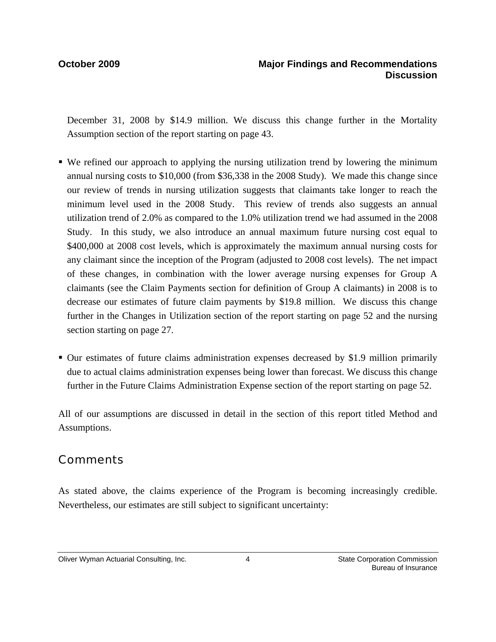December 31, 2008 by \$14.9 million. We discuss this change further in the Mortality Assumption section of the report starting on page 43.

- We refined our approach to applying the nursing utilization trend by lowering the minimum annual nursing costs to \$10,000 (from \$36,338 in the 2008 Study). We made this change since our review of trends in nursing utilization suggests that claimants take longer to reach the minimum level used in the 2008 Study. This review of trends also suggests an annual utilization trend of 2.0% as compared to the 1.0% utilization trend we had assumed in the 2008 Study. In this study, we also introduce an annual maximum future nursing cost equal to \$400,000 at 2008 cost levels, which is approximately the maximum annual nursing costs for any claimant since the inception of the Program (adjusted to 2008 cost levels). The net impact of these changes, in combination with the lower average nursing expenses for Group A claimants (see the Claim Payments section for definition of Group A claimants) in 2008 is to decrease our estimates of future claim payments by \$19.8 million. We discuss this change further in the Changes in Utilization section of the report starting on page 52 and the nursing section starting on page 27.
- Our estimates of future claims administration expenses decreased by \$1.9 million primarily due to actual claims administration expenses being lower than forecast. We discuss this change further in the Future Claims Administration Expense section of the report starting on page 52.

All of our assumptions are discussed in detail in the section of this report titled Method and Assumptions.

# **Comments**

As stated above, the claims experience of the Program is becoming increasingly credible. Nevertheless, our estimates are still subject to significant uncertainty: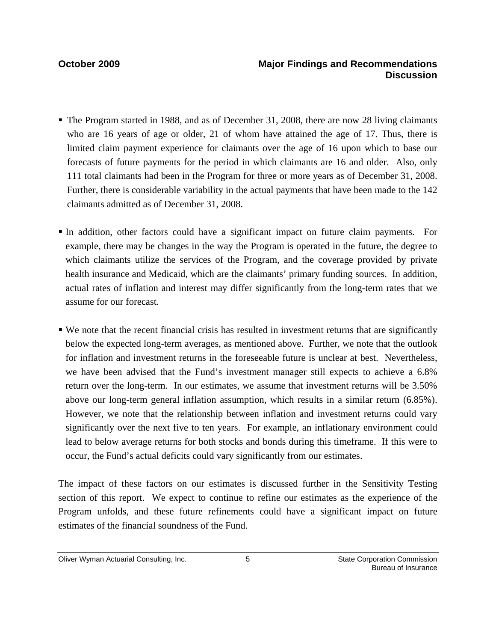- The Program started in 1988, and as of December 31, 2008, there are now 28 living claimants who are 16 years of age or older, 21 of whom have attained the age of 17. Thus, there is limited claim payment experience for claimants over the age of 16 upon which to base our forecasts of future payments for the period in which claimants are 16 and older. Also, only 111 total claimants had been in the Program for three or more years as of December 31, 2008. Further, there is considerable variability in the actual payments that have been made to the 142 claimants admitted as of December 31, 2008.
- In addition, other factors could have a significant impact on future claim payments. For example, there may be changes in the way the Program is operated in the future, the degree to which claimants utilize the services of the Program, and the coverage provided by private health insurance and Medicaid, which are the claimants' primary funding sources. In addition, actual rates of inflation and interest may differ significantly from the long-term rates that we assume for our forecast.
- We note that the recent financial crisis has resulted in investment returns that are significantly below the expected long-term averages, as mentioned above. Further, we note that the outlook for inflation and investment returns in the foreseeable future is unclear at best. Nevertheless, we have been advised that the Fund's investment manager still expects to achieve a 6.8% return over the long-term. In our estimates, we assume that investment returns will be 3.50% above our long-term general inflation assumption, which results in a similar return (6.85%). However, we note that the relationship between inflation and investment returns could vary significantly over the next five to ten years. For example, an inflationary environment could lead to below average returns for both stocks and bonds during this timeframe. If this were to occur, the Fund's actual deficits could vary significantly from our estimates.

The impact of these factors on our estimates is discussed further in the Sensitivity Testing section of this report. We expect to continue to refine our estimates as the experience of the Program unfolds, and these future refinements could have a significant impact on future estimates of the financial soundness of the Fund.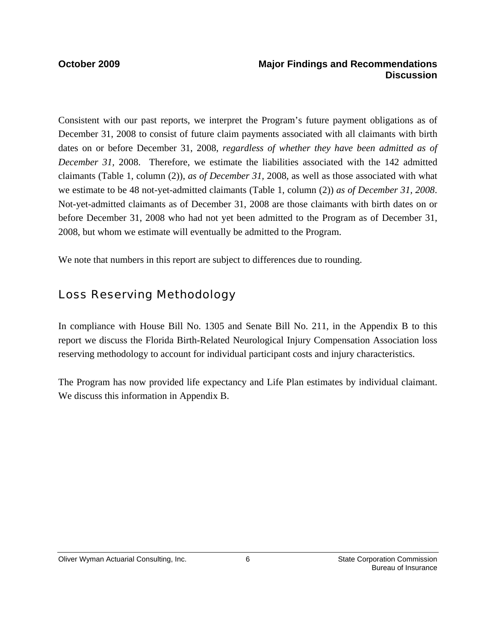## **October 2009 Major Findings and Recommendations Discussion**

Consistent with our past reports, we interpret the Program's future payment obligations as of December 31, 2008 to consist of future claim payments associated with all claimants with birth dates on or before December 31, 2008, *regardless of whether they have been admitted as of December 31,* 2008. Therefore, we estimate the liabilities associated with the 142 admitted claimants (Table 1, column (2)), *as of December 31,* 2008*,* as well as those associated with what we estimate to be 48 not-yet-admitted claimants (Table 1, column (2)) *as of December 31, 2008*. Not-yet-admitted claimants as of December 31, 2008 are those claimants with birth dates on or before December 31, 2008 who had not yet been admitted to the Program as of December 31, 2008, but whom we estimate will eventually be admitted to the Program.

We note that numbers in this report are subject to differences due to rounding.

# Loss Reserving Methodology

In compliance with House Bill No. 1305 and Senate Bill No. 211, in the Appendix B to this report we discuss the Florida Birth-Related Neurological Injury Compensation Association loss reserving methodology to account for individual participant costs and injury characteristics.

The Program has now provided life expectancy and Life Plan estimates by individual claimant. We discuss this information in Appendix B.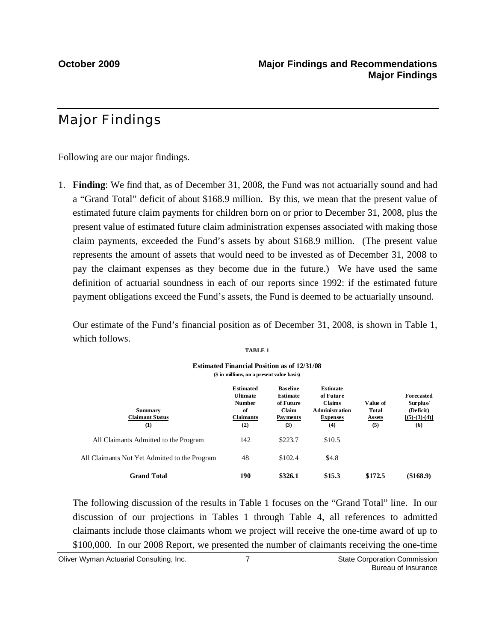# Major Findings

Following are our major findings.

1. **Finding**: We find that, as of December 31, 2008, the Fund was not actuarially sound and had a "Grand Total" deficit of about \$168.9 million. By this, we mean that the present value of estimated future claim payments for children born on or prior to December 31, 2008, plus the present value of estimated future claim administration expenses associated with making those claim payments, exceeded the Fund's assets by about \$168.9 million. (The present value represents the amount of assets that would need to be invested as of December 31, 2008 to pay the claimant expenses as they become due in the future.) We have used the same definition of actuarial soundness in each of our reports since 1992: if the estimated future payment obligations exceed the Fund's assets, the Fund is deemed to be actuarially unsound.

Our estimate of the Fund's financial position as of December 31, 2008, is shown in Table 1, which follows.

|--|--|

|                                                 | <b>Estimated Financial Position as of 12/31/08</b><br>(\$ in millions, on a present value basis) |                                                                                           |                                                                                            |                                           |                                                               |
|-------------------------------------------------|--------------------------------------------------------------------------------------------------|-------------------------------------------------------------------------------------------|--------------------------------------------------------------------------------------------|-------------------------------------------|---------------------------------------------------------------|
| <b>Summary</b><br><b>Claimant Status</b><br>(1) | <b>Estimated</b><br><b>Ultimate</b><br><b>Number</b><br>of<br><b>Claimants</b><br>(2)            | <b>Baseline</b><br><b>Estimate</b><br>of Future<br><b>Claim</b><br><b>Payments</b><br>(3) | <b>Estimate</b><br>of Future<br>Claims<br><b>A</b> dministration<br><b>Expenses</b><br>(4) | Value of<br>Total<br><b>Assets</b><br>(5) | Forecasted<br>Surplus/<br>(Deficit)<br>$[(5)-(3)-(4)]$<br>(6) |
| All Claimants Admitted to the Program           | 142                                                                                              | \$223.7                                                                                   | \$10.5                                                                                     |                                           |                                                               |
| All Claimants Not Yet Admitted to the Program   | 48                                                                                               | \$102.4                                                                                   | \$4.8                                                                                      |                                           |                                                               |
| <b>Grand Total</b>                              | 190                                                                                              | \$326.1                                                                                   | \$15.3                                                                                     | \$172.5                                   | (\$168.9)                                                     |

 The following discussion of the results in Table 1 focuses on the "Grand Total" line. In our discussion of our projections in Tables 1 through Table 4, all references to admitted claimants include those claimants whom we project will receive the one-time award of up to \$100,000. In our 2008 Report, we presented the number of claimants receiving the one-time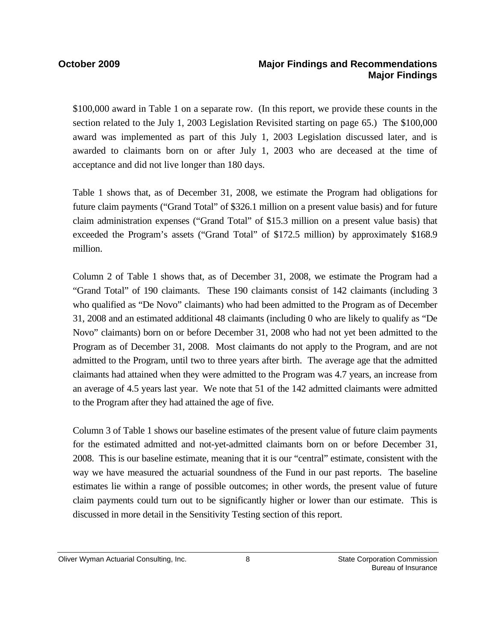\$100,000 award in Table 1 on a separate row. (In this report, we provide these counts in the section related to the July 1, 2003 Legislation Revisited starting on page 65.) The \$100,000 award was implemented as part of this July 1, 2003 Legislation discussed later, and is awarded to claimants born on or after July 1, 2003 who are deceased at the time of acceptance and did not live longer than 180 days.

Table 1 shows that, as of December 31, 2008, we estimate the Program had obligations for future claim payments ("Grand Total" of \$326.1 million on a present value basis) and for future claim administration expenses ("Grand Total" of \$15.3 million on a present value basis) that exceeded the Program's assets ("Grand Total" of \$172.5 million) by approximately \$168.9 million.

Column 2 of Table 1 shows that, as of December 31, 2008, we estimate the Program had a "Grand Total" of 190 claimants. These 190 claimants consist of 142 claimants (including 3 who qualified as "De Novo" claimants) who had been admitted to the Program as of December 31, 2008 and an estimated additional 48 claimants (including 0 who are likely to qualify as "De Novo" claimants) born on or before December 31, 2008 who had not yet been admitted to the Program as of December 31, 2008. Most claimants do not apply to the Program, and are not admitted to the Program, until two to three years after birth. The average age that the admitted claimants had attained when they were admitted to the Program was 4.7 years, an increase from an average of 4.5 years last year. We note that 51 of the 142 admitted claimants were admitted to the Program after they had attained the age of five.

Column 3 of Table 1 shows our baseline estimates of the present value of future claim payments for the estimated admitted and not-yet-admitted claimants born on or before December 31, 2008. This is our baseline estimate, meaning that it is our "central" estimate, consistent with the way we have measured the actuarial soundness of the Fund in our past reports. The baseline estimates lie within a range of possible outcomes; in other words, the present value of future claim payments could turn out to be significantly higher or lower than our estimate. This is discussed in more detail in the Sensitivity Testing section of this report.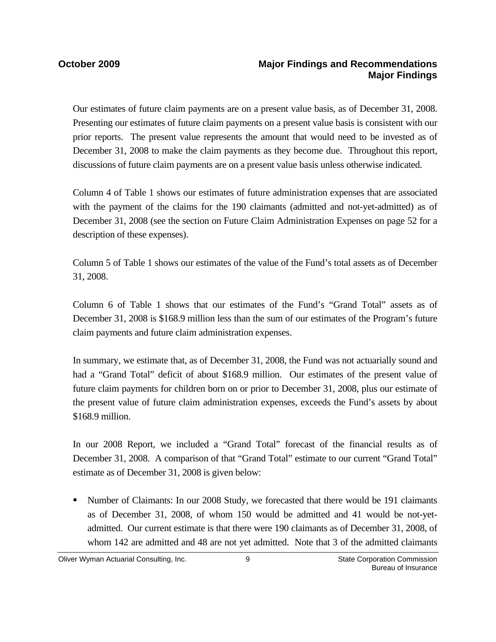Our estimates of future claim payments are on a present value basis, as of December 31, 2008. Presenting our estimates of future claim payments on a present value basis is consistent with our prior reports. The present value represents the amount that would need to be invested as of December 31, 2008 to make the claim payments as they become due. Throughout this report, discussions of future claim payments are on a present value basis unless otherwise indicated.

Column 4 of Table 1 shows our estimates of future administration expenses that are associated with the payment of the claims for the 190 claimants (admitted and not-yet-admitted) as of December 31, 2008 (see the section on Future Claim Administration Expenses on page 52 for a description of these expenses).

Column 5 of Table 1 shows our estimates of the value of the Fund's total assets as of December 31, 2008.

Column 6 of Table 1 shows that our estimates of the Fund's "Grand Total" assets as of December 31, 2008 is \$168.9 million less than the sum of our estimates of the Program's future claim payments and future claim administration expenses.

In summary, we estimate that, as of December 31, 2008, the Fund was not actuarially sound and had a "Grand Total" deficit of about \$168.9 million. Our estimates of the present value of future claim payments for children born on or prior to December 31, 2008, plus our estimate of the present value of future claim administration expenses, exceeds the Fund's assets by about \$168.9 million.

In our 2008 Report, we included a "Grand Total" forecast of the financial results as of December 31, 2008. A comparison of that "Grand Total" estimate to our current "Grand Total" estimate as of December 31, 2008 is given below:

 Number of Claimants: In our 2008 Study, we forecasted that there would be 191 claimants as of December 31, 2008, of whom 150 would be admitted and 41 would be not-yetadmitted. Our current estimate is that there were 190 claimants as of December 31, 2008, of whom 142 are admitted and 48 are not yet admitted. Note that 3 of the admitted claimants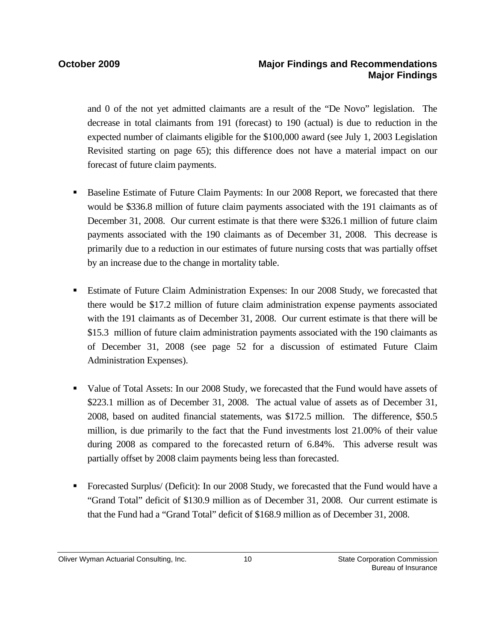and 0 of the not yet admitted claimants are a result of the "De Novo" legislation. The decrease in total claimants from 191 (forecast) to 190 (actual) is due to reduction in the expected number of claimants eligible for the \$100,000 award (see July 1, 2003 Legislation Revisited starting on page 65); this difference does not have a material impact on our forecast of future claim payments.

- Baseline Estimate of Future Claim Payments: In our 2008 Report, we forecasted that there would be \$336.8 million of future claim payments associated with the 191 claimants as of December 31, 2008. Our current estimate is that there were \$326.1 million of future claim payments associated with the 190 claimants as of December 31, 2008. This decrease is primarily due to a reduction in our estimates of future nursing costs that was partially offset by an increase due to the change in mortality table.
- Estimate of Future Claim Administration Expenses: In our 2008 Study, we forecasted that there would be \$17.2 million of future claim administration expense payments associated with the 191 claimants as of December 31, 2008. Our current estimate is that there will be \$15.3 million of future claim administration payments associated with the 190 claimants as of December 31, 2008 (see page 52 for a discussion of estimated Future Claim Administration Expenses).
- Value of Total Assets: In our 2008 Study, we forecasted that the Fund would have assets of \$223.1 million as of December 31, 2008. The actual value of assets as of December 31, 2008, based on audited financial statements, was \$172.5 million. The difference, \$50.5 million, is due primarily to the fact that the Fund investments lost 21.00% of their value during 2008 as compared to the forecasted return of 6.84%. This adverse result was partially offset by 2008 claim payments being less than forecasted.
- Forecasted Surplus/ (Deficit): In our 2008 Study, we forecasted that the Fund would have a "Grand Total" deficit of \$130.9 million as of December 31, 2008. Our current estimate is that the Fund had a "Grand Total" deficit of \$168.9 million as of December 31, 2008.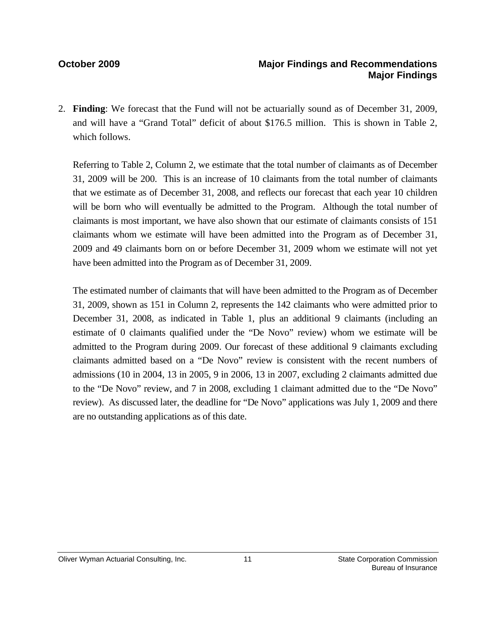## **October 2009 Major Findings and Recommendations Major Findings**

2. **Finding**: We forecast that the Fund will not be actuarially sound as of December 31, 2009, and will have a "Grand Total" deficit of about \$176.5 million. This is shown in Table 2, which follows.

Referring to Table 2, Column 2, we estimate that the total number of claimants as of December 31, 2009 will be 200. This is an increase of 10 claimants from the total number of claimants that we estimate as of December 31, 2008, and reflects our forecast that each year 10 children will be born who will eventually be admitted to the Program. Although the total number of claimants is most important, we have also shown that our estimate of claimants consists of 151 claimants whom we estimate will have been admitted into the Program as of December 31, 2009 and 49 claimants born on or before December 31, 2009 whom we estimate will not yet have been admitted into the Program as of December 31, 2009.

The estimated number of claimants that will have been admitted to the Program as of December 31, 2009, shown as 151 in Column 2, represents the 142 claimants who were admitted prior to December 31, 2008, as indicated in Table 1, plus an additional 9 claimants (including an estimate of 0 claimants qualified under the "De Novo" review) whom we estimate will be admitted to the Program during 2009. Our forecast of these additional 9 claimants excluding claimants admitted based on a "De Novo" review is consistent with the recent numbers of admissions (10 in 2004, 13 in 2005, 9 in 2006, 13 in 2007, excluding 2 claimants admitted due to the "De Novo" review, and 7 in 2008, excluding 1 claimant admitted due to the "De Novo" review). As discussed later, the deadline for "De Novo" applications was July 1, 2009 and there are no outstanding applications as of this date.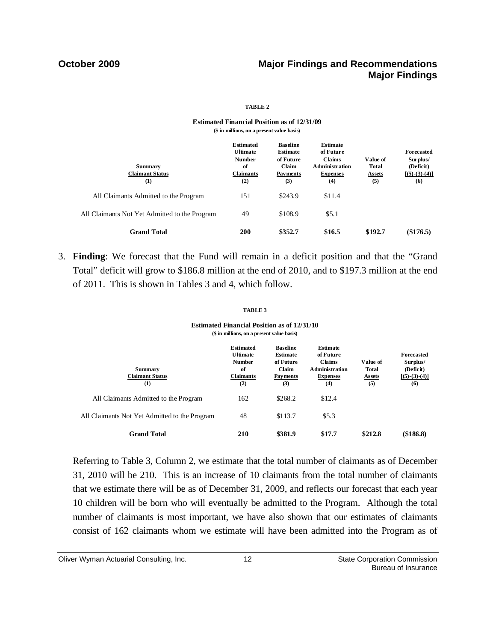## **October 2009 Major Findings and Recommendations Major Findings**

### **TABLE 2**

### **Estimated Financial Position as of 12/31/09 (\$ in millions, on a present value basis)**

| <b>Summary</b><br><b>Claimant Status</b>      | <b>Estimated</b><br><b>Ultimate</b><br><b>Number</b><br>of<br><b>Claimants</b> | <b>Baseline</b><br>Estimate<br>of Future<br>Claim<br><b>Payments</b> | <b>Estimate</b><br>of Future<br><b>Claims</b><br>Administration<br><b>Expenses</b> | Value of<br>Total<br><b>Assets</b> | Forecasted<br>Surplus/<br>(Deficit)<br>$[(5)-(3)-(4)]$ |
|-----------------------------------------------|--------------------------------------------------------------------------------|----------------------------------------------------------------------|------------------------------------------------------------------------------------|------------------------------------|--------------------------------------------------------|
| (1)                                           | (2)                                                                            | (3)                                                                  | (4)                                                                                | (5)                                | (6)                                                    |
| All Claimants Admitted to the Program         | 151                                                                            | \$243.9                                                              | \$11.4                                                                             |                                    |                                                        |
| All Claimants Not Yet Admitted to the Program | 49                                                                             | \$108.9                                                              | \$5.1                                                                              |                                    |                                                        |
| <b>Grand Total</b>                            | <b>200</b>                                                                     | \$352.7                                                              | \$16.5                                                                             | \$192.7                            | $(\$176.5)$                                            |

3. **Finding**: We forecast that the Fund will remain in a deficit position and that the "Grand Total" deficit will grow to \$186.8 million at the end of 2010, and to \$197.3 million at the end of 2011. This is shown in Tables 3 and 4, which follow.

### **TABLE 3**

### **Estimated Financial Position as of 12/31/10 (\$ in millions, on a present value basis)**

| <b>Summary</b><br><b>Claimant Status</b><br>(1) | <b>Estimated</b><br><b>Ultimate</b><br><b>Number</b><br>of<br><b>Claimants</b><br>(2) | <b>Baseline</b><br><b>Estimate</b><br>of Future<br>Claim<br>Payments<br>(3) | <b>Estimate</b><br>of Future<br><b>Claims</b><br><b>Administration</b><br><b>Expenses</b><br>(4) | Value of<br><b>Total</b><br><b>Assets</b><br>(5) | <b>Forecasted</b><br>Surplus/<br>(Deficit)<br>$[(5)-(3)-(4)]$<br>(6) |
|-------------------------------------------------|---------------------------------------------------------------------------------------|-----------------------------------------------------------------------------|--------------------------------------------------------------------------------------------------|--------------------------------------------------|----------------------------------------------------------------------|
| All Claimants Admitted to the Program           | 162                                                                                   | \$268.2                                                                     | \$12.4                                                                                           |                                                  |                                                                      |
| All Claimants Not Yet Admitted to the Program   | 48                                                                                    | \$113.7                                                                     | \$5.3                                                                                            |                                                  |                                                                      |
| <b>Grand Total</b>                              | 210                                                                                   | \$381.9                                                                     | \$17.7                                                                                           | \$212.8                                          | (\$186.8)                                                            |

Referring to Table 3, Column 2, we estimate that the total number of claimants as of December 31, 2010 will be 210. This is an increase of 10 claimants from the total number of claimants that we estimate there will be as of December 31, 2009, and reflects our forecast that each year 10 children will be born who will eventually be admitted to the Program. Although the total number of claimants is most important, we have also shown that our estimates of claimants consist of 162 claimants whom we estimate will have been admitted into the Program as of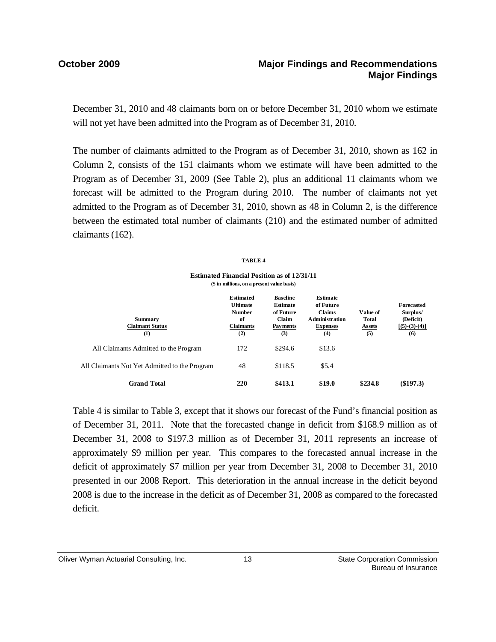## **October 2009 Major Findings and Recommendations Major Findings**

December 31, 2010 and 48 claimants born on or before December 31, 2010 whom we estimate will not yet have been admitted into the Program as of December 31, 2010.

The number of claimants admitted to the Program as of December 31, 2010, shown as 162 in Column 2, consists of the 151 claimants whom we estimate will have been admitted to the Program as of December 31, 2009 (See Table 2), plus an additional 11 claimants whom we forecast will be admitted to the Program during 2010. The number of claimants not yet admitted to the Program as of December 31, 2010, shown as 48 in Column 2, is the difference between the estimated total number of claimants (210) and the estimated number of admitted claimants (162).

### **TABLE 4**

**Estimated Financial Position as of 12/31/11 (\$ in millions, on a present value basis)**

| <b>Summary</b><br><b>Claimant Status</b><br>(1) | <b>Estimated</b><br><b>Ultimate</b><br><b>Number</b><br>of<br><b>Claimants</b><br>(2) | <b>Baseline</b><br>Estimate<br>of Future<br>Claim<br><b>Payments</b><br>(3) | <b>Estimate</b><br>of Future<br><b>Claims</b><br><b>Administration</b><br><b>Expenses</b><br>(4) | Value of<br><b>Total</b><br><b>Assets</b><br>(5) | Forecasted<br>Surplus/<br>(Deficit)<br>$[(5)-(3)-(4)]$<br>(6) |
|-------------------------------------------------|---------------------------------------------------------------------------------------|-----------------------------------------------------------------------------|--------------------------------------------------------------------------------------------------|--------------------------------------------------|---------------------------------------------------------------|
| All Claimants Admitted to the Program           | 172                                                                                   | \$294.6                                                                     | \$13.6                                                                                           |                                                  |                                                               |
| All Claimants Not Yet Admitted to the Program   | 48                                                                                    | \$118.5                                                                     | \$5.4                                                                                            |                                                  |                                                               |
| <b>Grand Total</b>                              | 220                                                                                   | \$413.1                                                                     | \$19.0                                                                                           | \$234.8                                          | (\$197.3)                                                     |

Table 4 is similar to Table 3, except that it shows our forecast of the Fund's financial position as of December 31, 2011. Note that the forecasted change in deficit from \$168.9 million as of December 31, 2008 to \$197.3 million as of December 31, 2011 represents an increase of approximately \$9 million per year. This compares to the forecasted annual increase in the deficit of approximately \$7 million per year from December 31, 2008 to December 31, 2010 presented in our 2008 Report. This deterioration in the annual increase in the deficit beyond 2008 is due to the increase in the deficit as of December 31, 2008 as compared to the forecasted deficit.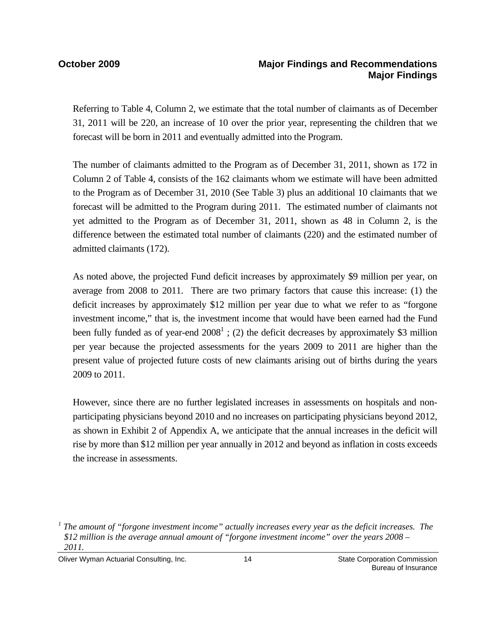Referring to Table 4, Column 2, we estimate that the total number of claimants as of December 31, 2011 will be 220, an increase of 10 over the prior year, representing the children that we forecast will be born in 2011 and eventually admitted into the Program.

The number of claimants admitted to the Program as of December 31, 2011, shown as 172 in Column 2 of Table 4, consists of the 162 claimants whom we estimate will have been admitted to the Program as of December 31, 2010 (See Table 3) plus an additional 10 claimants that we forecast will be admitted to the Program during 2011. The estimated number of claimants not yet admitted to the Program as of December 31, 2011, shown as 48 in Column 2, is the difference between the estimated total number of claimants (220) and the estimated number of admitted claimants (172).

As noted above, the projected Fund deficit increases by approximately \$9 million per year, on average from 2008 to 2011. There are two primary factors that cause this increase: (1) the deficit increases by approximately \$12 million per year due to what we refer to as "forgone investment income," that is, the investment income that would have been earned had the Fund been fully funded as of year-end  $2008<sup>1</sup>$ ; (2) the deficit decreases by approximately \$3 million per year because the projected assessments for the years 2009 to 2011 are higher than the present value of projected future costs of new claimants arising out of births during the years 2009 to 2011.

However, since there are no further legislated increases in assessments on hospitals and nonparticipating physicians beyond 2010 and no increases on participating physicians beyond 2012, as shown in Exhibit 2 of Appendix A, we anticipate that the annual increases in the deficit will rise by more than \$12 million per year annually in 2012 and beyond as inflation in costs exceeds the increase in assessments.

Oliver Wyman Actuarial Consulting, Inc.  $\qquad \qquad$  14  $\qquad \qquad$  State Corporation Commission

<sup>&</sup>lt;sup>1</sup> The amount of "forgone investment income" actually increases every year as the deficit increases. The *\$12 million is the average annual amount of "forgone investment income" over the years 2008 – 2011.*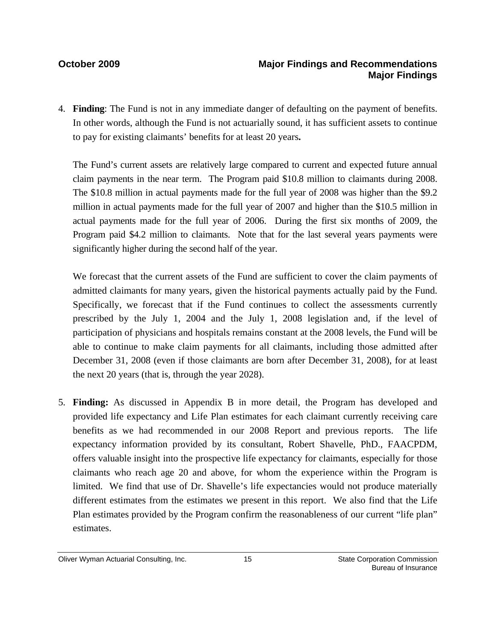4. **Finding**: The Fund is not in any immediate danger of defaulting on the payment of benefits. In other words, although the Fund is not actuarially sound, it has sufficient assets to continue to pay for existing claimants' benefits for at least 20 years**.** 

The Fund's current assets are relatively large compared to current and expected future annual claim payments in the near term. The Program paid \$10.8 million to claimants during 2008. The \$10.8 million in actual payments made for the full year of 2008 was higher than the \$9.2 million in actual payments made for the full year of 2007 and higher than the \$10.5 million in actual payments made for the full year of 2006. During the first six months of 2009, the Program paid \$4.2 million to claimants. Note that for the last several years payments were significantly higher during the second half of the year.

We forecast that the current assets of the Fund are sufficient to cover the claim payments of admitted claimants for many years, given the historical payments actually paid by the Fund. Specifically, we forecast that if the Fund continues to collect the assessments currently prescribed by the July 1, 2004 and the July 1, 2008 legislation and, if the level of participation of physicians and hospitals remains constant at the 2008 levels, the Fund will be able to continue to make claim payments for all claimants, including those admitted after December 31, 2008 (even if those claimants are born after December 31, 2008), for at least the next 20 years (that is, through the year 2028).

5. **Finding:** As discussed in Appendix B in more detail, the Program has developed and provided life expectancy and Life Plan estimates for each claimant currently receiving care benefits as we had recommended in our 2008 Report and previous reports. The life expectancy information provided by its consultant, Robert Shavelle, PhD., FAACPDM, offers valuable insight into the prospective life expectancy for claimants, especially for those claimants who reach age 20 and above, for whom the experience within the Program is limited. We find that use of Dr. Shavelle's life expectancies would not produce materially different estimates from the estimates we present in this report. We also find that the Life Plan estimates provided by the Program confirm the reasonableness of our current "life plan" estimates.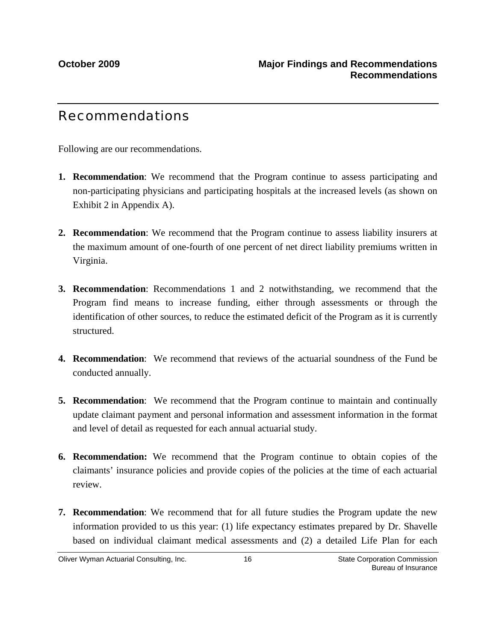# Recommendations

Following are our recommendations.

- **1. Recommendation**: We recommend that the Program continue to assess participating and non-participating physicians and participating hospitals at the increased levels (as shown on Exhibit 2 in Appendix A).
- **2. Recommendation**: We recommend that the Program continue to assess liability insurers at the maximum amount of one-fourth of one percent of net direct liability premiums written in Virginia.
- **3. Recommendation**: Recommendations 1 and 2 notwithstanding, we recommend that the Program find means to increase funding, either through assessments or through the identification of other sources, to reduce the estimated deficit of the Program as it is currently structured.
- **4. Recommendation**: We recommend that reviews of the actuarial soundness of the Fund be conducted annually.
- **5. Recommendation**: We recommend that the Program continue to maintain and continually update claimant payment and personal information and assessment information in the format and level of detail as requested for each annual actuarial study.
- **6. Recommendation:** We recommend that the Program continue to obtain copies of the claimants' insurance policies and provide copies of the policies at the time of each actuarial review.
- **7. Recommendation**: We recommend that for all future studies the Program update the new information provided to us this year: (1) life expectancy estimates prepared by Dr. Shavelle based on individual claimant medical assessments and (2) a detailed Life Plan for each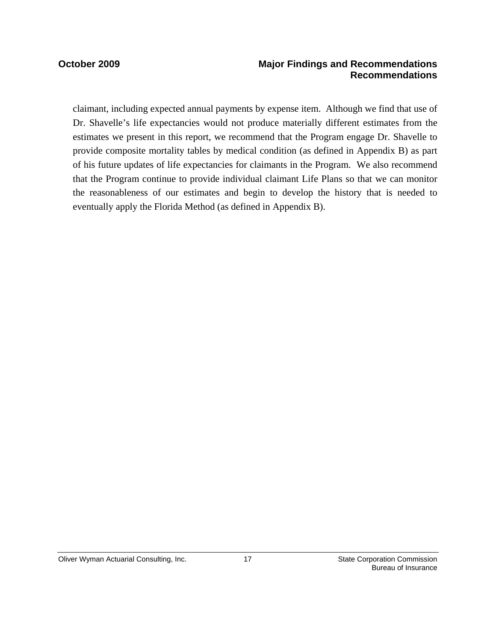### **October 2009 Major Findings and Recommendations Recommendations**

claimant, including expected annual payments by expense item. Although we find that use of Dr. Shavelle's life expectancies would not produce materially different estimates from the estimates we present in this report, we recommend that the Program engage Dr. Shavelle to provide composite mortality tables by medical condition (as defined in Appendix B) as part of his future updates of life expectancies for claimants in the Program. We also recommend that the Program continue to provide individual claimant Life Plans so that we can monitor the reasonableness of our estimates and begin to develop the history that is needed to eventually apply the Florida Method (as defined in Appendix B).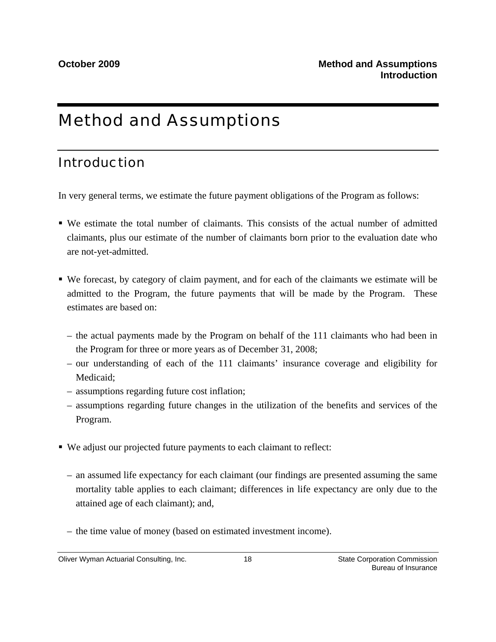# Method and Assumptions

# Introduction

In very general terms, we estimate the future payment obligations of the Program as follows:

- We estimate the total number of claimants. This consists of the actual number of admitted claimants, plus our estimate of the number of claimants born prior to the evaluation date who are not-yet-admitted.
- We forecast, by category of claim payment, and for each of the claimants we estimate will be admitted to the Program, the future payments that will be made by the Program. These estimates are based on:
	- the actual payments made by the Program on behalf of the 111 claimants who had been in the Program for three or more years as of December 31, 2008;
	- our understanding of each of the 111 claimants' insurance coverage and eligibility for Medicaid;
	- assumptions regarding future cost inflation;
	- assumptions regarding future changes in the utilization of the benefits and services of the Program.
- We adjust our projected future payments to each claimant to reflect:
	- an assumed life expectancy for each claimant (our findings are presented assuming the same mortality table applies to each claimant; differences in life expectancy are only due to the attained age of each claimant); and,
	- the time value of money (based on estimated investment income).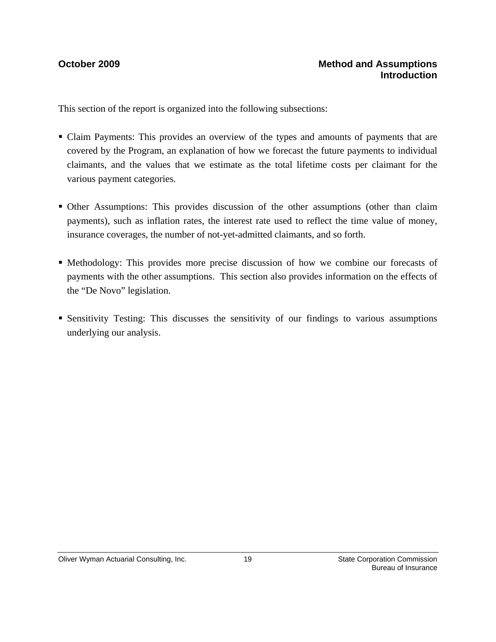This section of the report is organized into the following subsections:

- Claim Payments: This provides an overview of the types and amounts of payments that are covered by the Program, an explanation of how we forecast the future payments to individual claimants, and the values that we estimate as the total lifetime costs per claimant for the various payment categories.
- Other Assumptions: This provides discussion of the other assumptions (other than claim payments), such as inflation rates, the interest rate used to reflect the time value of money, insurance coverages, the number of not-yet-admitted claimants, and so forth.
- Methodology: This provides more precise discussion of how we combine our forecasts of payments with the other assumptions. This section also provides information on the effects of the "De Novo" legislation.
- Sensitivity Testing: This discusses the sensitivity of our findings to various assumptions underlying our analysis.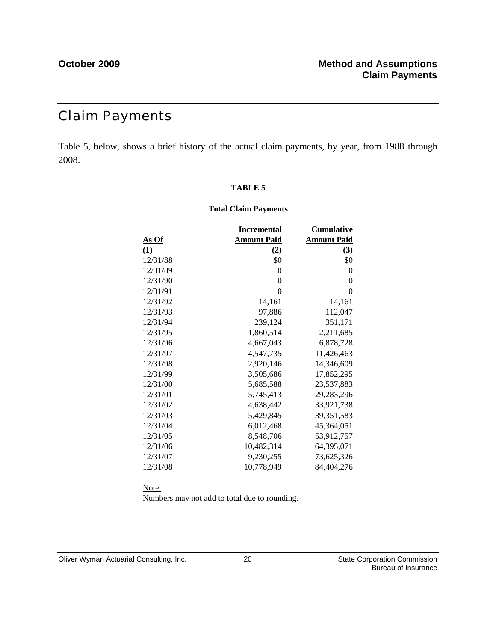# Claim Payments

Table 5, below, shows a brief history of the actual claim payments, by year, from 1988 through 2008.

### **TABLE 5**

### **Total Claim Payments**

|              | <b>Incremental</b> | <b>Cumulative</b>  |
|--------------|--------------------|--------------------|
| <u>As Of</u> | <b>Amount Paid</b> | <b>Amount Paid</b> |
| (1)          | (2)                | (3)                |
| 12/31/88     | \$0                | \$0                |
| 12/31/89     | $\Omega$           | $\theta$           |
| 12/31/90     | 0                  | $\theta$           |
| 12/31/91     | $\Omega$           | $\theta$           |
| 12/31/92     | 14,161             | 14,161             |
| 12/31/93     | 97,886             | 112,047            |
| 12/31/94     | 239,124            | 351,171            |
| 12/31/95     | 1,860,514          | 2,211,685          |
| 12/31/96     | 4,667,043          | 6,878,728          |
| 12/31/97     | 4,547,735          | 11,426,463         |
| 12/31/98     | 2,920,146          | 14,346,609         |
| 12/31/99     | 3,505,686          | 17,852,295         |
| 12/31/00     | 5,685,588          | 23,537,883         |
| 12/31/01     | 5,745,413          | 29,283,296         |
| 12/31/02     | 4,638,442          | 33,921,738         |
| 12/31/03     | 5,429,845          | 39,351,583         |
| 12/31/04     | 6,012,468          | 45,364,051         |
| 12/31/05     | 8,548,706          | 53,912,757         |
| 12/31/06     | 10,482,314         | 64,395,071         |
| 12/31/07     | 9,230,255          | 73,625,326         |
| 12/31/08     | 10,778,949         | 84,404,276         |

Note:

Numbers may not add to total due to rounding.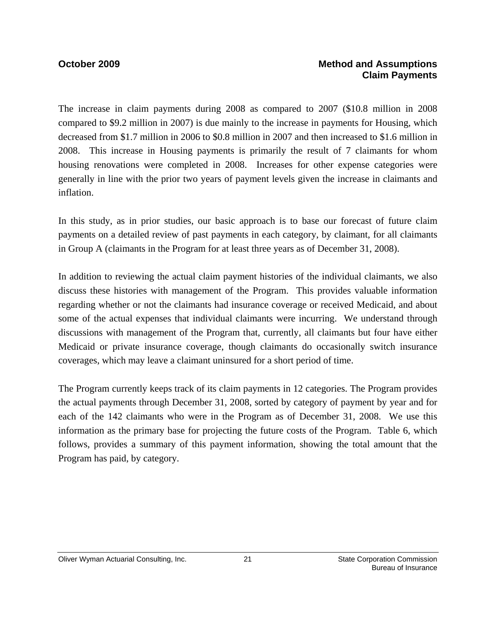## **October 2009 Method and Assumptions Claim Payments**

The increase in claim payments during 2008 as compared to 2007 (\$10.8 million in 2008 compared to \$9.2 million in 2007) is due mainly to the increase in payments for Housing, which decreased from \$1.7 million in 2006 to \$0.8 million in 2007 and then increased to \$1.6 million in 2008. This increase in Housing payments is primarily the result of 7 claimants for whom housing renovations were completed in 2008. Increases for other expense categories were generally in line with the prior two years of payment levels given the increase in claimants and inflation.

In this study, as in prior studies, our basic approach is to base our forecast of future claim payments on a detailed review of past payments in each category, by claimant, for all claimants in Group A (claimants in the Program for at least three years as of December 31, 2008).

In addition to reviewing the actual claim payment histories of the individual claimants, we also discuss these histories with management of the Program. This provides valuable information regarding whether or not the claimants had insurance coverage or received Medicaid, and about some of the actual expenses that individual claimants were incurring. We understand through discussions with management of the Program that, currently, all claimants but four have either Medicaid or private insurance coverage, though claimants do occasionally switch insurance coverages, which may leave a claimant uninsured for a short period of time.

The Program currently keeps track of its claim payments in 12 categories. The Program provides the actual payments through December 31, 2008, sorted by category of payment by year and for each of the 142 claimants who were in the Program as of December 31, 2008. We use this information as the primary base for projecting the future costs of the Program. Table 6, which follows, provides a summary of this payment information, showing the total amount that the Program has paid, by category.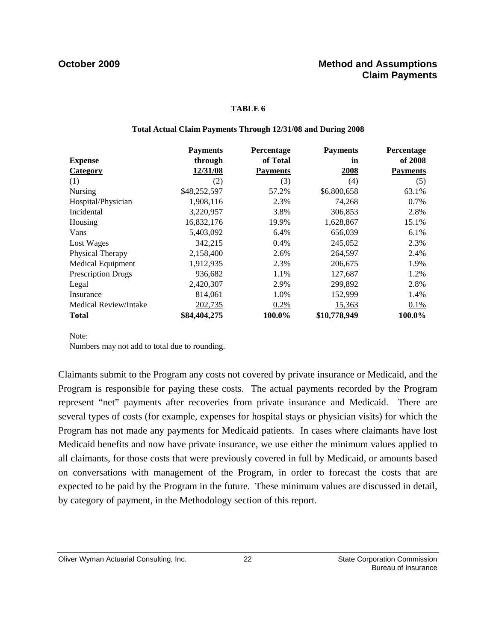### **TABLE 6**

### **Total Actual Claim Payments Through 12/31/08 and During 2008**

|                           | <b>Payments</b> | Percentage      | <b>Payments</b> | Percentage      |
|---------------------------|-----------------|-----------------|-----------------|-----------------|
| <b>Expense</b>            | through         | of Total        | in              | of 2008         |
| <b>Category</b>           | 12/31/08        | <b>Payments</b> | 2008            | <b>Payments</b> |
| (1)                       | (2)             | (3)             | (4)             | (5)             |
| Nursing                   | \$48,252,597    | 57.2%           | \$6,800,658     | 63.1%           |
| Hospital/Physician        | 1,908,116       | 2.3%            | 74,268          | $0.7\%$         |
| Incidental                | 3,220,957       | 3.8%            | 306,853         | 2.8%            |
| Housing                   | 16,832,176      | 19.9%           | 1,628,867       | 15.1%           |
| Vans                      | 5,403,092       | 6.4%            | 656,039         | 6.1%            |
| Lost Wages                | 342,215         | 0.4%            | 245,052         | 2.3%            |
| <b>Physical Therapy</b>   | 2,158,400       | 2.6%            | 264,597         | 2.4%            |
| <b>Medical Equipment</b>  | 1,912,935       | 2.3%            | 206,675         | 1.9%            |
| <b>Prescription Drugs</b> | 936,682         | 1.1%            | 127,687         | 1.2%            |
| Legal                     | 2,420,307       | 2.9%            | 299,892         | 2.8%            |
| Insurance                 | 814,061         | 1.0%            | 152,999         | 1.4%            |
| Medical Review/Intake     | 202,735         | 0.2%            | 15,363          | 0.1%            |
| <b>Total</b>              | \$84,404,275    | 100.0%          | \$10,778,949    | 100.0%          |

### Note:

Numbers may not add to total due to rounding.

Claimants submit to the Program any costs not covered by private insurance or Medicaid, and the Program is responsible for paying these costs. The actual payments recorded by the Program represent "net" payments after recoveries from private insurance and Medicaid. There are several types of costs (for example, expenses for hospital stays or physician visits) for which the Program has not made any payments for Medicaid patients. In cases where claimants have lost Medicaid benefits and now have private insurance, we use either the minimum values applied to all claimants, for those costs that were previously covered in full by Medicaid, or amounts based on conversations with management of the Program, in order to forecast the costs that are expected to be paid by the Program in the future. These minimum values are discussed in detail, by category of payment, in the Methodology section of this report.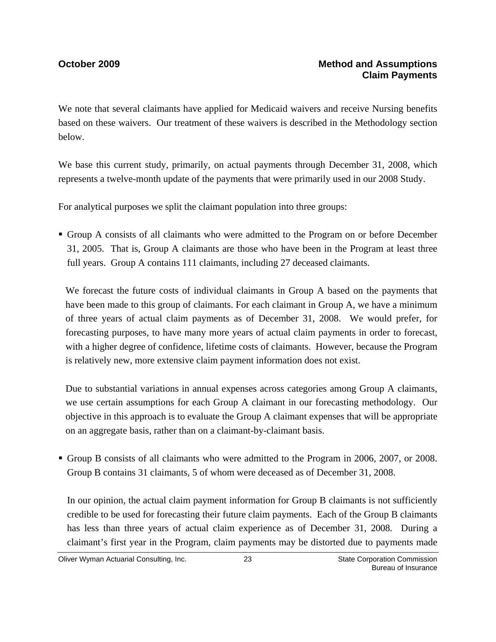We note that several claimants have applied for Medicaid waivers and receive Nursing benefits based on these waivers. Our treatment of these waivers is described in the Methodology section below.

We base this current study, primarily, on actual payments through December 31, 2008, which represents a twelve-month update of the payments that were primarily used in our 2008 Study.

For analytical purposes we split the claimant population into three groups:

 Group A consists of all claimants who were admitted to the Program on or before December 31, 2005. That is, Group A claimants are those who have been in the Program at least three full years. Group A contains 111 claimants, including 27 deceased claimants.

We forecast the future costs of individual claimants in Group A based on the payments that have been made to this group of claimants. For each claimant in Group A, we have a minimum of three years of actual claim payments as of December 31, 2008. We would prefer, for forecasting purposes, to have many more years of actual claim payments in order to forecast, with a higher degree of confidence, lifetime costs of claimants. However, because the Program is relatively new, more extensive claim payment information does not exist.

Due to substantial variations in annual expenses across categories among Group A claimants, we use certain assumptions for each Group A claimant in our forecasting methodology. Our objective in this approach is to evaluate the Group A claimant expenses that will be appropriate on an aggregate basis, rather than on a claimant-by-claimant basis.

Group B consists of all claimants who were admitted to the Program in 2006, 2007, or 2008. Group B contains 31 claimants, 5 of whom were deceased as of December 31, 2008.

In our opinion, the actual claim payment information for Group B claimants is not sufficiently credible to be used for forecasting their future claim payments. Each of the Group B claimants has less than three years of actual claim experience as of December 31, 2008. During a claimant's first year in the Program, claim payments may be distorted due to payments made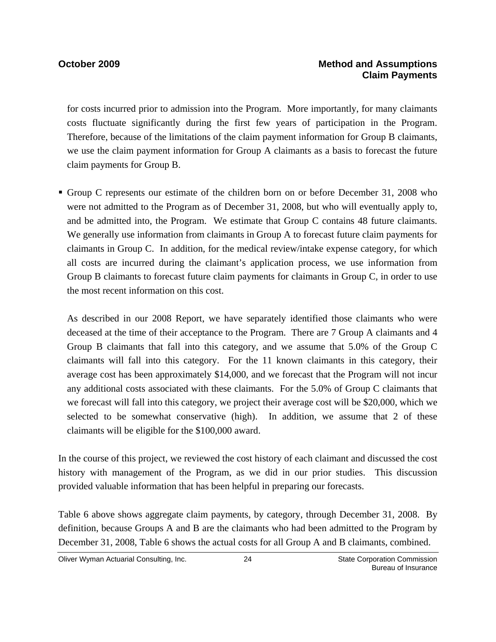for costs incurred prior to admission into the Program. More importantly, for many claimants costs fluctuate significantly during the first few years of participation in the Program. Therefore, because of the limitations of the claim payment information for Group B claimants, we use the claim payment information for Group A claimants as a basis to forecast the future claim payments for Group B.

Group C represents our estimate of the children born on or before December 31, 2008 who were not admitted to the Program as of December 31, 2008, but who will eventually apply to, and be admitted into, the Program. We estimate that Group C contains 48 future claimants. We generally use information from claimants in Group A to forecast future claim payments for claimants in Group C. In addition, for the medical review/intake expense category, for which all costs are incurred during the claimant's application process, we use information from Group B claimants to forecast future claim payments for claimants in Group C, in order to use the most recent information on this cost.

As described in our 2008 Report, we have separately identified those claimants who were deceased at the time of their acceptance to the Program. There are 7 Group A claimants and 4 Group B claimants that fall into this category, and we assume that 5.0% of the Group C claimants will fall into this category. For the 11 known claimants in this category, their average cost has been approximately \$14,000, and we forecast that the Program will not incur any additional costs associated with these claimants. For the 5.0% of Group C claimants that we forecast will fall into this category, we project their average cost will be \$20,000, which we selected to be somewhat conservative (high). In addition, we assume that 2 of these claimants will be eligible for the \$100,000 award.

In the course of this project, we reviewed the cost history of each claimant and discussed the cost history with management of the Program, as we did in our prior studies. This discussion provided valuable information that has been helpful in preparing our forecasts.

Table 6 above shows aggregate claim payments, by category, through December 31, 2008. By definition, because Groups A and B are the claimants who had been admitted to the Program by December 31, 2008, Table 6 shows the actual costs for all Group A and B claimants, combined.

Oliver Wyman Actuarial Consulting, Inc.  $24$  24 State Corporation Commission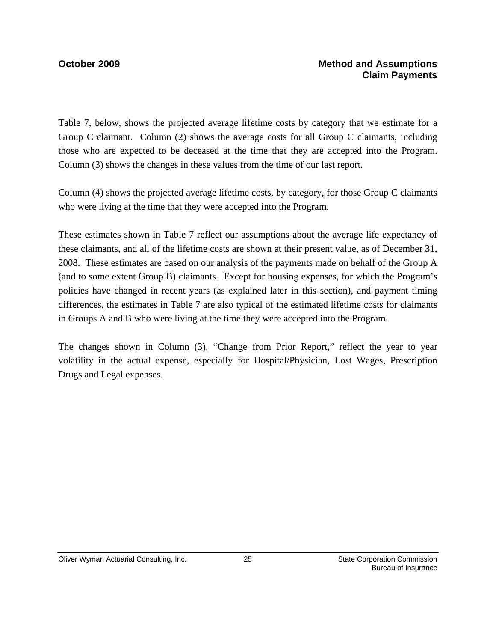Table 7, below, shows the projected average lifetime costs by category that we estimate for a Group C claimant. Column (2) shows the average costs for all Group C claimants, including those who are expected to be deceased at the time that they are accepted into the Program. Column (3) shows the changes in these values from the time of our last report.

Column (4) shows the projected average lifetime costs, by category, for those Group C claimants who were living at the time that they were accepted into the Program.

These estimates shown in Table 7 reflect our assumptions about the average life expectancy of these claimants, and all of the lifetime costs are shown at their present value, as of December 31, 2008. These estimates are based on our analysis of the payments made on behalf of the Group A (and to some extent Group B) claimants. Except for housing expenses, for which the Program's policies have changed in recent years (as explained later in this section), and payment timing differences, the estimates in Table 7 are also typical of the estimated lifetime costs for claimants in Groups A and B who were living at the time they were accepted into the Program.

The changes shown in Column (3), "Change from Prior Report," reflect the year to year volatility in the actual expense, especially for Hospital/Physician, Lost Wages, Prescription Drugs and Legal expenses.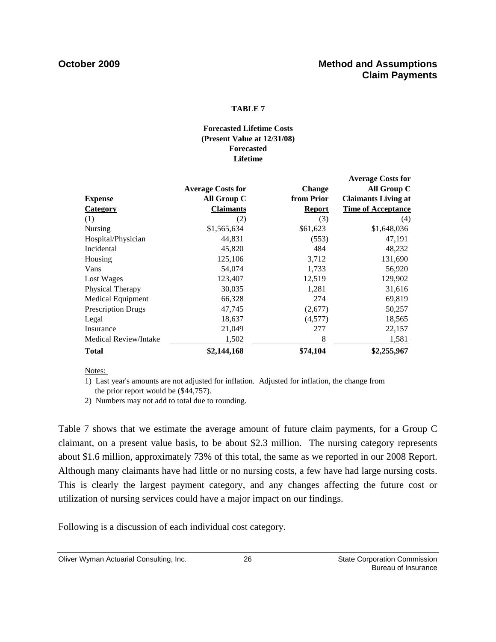### **TABLE 7**

### **Forecasted Lifetime Costs (Present Value at 12/31/08) Forecasted Lifetime**

|                           | <b>Average Costs for</b> | <b>Change</b> | <b>Average Costs for</b><br>All Group C |
|---------------------------|--------------------------|---------------|-----------------------------------------|
| <b>Expense</b>            | All Group C              | from Prior    | <b>Claimants Living at</b>              |
| <b>Category</b>           | <b>Claimants</b>         | <b>Report</b> | <b>Time of Acceptance</b>               |
| (1)                       | (2)                      | (3)           | (4)                                     |
| Nursing                   | \$1,565,634              | \$61,623      | \$1,648,036                             |
| Hospital/Physician        | 44,831                   | (553)         | 47,191                                  |
| Incidental                | 45,820                   | 484           | 48,232                                  |
| Housing                   | 125,106                  | 3,712         | 131,690                                 |
| Vans                      | 54,074                   | 1,733         | 56,920                                  |
| Lost Wages                | 123,407                  | 12,519        | 129,902                                 |
| Physical Therapy          | 30,035                   | 1,281         | 31,616                                  |
| Medical Equipment         | 66,328                   | 274           | 69,819                                  |
| <b>Prescription Drugs</b> | 47,745                   | (2,677)       | 50,257                                  |
| Legal                     | 18,637                   | (4,577)       | 18,565                                  |
| Insurance                 | 21,049                   | 277           | 22,157                                  |
| Medical Review/Intake     | 1,502                    | 8             | 1,581                                   |
| <b>Total</b>              | \$2,144,168              | \$74,104      | \$2,255,967                             |

Notes:

1) Last year's amounts are not adjusted for inflation. Adjusted for inflation, the change from the prior report would be (\$44,757).

2) Numbers may not add to total due to rounding.

Table 7 shows that we estimate the average amount of future claim payments, for a Group C claimant, on a present value basis, to be about \$2.3 million. The nursing category represents about \$1.6 million, approximately 73% of this total, the same as we reported in our 2008 Report. Although many claimants have had little or no nursing costs, a few have had large nursing costs. This is clearly the largest payment category, and any changes affecting the future cost or utilization of nursing services could have a major impact on our findings.

Following is a discussion of each individual cost category.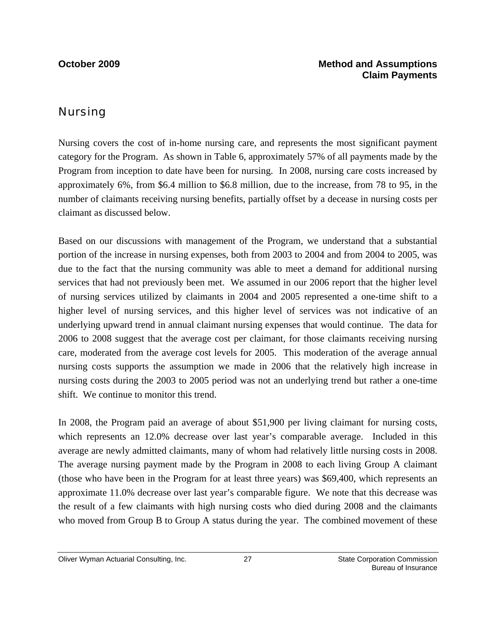## Nursing

Nursing covers the cost of in-home nursing care, and represents the most significant payment category for the Program. As shown in Table 6, approximately 57% of all payments made by the Program from inception to date have been for nursing. In 2008, nursing care costs increased by approximately 6%, from \$6.4 million to \$6.8 million, due to the increase, from 78 to 95, in the number of claimants receiving nursing benefits, partially offset by a decease in nursing costs per claimant as discussed below.

Based on our discussions with management of the Program, we understand that a substantial portion of the increase in nursing expenses, both from 2003 to 2004 and from 2004 to 2005, was due to the fact that the nursing community was able to meet a demand for additional nursing services that had not previously been met. We assumed in our 2006 report that the higher level of nursing services utilized by claimants in 2004 and 2005 represented a one-time shift to a higher level of nursing services, and this higher level of services was not indicative of an underlying upward trend in annual claimant nursing expenses that would continue. The data for 2006 to 2008 suggest that the average cost per claimant, for those claimants receiving nursing care, moderated from the average cost levels for 2005. This moderation of the average annual nursing costs supports the assumption we made in 2006 that the relatively high increase in nursing costs during the 2003 to 2005 period was not an underlying trend but rather a one-time shift. We continue to monitor this trend.

In 2008, the Program paid an average of about \$51,900 per living claimant for nursing costs, which represents an 12.0% decrease over last year's comparable average. Included in this average are newly admitted claimants, many of whom had relatively little nursing costs in 2008. The average nursing payment made by the Program in 2008 to each living Group A claimant (those who have been in the Program for at least three years) was \$69,400, which represents an approximate 11.0% decrease over last year's comparable figure. We note that this decrease was the result of a few claimants with high nursing costs who died during 2008 and the claimants who moved from Group B to Group A status during the year. The combined movement of these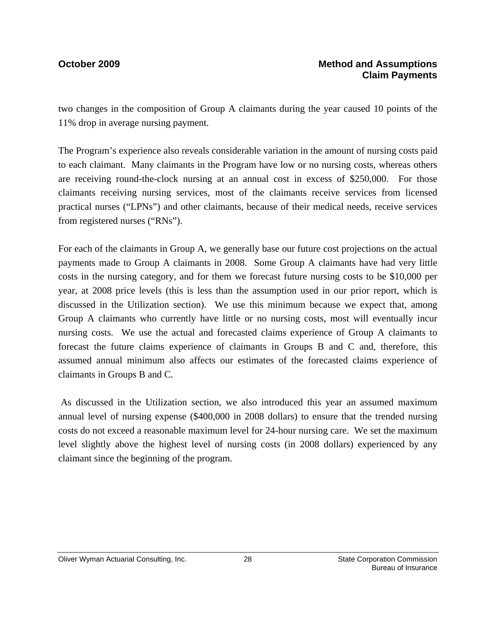two changes in the composition of Group A claimants during the year caused 10 points of the 11% drop in average nursing payment.

The Program's experience also reveals considerable variation in the amount of nursing costs paid to each claimant. Many claimants in the Program have low or no nursing costs, whereas others are receiving round-the-clock nursing at an annual cost in excess of \$250,000. For those claimants receiving nursing services, most of the claimants receive services from licensed practical nurses ("LPNs") and other claimants, because of their medical needs, receive services from registered nurses ("RNs").

For each of the claimants in Group A, we generally base our future cost projections on the actual payments made to Group A claimants in 2008. Some Group A claimants have had very little costs in the nursing category, and for them we forecast future nursing costs to be \$10,000 per year, at 2008 price levels (this is less than the assumption used in our prior report, which is discussed in the Utilization section). We use this minimum because we expect that, among Group A claimants who currently have little or no nursing costs, most will eventually incur nursing costs. We use the actual and forecasted claims experience of Group A claimants to forecast the future claims experience of claimants in Groups B and C and, therefore, this assumed annual minimum also affects our estimates of the forecasted claims experience of claimants in Groups B and C.

 As discussed in the Utilization section, we also introduced this year an assumed maximum annual level of nursing expense (\$400,000 in 2008 dollars) to ensure that the trended nursing costs do not exceed a reasonable maximum level for 24-hour nursing care. We set the maximum level slightly above the highest level of nursing costs (in 2008 dollars) experienced by any claimant since the beginning of the program.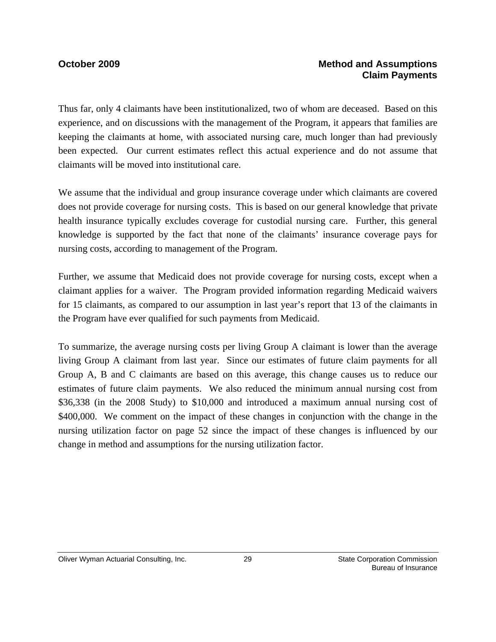## **October 2009 Method and Assumptions Claim Payments**

Thus far, only 4 claimants have been institutionalized, two of whom are deceased. Based on this experience, and on discussions with the management of the Program, it appears that families are keeping the claimants at home, with associated nursing care, much longer than had previously been expected. Our current estimates reflect this actual experience and do not assume that claimants will be moved into institutional care.

We assume that the individual and group insurance coverage under which claimants are covered does not provide coverage for nursing costs. This is based on our general knowledge that private health insurance typically excludes coverage for custodial nursing care. Further, this general knowledge is supported by the fact that none of the claimants' insurance coverage pays for nursing costs, according to management of the Program.

Further, we assume that Medicaid does not provide coverage for nursing costs, except when a claimant applies for a waiver. The Program provided information regarding Medicaid waivers for 15 claimants, as compared to our assumption in last year's report that 13 of the claimants in the Program have ever qualified for such payments from Medicaid.

To summarize, the average nursing costs per living Group A claimant is lower than the average living Group A claimant from last year. Since our estimates of future claim payments for all Group A, B and C claimants are based on this average, this change causes us to reduce our estimates of future claim payments. We also reduced the minimum annual nursing cost from \$36,338 (in the 2008 Study) to \$10,000 and introduced a maximum annual nursing cost of \$400,000. We comment on the impact of these changes in conjunction with the change in the nursing utilization factor on page 52 since the impact of these changes is influenced by our change in method and assumptions for the nursing utilization factor.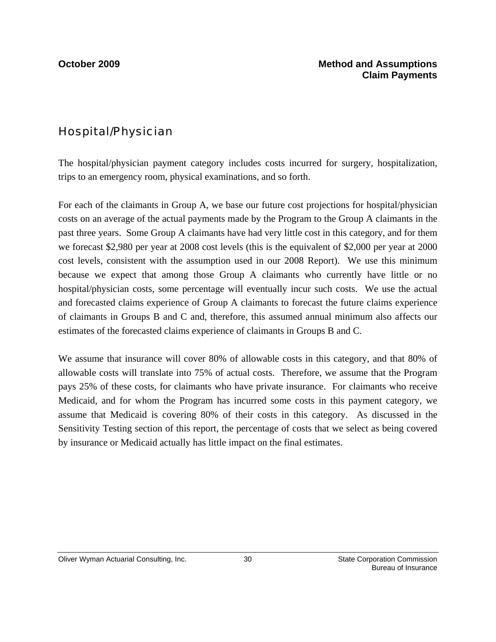# Hospital/Physician

The hospital/physician payment category includes costs incurred for surgery, hospitalization, trips to an emergency room, physical examinations, and so forth.

For each of the claimants in Group A, we base our future cost projections for hospital/physician costs on an average of the actual payments made by the Program to the Group A claimants in the past three years. Some Group A claimants have had very little cost in this category, and for them we forecast \$2,980 per year at 2008 cost levels (this is the equivalent of \$2,000 per year at 2000 cost levels, consistent with the assumption used in our 2008 Report). We use this minimum because we expect that among those Group A claimants who currently have little or no hospital/physician costs, some percentage will eventually incur such costs. We use the actual and forecasted claims experience of Group A claimants to forecast the future claims experience of claimants in Groups B and C and, therefore, this assumed annual minimum also affects our estimates of the forecasted claims experience of claimants in Groups B and C.

We assume that insurance will cover 80% of allowable costs in this category, and that 80% of allowable costs will translate into 75% of actual costs. Therefore, we assume that the Program pays 25% of these costs, for claimants who have private insurance. For claimants who receive Medicaid, and for whom the Program has incurred some costs in this payment category, we assume that Medicaid is covering 80% of their costs in this category. As discussed in the Sensitivity Testing section of this report, the percentage of costs that we select as being covered by insurance or Medicaid actually has little impact on the final estimates.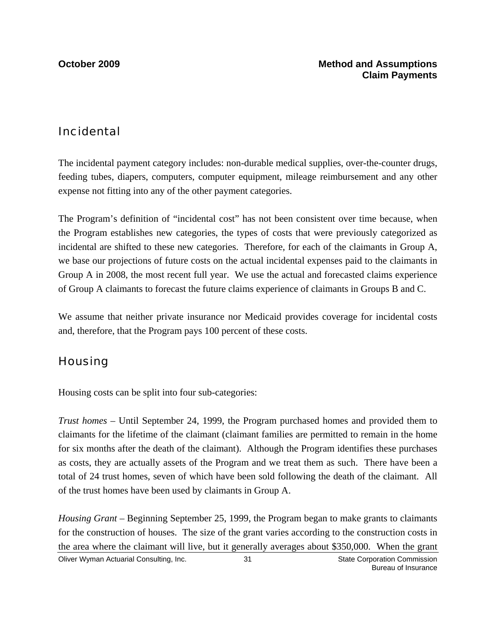## Incidental

The incidental payment category includes: non-durable medical supplies, over-the-counter drugs, feeding tubes, diapers, computers, computer equipment, mileage reimbursement and any other expense not fitting into any of the other payment categories.

The Program's definition of "incidental cost" has not been consistent over time because, when the Program establishes new categories, the types of costs that were previously categorized as incidental are shifted to these new categories. Therefore, for each of the claimants in Group A, we base our projections of future costs on the actual incidental expenses paid to the claimants in Group A in 2008, the most recent full year. We use the actual and forecasted claims experience of Group A claimants to forecast the future claims experience of claimants in Groups B and C.

We assume that neither private insurance nor Medicaid provides coverage for incidental costs and, therefore, that the Program pays 100 percent of these costs.

# **Housing**

Housing costs can be split into four sub-categories:

*Trust homes* – Until September 24, 1999, the Program purchased homes and provided them to claimants for the lifetime of the claimant (claimant families are permitted to remain in the home for six months after the death of the claimant). Although the Program identifies these purchases as costs, they are actually assets of the Program and we treat them as such. There have been a total of 24 trust homes, seven of which have been sold following the death of the claimant. All of the trust homes have been used by claimants in Group A.

Oliver Wyman Actuarial Consulting, Inc.  $\qquad \qquad$  31 State Corporation Commission 31 *Housing Grant* – Beginning September 25, 1999, the Program began to make grants to claimants for the construction of houses. The size of the grant varies according to the construction costs in the area where the claimant will live, but it generally averages about \$350,000. When the grant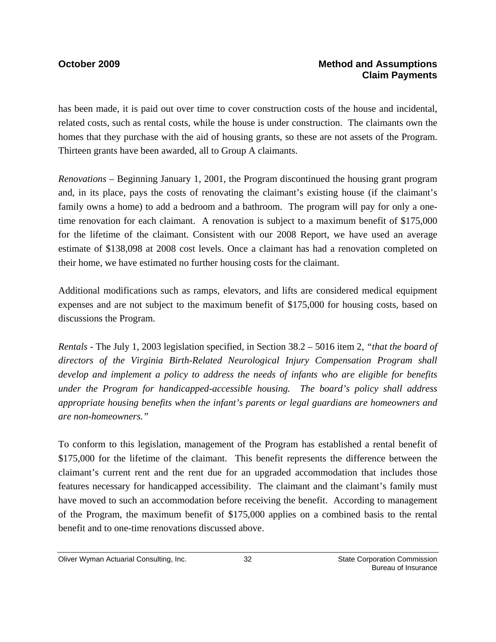has been made, it is paid out over time to cover construction costs of the house and incidental, related costs, such as rental costs, while the house is under construction. The claimants own the homes that they purchase with the aid of housing grants, so these are not assets of the Program. Thirteen grants have been awarded, all to Group A claimants.

*Renovations* – Beginning January 1, 2001, the Program discontinued the housing grant program and, in its place, pays the costs of renovating the claimant's existing house (if the claimant's family owns a home) to add a bedroom and a bathroom. The program will pay for only a onetime renovation for each claimant. A renovation is subject to a maximum benefit of \$175,000 for the lifetime of the claimant. Consistent with our 2008 Report, we have used an average estimate of \$138,098 at 2008 cost levels. Once a claimant has had a renovation completed on their home, we have estimated no further housing costs for the claimant.

Additional modifications such as ramps, elevators, and lifts are considered medical equipment expenses and are not subject to the maximum benefit of \$175,000 for housing costs, based on discussions the Program.

*Rentals -* The July 1, 2003 legislation specified, in Section 38.2 – 5016 item 2, *"that the board of directors of the Virginia Birth-Related Neurological Injury Compensation Program shall develop and implement a policy to address the needs of infants who are eligible for benefits under the Program for handicapped-accessible housing. The board's policy shall address appropriate housing benefits when the infant's parents or legal guardians are homeowners and are non-homeowners."* 

To conform to this legislation, management of the Program has established a rental benefit of \$175,000 for the lifetime of the claimant. This benefit represents the difference between the claimant's current rent and the rent due for an upgraded accommodation that includes those features necessary for handicapped accessibility. The claimant and the claimant's family must have moved to such an accommodation before receiving the benefit. According to management of the Program, the maximum benefit of \$175,000 applies on a combined basis to the rental benefit and to one-time renovations discussed above.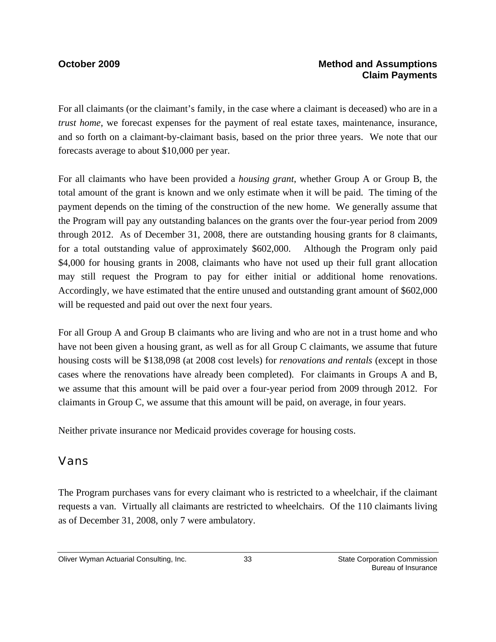### **October 2009 Method and Assumptions Claim Payments**

For all claimants (or the claimant's family, in the case where a claimant is deceased) who are in a *trust home*, we forecast expenses for the payment of real estate taxes, maintenance, insurance, and so forth on a claimant-by-claimant basis, based on the prior three years. We note that our forecasts average to about \$10,000 per year.

For all claimants who have been provided a *housing grant*, whether Group A or Group B, the total amount of the grant is known and we only estimate when it will be paid. The timing of the payment depends on the timing of the construction of the new home. We generally assume that the Program will pay any outstanding balances on the grants over the four-year period from 2009 through 2012. As of December 31, 2008, there are outstanding housing grants for 8 claimants, for a total outstanding value of approximately \$602,000. Although the Program only paid \$4,000 for housing grants in 2008, claimants who have not used up their full grant allocation may still request the Program to pay for either initial or additional home renovations. Accordingly, we have estimated that the entire unused and outstanding grant amount of \$602,000 will be requested and paid out over the next four years.

For all Group A and Group B claimants who are living and who are not in a trust home and who have not been given a housing grant, as well as for all Group C claimants, we assume that future housing costs will be \$138,098 (at 2008 cost levels) for *renovations and rentals* (except in those cases where the renovations have already been completed)*.* For claimants in Groups A and B, we assume that this amount will be paid over a four-year period from 2009 through 2012. For claimants in Group C, we assume that this amount will be paid, on average, in four years.

Neither private insurance nor Medicaid provides coverage for housing costs.

### Vans

The Program purchases vans for every claimant who is restricted to a wheelchair, if the claimant requests a van. Virtually all claimants are restricted to wheelchairs. Of the 110 claimants living as of December 31, 2008, only 7 were ambulatory.

Oliver Wyman Actuarial Consulting, Inc.  $\qquad \qquad$  33 State Corporation Commission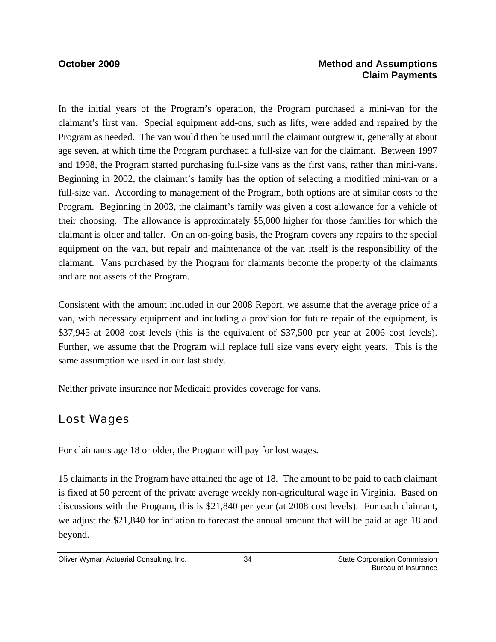### **October 2009 Method and Assumptions Claim Payments**

In the initial years of the Program's operation, the Program purchased a mini-van for the claimant's first van. Special equipment add-ons, such as lifts, were added and repaired by the Program as needed. The van would then be used until the claimant outgrew it, generally at about age seven, at which time the Program purchased a full-size van for the claimant. Between 1997 and 1998, the Program started purchasing full-size vans as the first vans, rather than mini-vans. Beginning in 2002, the claimant's family has the option of selecting a modified mini-van or a full-size van. According to management of the Program, both options are at similar costs to the Program. Beginning in 2003, the claimant's family was given a cost allowance for a vehicle of their choosing. The allowance is approximately \$5,000 higher for those families for which the claimant is older and taller. On an on-going basis, the Program covers any repairs to the special equipment on the van, but repair and maintenance of the van itself is the responsibility of the claimant. Vans purchased by the Program for claimants become the property of the claimants and are not assets of the Program.

Consistent with the amount included in our 2008 Report, we assume that the average price of a van, with necessary equipment and including a provision for future repair of the equipment, is \$37,945 at 2008 cost levels (this is the equivalent of \$37,500 per year at 2006 cost levels). Further, we assume that the Program will replace full size vans every eight years. This is the same assumption we used in our last study.

Neither private insurance nor Medicaid provides coverage for vans.

### Lost Wages

For claimants age 18 or older, the Program will pay for lost wages.

15 claimants in the Program have attained the age of 18. The amount to be paid to each claimant is fixed at 50 percent of the private average weekly non-agricultural wage in Virginia. Based on discussions with the Program, this is \$21,840 per year (at 2008 cost levels). For each claimant, we adjust the \$21,840 for inflation to forecast the annual amount that will be paid at age 18 and beyond.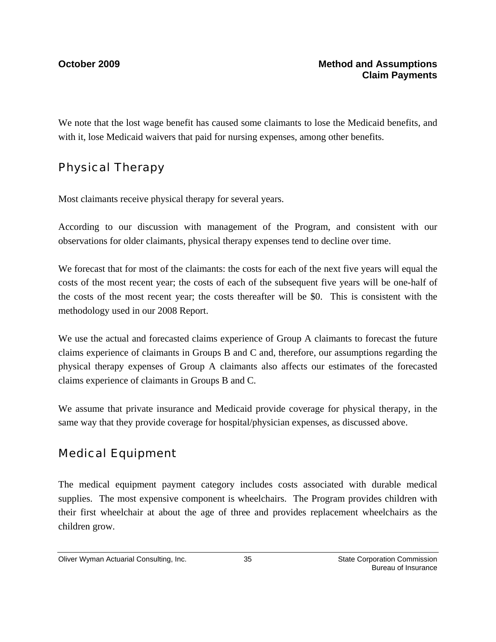We note that the lost wage benefit has caused some claimants to lose the Medicaid benefits, and with it, lose Medicaid waivers that paid for nursing expenses, among other benefits.

## Physical Therapy

Most claimants receive physical therapy for several years.

According to our discussion with management of the Program, and consistent with our observations for older claimants, physical therapy expenses tend to decline over time.

We forecast that for most of the claimants: the costs for each of the next five years will equal the costs of the most recent year; the costs of each of the subsequent five years will be one-half of the costs of the most recent year; the costs thereafter will be \$0. This is consistent with the methodology used in our 2008 Report.

We use the actual and forecasted claims experience of Group A claimants to forecast the future claims experience of claimants in Groups B and C and, therefore, our assumptions regarding the physical therapy expenses of Group A claimants also affects our estimates of the forecasted claims experience of claimants in Groups B and C.

We assume that private insurance and Medicaid provide coverage for physical therapy, in the same way that they provide coverage for hospital/physician expenses, as discussed above.

## Medical Equipment

The medical equipment payment category includes costs associated with durable medical supplies. The most expensive component is wheelchairs. The Program provides children with their first wheelchair at about the age of three and provides replacement wheelchairs as the children grow.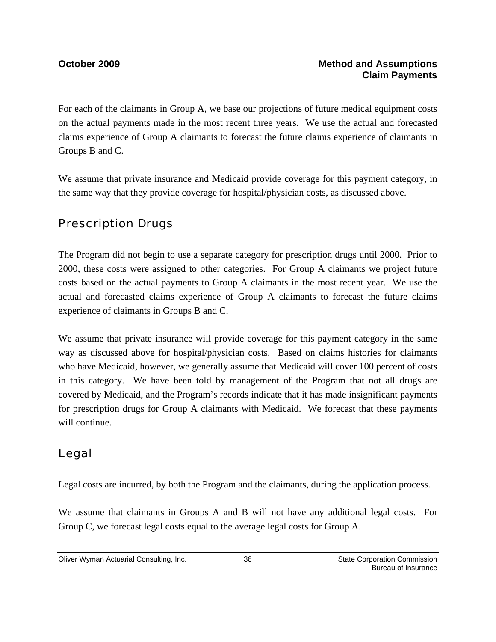For each of the claimants in Group A, we base our projections of future medical equipment costs on the actual payments made in the most recent three years. We use the actual and forecasted claims experience of Group A claimants to forecast the future claims experience of claimants in Groups B and C.

We assume that private insurance and Medicaid provide coverage for this payment category, in the same way that they provide coverage for hospital/physician costs, as discussed above.

## Prescription Drugs

The Program did not begin to use a separate category for prescription drugs until 2000. Prior to 2000, these costs were assigned to other categories. For Group A claimants we project future costs based on the actual payments to Group A claimants in the most recent year. We use the actual and forecasted claims experience of Group A claimants to forecast the future claims experience of claimants in Groups B and C.

We assume that private insurance will provide coverage for this payment category in the same way as discussed above for hospital/physician costs. Based on claims histories for claimants who have Medicaid, however, we generally assume that Medicaid will cover 100 percent of costs in this category. We have been told by management of the Program that not all drugs are covered by Medicaid, and the Program's records indicate that it has made insignificant payments for prescription drugs for Group A claimants with Medicaid. We forecast that these payments will continue.

## Legal

Legal costs are incurred, by both the Program and the claimants, during the application process.

We assume that claimants in Groups A and B will not have any additional legal costs. For Group C, we forecast legal costs equal to the average legal costs for Group A.

Oliver Wyman Actuarial Consulting, Inc.  $\overline{\phantom{0}}$  36  $\overline{\phantom{0}}$  State Corporation Commission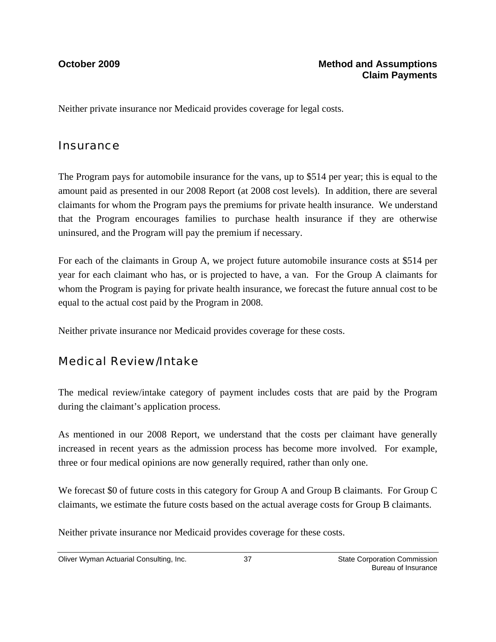Neither private insurance nor Medicaid provides coverage for legal costs.

### **Insurance**

The Program pays for automobile insurance for the vans, up to \$514 per year; this is equal to the amount paid as presented in our 2008 Report (at 2008 cost levels). In addition, there are several claimants for whom the Program pays the premiums for private health insurance. We understand that the Program encourages families to purchase health insurance if they are otherwise uninsured, and the Program will pay the premium if necessary.

For each of the claimants in Group A, we project future automobile insurance costs at \$514 per year for each claimant who has, or is projected to have, a van. For the Group A claimants for whom the Program is paying for private health insurance, we forecast the future annual cost to be equal to the actual cost paid by the Program in 2008.

Neither private insurance nor Medicaid provides coverage for these costs.

## Medical Review/Intake

The medical review/intake category of payment includes costs that are paid by the Program during the claimant's application process.

As mentioned in our 2008 Report, we understand that the costs per claimant have generally increased in recent years as the admission process has become more involved. For example, three or four medical opinions are now generally required, rather than only one.

We forecast \$0 of future costs in this category for Group A and Group B claimants. For Group C claimants, we estimate the future costs based on the actual average costs for Group B claimants.

Neither private insurance nor Medicaid provides coverage for these costs.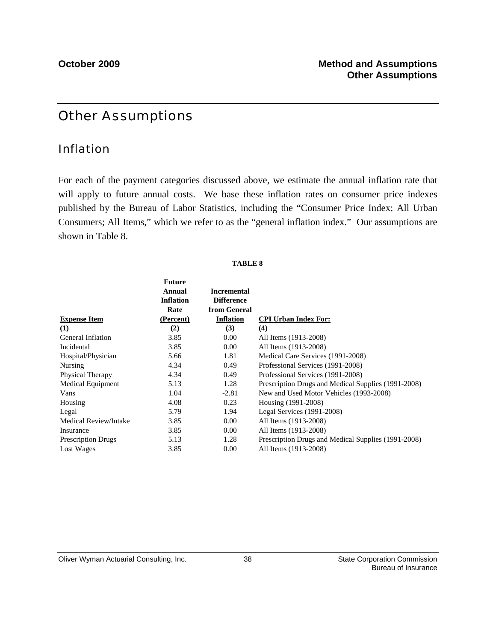## Other Assumptions

### Inflation

For each of the payment categories discussed above, we estimate the annual inflation rate that will apply to future annual costs. We base these inflation rates on consumer price indexes published by the Bureau of Labor Statistics, including the "Consumer Price Index; All Urban Consumers; All Items," which we refer to as the "general inflation index." Our assumptions are shown in Table 8.

### **TABLE 8**

|                           | <b>Future</b><br><b>Annual</b><br><b>Inflation</b><br>Rate | <b>Incremental</b><br><b>Difference</b><br>from General |                                                     |
|---------------------------|------------------------------------------------------------|---------------------------------------------------------|-----------------------------------------------------|
| <b>Expense Item</b>       | (Percent)                                                  | <b>Inflation</b>                                        | <b>CPI Urban Index For:</b>                         |
| (1)                       | (2)                                                        | (3)                                                     | (4)                                                 |
| General Inflation         | 3.85                                                       | 0.00                                                    | All Items (1913-2008)                               |
| Incidental                | 3.85                                                       | 0.00                                                    | All Items (1913-2008)                               |
| Hospital/Physician        | 5.66                                                       | 1.81                                                    | Medical Care Services (1991-2008)                   |
| Nursing                   | 4.34                                                       | 0.49                                                    | Professional Services (1991-2008)                   |
| Physical Therapy          | 4.34                                                       | 0.49                                                    | Professional Services (1991-2008)                   |
| <b>Medical Equipment</b>  | 5.13                                                       | 1.28                                                    | Prescription Drugs and Medical Supplies (1991-2008) |
| Vans                      | 1.04                                                       | $-2.81$                                                 | New and Used Motor Vehicles (1993-2008)             |
| Housing                   | 4.08                                                       | 0.23                                                    | Housing (1991-2008)                                 |
| Legal                     | 5.79                                                       | 1.94                                                    | Legal Services (1991-2008)                          |
| Medical Review/Intake     | 3.85                                                       | 0.00                                                    | All Items (1913-2008)                               |
| Insurance                 | 3.85                                                       | 0.00                                                    | All Items (1913-2008)                               |
| <b>Prescription Drugs</b> | 5.13                                                       | 1.28                                                    | Prescription Drugs and Medical Supplies (1991-2008) |
| Lost Wages                | 3.85                                                       | 0.00                                                    | All Items (1913-2008)                               |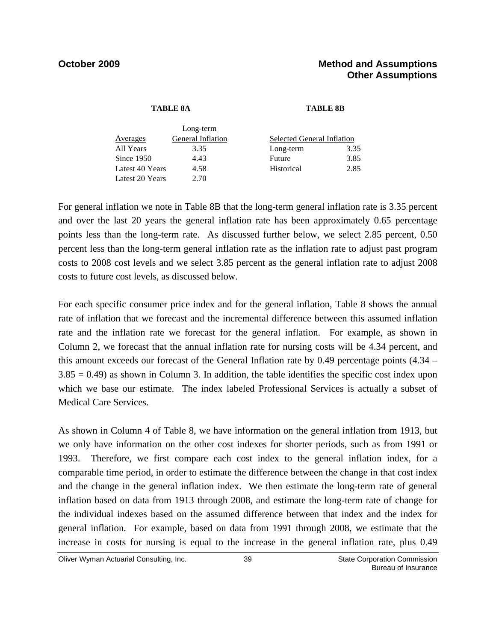### **TABLE 8A TABLE 8B**

|                 | Long-term         |                            |      |  |
|-----------------|-------------------|----------------------------|------|--|
| Averages        | General Inflation | Selected General Inflation |      |  |
| All Years       | 3.35              | Long-term                  | 3.35 |  |
| Since 1950      | 4.43              | Future                     | 3.85 |  |
| Latest 40 Years | 4.58              | Historical                 | 2.85 |  |
| Latest 20 Years | 2.70              |                            |      |  |

For general inflation we note in Table 8B that the long-term general inflation rate is 3.35 percent and over the last 20 years the general inflation rate has been approximately 0.65 percentage points less than the long-term rate. As discussed further below, we select 2.85 percent, 0.50 percent less than the long-term general inflation rate as the inflation rate to adjust past program costs to 2008 cost levels and we select 3.85 percent as the general inflation rate to adjust 2008 costs to future cost levels, as discussed below.

For each specific consumer price index and for the general inflation, Table 8 shows the annual rate of inflation that we forecast and the incremental difference between this assumed inflation rate and the inflation rate we forecast for the general inflation. For example, as shown in Column 2, we forecast that the annual inflation rate for nursing costs will be 4.34 percent, and this amount exceeds our forecast of the General Inflation rate by 0.49 percentage points (4.34 –  $3.85 = 0.49$ ) as shown in Column 3. In addition, the table identifies the specific cost index upon which we base our estimate. The index labeled Professional Services is actually a subset of Medical Care Services.

As shown in Column 4 of Table 8, we have information on the general inflation from 1913, but we only have information on the other cost indexes for shorter periods, such as from 1991 or 1993. Therefore, we first compare each cost index to the general inflation index, for a comparable time period, in order to estimate the difference between the change in that cost index and the change in the general inflation index. We then estimate the long-term rate of general inflation based on data from 1913 through 2008, and estimate the long-term rate of change for the individual indexes based on the assumed difference between that index and the index for general inflation. For example, based on data from 1991 through 2008, we estimate that the increase in costs for nursing is equal to the increase in the general inflation rate, plus 0.49

Oliver Wyman Actuarial Consulting, Inc.  $\qquad \qquad$  39 State Corporation Commission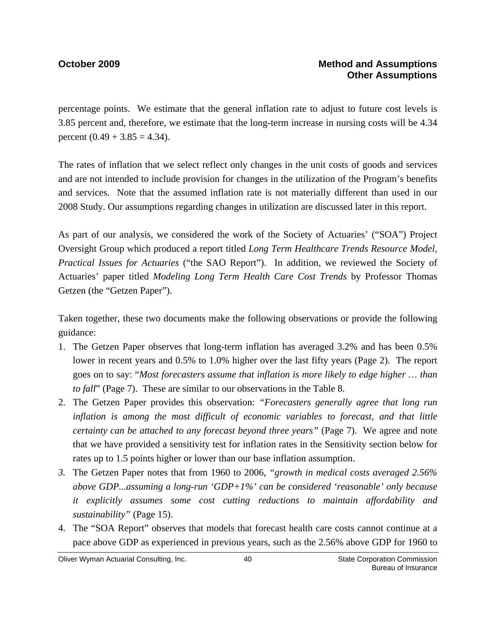percentage points. We estimate that the general inflation rate to adjust to future cost levels is 3.85 percent and, therefore, we estimate that the long-term increase in nursing costs will be 4.34 percent  $(0.49 + 3.85 = 4.34)$ .

The rates of inflation that we select reflect only changes in the unit costs of goods and services and are not intended to include provision for changes in the utilization of the Program's benefits and services. Note that the assumed inflation rate is not materially different than used in our 2008 Study. Our assumptions regarding changes in utilization are discussed later in this report.

As part of our analysis, we considered the work of the Society of Actuaries' ("SOA") Project Oversight Group which produced a report titled *Long Term Healthcare Trends Resource Model, Practical Issues for Actuaries* ("the SAO Report"). In addition, we reviewed the Society of Actuaries' paper titled *Modeling Long Term Health Care Cost Trends* by Professor Thomas Getzen (the "Getzen Paper").

Taken together, these two documents make the following observations or provide the following guidance:

- 1. The Getzen Paper observes that long-term inflation has averaged 3.2% and has been 0.5% lower in recent years and 0.5% to 1.0% higher over the last fifty years (Page 2). The report goes on to say: "*Most forecasters assume that inflation is more likely to edge higher … than to fall*" (Page 7). These are similar to our observations in the Table 8.
- 2. The Getzen Paper provides this observation: *"Forecasters generally agree that long run inflation is among the most difficult of economic variables to forecast, and that little certainty can be attached to any forecast beyond three years*" (Page 7). We agree and note that we have provided a sensitivity test for inflation rates in the Sensitivity section below for rates up to 1.5 points higher or lower than our base inflation assumption.
- *3.* The Getzen Paper notes that from 1960 to 2006, *"growth in medical costs averaged 2.56% above GDP...assuming a long-run 'GDP+1%' can be considered 'reasonable' only because it explicitly assumes some cost cutting reductions to maintain affordability and sustainability"* (Page 15).
- 4. The "SOA Report" observes that models that forecast health care costs cannot continue at a pace above GDP as experienced in previous years, such as the 2.56% above GDP for 1960 to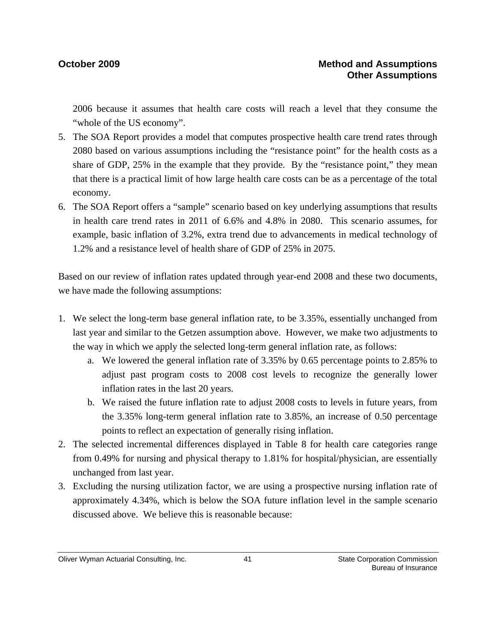2006 because it assumes that health care costs will reach a level that they consume the "whole of the US economy".

- 5. The SOA Report provides a model that computes prospective health care trend rates through 2080 based on various assumptions including the "resistance point" for the health costs as a share of GDP, 25% in the example that they provide. By the "resistance point," they mean that there is a practical limit of how large health care costs can be as a percentage of the total economy.
- 6. The SOA Report offers a "sample" scenario based on key underlying assumptions that results in health care trend rates in 2011 of 6.6% and 4.8% in 2080. This scenario assumes, for example, basic inflation of 3.2%, extra trend due to advancements in medical technology of 1.2% and a resistance level of health share of GDP of 25% in 2075.

Based on our review of inflation rates updated through year-end 2008 and these two documents, we have made the following assumptions:

- 1. We select the long-term base general inflation rate, to be 3.35%, essentially unchanged from last year and similar to the Getzen assumption above. However, we make two adjustments to the way in which we apply the selected long-term general inflation rate, as follows:
	- a. We lowered the general inflation rate of 3.35% by 0.65 percentage points to 2.85% to adjust past program costs to 2008 cost levels to recognize the generally lower inflation rates in the last 20 years.
	- b. We raised the future inflation rate to adjust 2008 costs to levels in future years, from the 3.35% long-term general inflation rate to 3.85%, an increase of 0.50 percentage points to reflect an expectation of generally rising inflation.
- 2. The selected incremental differences displayed in Table 8 for health care categories range from 0.49% for nursing and physical therapy to 1.81% for hospital/physician, are essentially unchanged from last year.
- 3. Excluding the nursing utilization factor, we are using a prospective nursing inflation rate of approximately 4.34%, which is below the SOA future inflation level in the sample scenario discussed above. We believe this is reasonable because: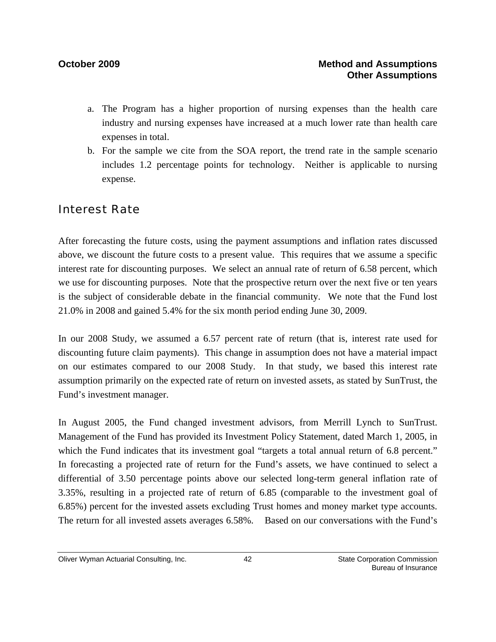- a. The Program has a higher proportion of nursing expenses than the health care industry and nursing expenses have increased at a much lower rate than health care expenses in total.
- b. For the sample we cite from the SOA report, the trend rate in the sample scenario includes 1.2 percentage points for technology. Neither is applicable to nursing expense.

### Interest Rate

After forecasting the future costs, using the payment assumptions and inflation rates discussed above, we discount the future costs to a present value. This requires that we assume a specific interest rate for discounting purposes. We select an annual rate of return of 6.58 percent, which we use for discounting purposes. Note that the prospective return over the next five or ten years is the subject of considerable debate in the financial community. We note that the Fund lost 21.0% in 2008 and gained 5.4% for the six month period ending June 30, 2009.

In our 2008 Study, we assumed a 6.57 percent rate of return (that is, interest rate used for discounting future claim payments). This change in assumption does not have a material impact on our estimates compared to our 2008 Study. In that study, we based this interest rate assumption primarily on the expected rate of return on invested assets, as stated by SunTrust, the Fund's investment manager.

In August 2005, the Fund changed investment advisors, from Merrill Lynch to SunTrust. Management of the Fund has provided its Investment Policy Statement, dated March 1, 2005, in which the Fund indicates that its investment goal "targets a total annual return of 6.8 percent." In forecasting a projected rate of return for the Fund's assets, we have continued to select a differential of 3.50 percentage points above our selected long-term general inflation rate of 3.35%, resulting in a projected rate of return of 6.85 (comparable to the investment goal of 6.85%) percent for the invested assets excluding Trust homes and money market type accounts. The return for all invested assets averages 6.58%. Based on our conversations with the Fund's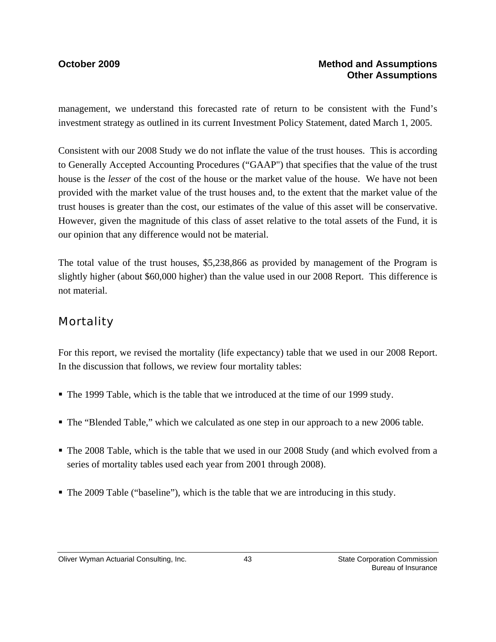management, we understand this forecasted rate of return to be consistent with the Fund's investment strategy as outlined in its current Investment Policy Statement, dated March 1, 2005.

Consistent with our 2008 Study we do not inflate the value of the trust houses. This is according to Generally Accepted Accounting Procedures ("GAAP") that specifies that the value of the trust house is the *lesser* of the cost of the house or the market value of the house. We have not been provided with the market value of the trust houses and, to the extent that the market value of the trust houses is greater than the cost, our estimates of the value of this asset will be conservative. However, given the magnitude of this class of asset relative to the total assets of the Fund, it is our opinion that any difference would not be material.

The total value of the trust houses, \$5,238,866 as provided by management of the Program is slightly higher (about \$60,000 higher) than the value used in our 2008 Report. This difference is not material.

### **Mortality**

For this report, we revised the mortality (life expectancy) table that we used in our 2008 Report. In the discussion that follows, we review four mortality tables:

- The 1999 Table, which is the table that we introduced at the time of our 1999 study.
- The "Blended Table," which we calculated as one step in our approach to a new 2006 table.
- The 2008 Table, which is the table that we used in our 2008 Study (and which evolved from a series of mortality tables used each year from 2001 through 2008).
- The 2009 Table ("baseline"), which is the table that we are introducing in this study.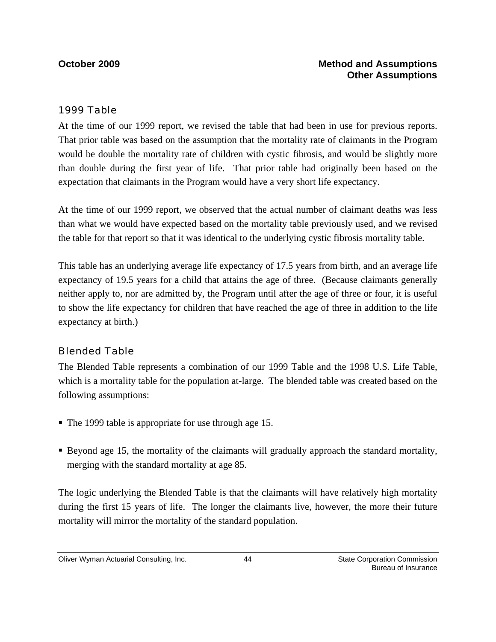### *1999 Table*

At the time of our 1999 report, we revised the table that had been in use for previous reports. That prior table was based on the assumption that the mortality rate of claimants in the Program would be double the mortality rate of children with cystic fibrosis, and would be slightly more than double during the first year of life. That prior table had originally been based on the expectation that claimants in the Program would have a very short life expectancy.

At the time of our 1999 report, we observed that the actual number of claimant deaths was less than what we would have expected based on the mortality table previously used, and we revised the table for that report so that it was identical to the underlying cystic fibrosis mortality table.

This table has an underlying average life expectancy of 17.5 years from birth, and an average life expectancy of 19.5 years for a child that attains the age of three. (Because claimants generally neither apply to, nor are admitted by, the Program until after the age of three or four, it is useful to show the life expectancy for children that have reached the age of three in addition to the life expectancy at birth.)

### *Blended Table*

The Blended Table represents a combination of our 1999 Table and the 1998 U.S. Life Table, which is a mortality table for the population at-large. The blended table was created based on the following assumptions:

- The 1999 table is appropriate for use through age 15.
- Beyond age 15, the mortality of the claimants will gradually approach the standard mortality, merging with the standard mortality at age 85.

The logic underlying the Blended Table is that the claimants will have relatively high mortality during the first 15 years of life. The longer the claimants live, however, the more their future mortality will mirror the mortality of the standard population.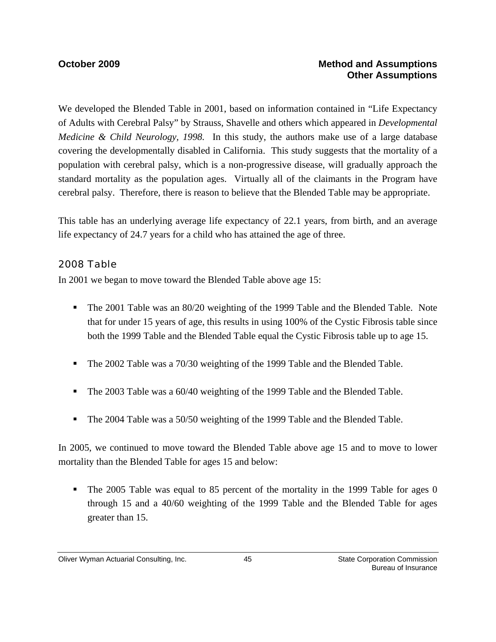### **October 2009 Method and Assumptions Other Assumptions**

We developed the Blended Table in 2001, based on information contained in "Life Expectancy of Adults with Cerebral Palsy" by Strauss, Shavelle and others which appeared in *Developmental Medicine & Child Neurology, 1998.* In this study, the authors make use of a large database covering the developmentally disabled in California. This study suggests that the mortality of a population with cerebral palsy, which is a non-progressive disease, will gradually approach the standard mortality as the population ages. Virtually all of the claimants in the Program have cerebral palsy. Therefore, there is reason to believe that the Blended Table may be appropriate.

This table has an underlying average life expectancy of 22.1 years, from birth, and an average life expectancy of 24.7 years for a child who has attained the age of three.

### *2008 Table*

In 2001 we began to move toward the Blended Table above age 15:

- The 2001 Table was an 80/20 weighting of the 1999 Table and the Blended Table. Note that for under 15 years of age, this results in using 100% of the Cystic Fibrosis table since both the 1999 Table and the Blended Table equal the Cystic Fibrosis table up to age 15.
- The 2002 Table was a 70/30 weighting of the 1999 Table and the Blended Table.
- The 2003 Table was a 60/40 weighting of the 1999 Table and the Blended Table.
- The 2004 Table was a 50/50 weighting of the 1999 Table and the Blended Table.

In 2005, we continued to move toward the Blended Table above age 15 and to move to lower mortality than the Blended Table for ages 15 and below:

• The 2005 Table was equal to 85 percent of the mortality in the 1999 Table for ages 0 through 15 and a 40/60 weighting of the 1999 Table and the Blended Table for ages greater than 15.

Oliver Wyman Actuarial Consulting, Inc.  $\begin{array}{ccc} 45 & 45 \end{array}$  State Corporation Commission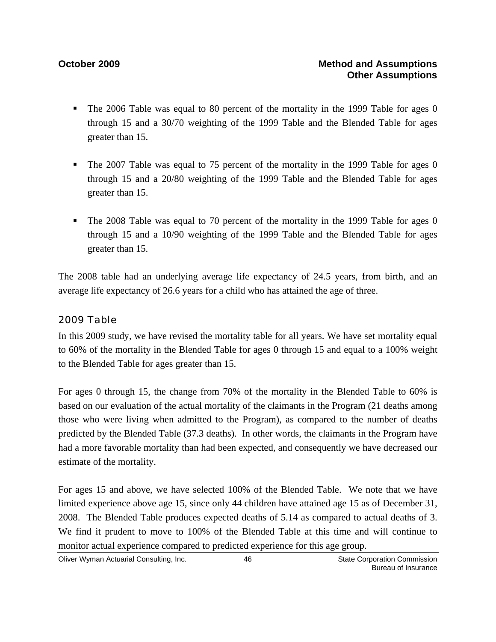- The 2006 Table was equal to 80 percent of the mortality in the 1999 Table for ages 0 through 15 and a 30/70 weighting of the 1999 Table and the Blended Table for ages greater than 15.
- The 2007 Table was equal to 75 percent of the mortality in the 1999 Table for ages 0 through 15 and a 20/80 weighting of the 1999 Table and the Blended Table for ages greater than 15.
- The 2008 Table was equal to 70 percent of the mortality in the 1999 Table for ages 0 through 15 and a 10/90 weighting of the 1999 Table and the Blended Table for ages greater than 15.

The 2008 table had an underlying average life expectancy of 24.5 years, from birth, and an average life expectancy of 26.6 years for a child who has attained the age of three.

### *2009 Table*

In this 2009 study, we have revised the mortality table for all years. We have set mortality equal to 60% of the mortality in the Blended Table for ages 0 through 15 and equal to a 100% weight to the Blended Table for ages greater than 15.

For ages 0 through 15, the change from 70% of the mortality in the Blended Table to 60% is based on our evaluation of the actual mortality of the claimants in the Program (21 deaths among those who were living when admitted to the Program), as compared to the number of deaths predicted by the Blended Table (37.3 deaths). In other words, the claimants in the Program have had a more favorable mortality than had been expected, and consequently we have decreased our estimate of the mortality.

For ages 15 and above, we have selected 100% of the Blended Table. We note that we have limited experience above age 15, since only 44 children have attained age 15 as of December 31, 2008. The Blended Table produces expected deaths of 5.14 as compared to actual deaths of 3. We find it prudent to move to 100% of the Blended Table at this time and will continue to monitor actual experience compared to predicted experience for this age group.

Oliver Wyman Actuarial Consulting, Inc.  $\begin{array}{ccc} 46 & 46 \end{array}$  State Corporation Commission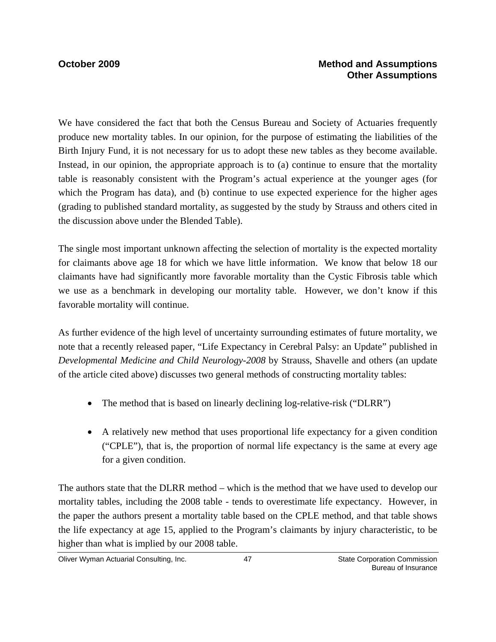We have considered the fact that both the Census Bureau and Society of Actuaries frequently produce new mortality tables. In our opinion, for the purpose of estimating the liabilities of the Birth Injury Fund, it is not necessary for us to adopt these new tables as they become available. Instead, in our opinion, the appropriate approach is to (a) continue to ensure that the mortality table is reasonably consistent with the Program's actual experience at the younger ages (for which the Program has data), and (b) continue to use expected experience for the higher ages (grading to published standard mortality, as suggested by the study by Strauss and others cited in the discussion above under the Blended Table).

The single most important unknown affecting the selection of mortality is the expected mortality for claimants above age 18 for which we have little information. We know that below 18 our claimants have had significantly more favorable mortality than the Cystic Fibrosis table which we use as a benchmark in developing our mortality table. However, we don't know if this favorable mortality will continue.

As further evidence of the high level of uncertainty surrounding estimates of future mortality, we note that a recently released paper, "Life Expectancy in Cerebral Palsy: an Update" published in *Developmental Medicine and Child Neurology-2008* by Strauss, Shavelle and others (an update of the article cited above) discusses two general methods of constructing mortality tables:

- The method that is based on linearly declining log-relative-risk ("DLRR")
- A relatively new method that uses proportional life expectancy for a given condition ("CPLE"), that is, the proportion of normal life expectancy is the same at every age for a given condition.

The authors state that the DLRR method – which is the method that we have used to develop our mortality tables, including the 2008 table - tends to overestimate life expectancy. However, in the paper the authors present a mortality table based on the CPLE method, and that table shows the life expectancy at age 15, applied to the Program's claimants by injury characteristic, to be higher than what is implied by our 2008 table.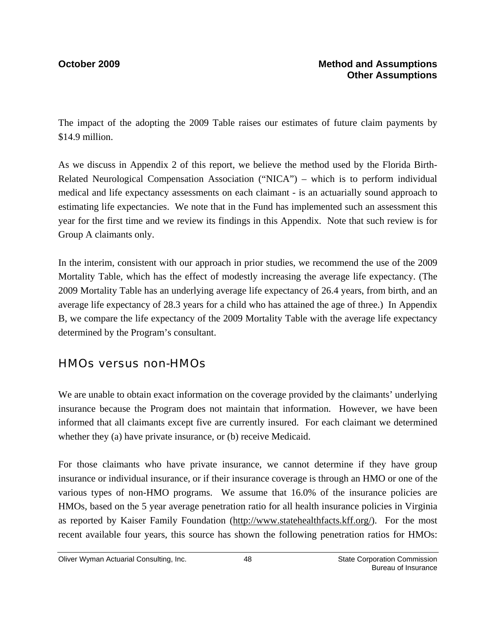The impact of the adopting the 2009 Table raises our estimates of future claim payments by \$14.9 million.

As we discuss in Appendix 2 of this report, we believe the method used by the Florida Birth-Related Neurological Compensation Association ("NICA") – which is to perform individual medical and life expectancy assessments on each claimant - is an actuarially sound approach to estimating life expectancies. We note that in the Fund has implemented such an assessment this year for the first time and we review its findings in this Appendix. Note that such review is for Group A claimants only.

In the interim, consistent with our approach in prior studies, we recommend the use of the 2009 Mortality Table, which has the effect of modestly increasing the average life expectancy. (The 2009 Mortality Table has an underlying average life expectancy of 26.4 years, from birth, and an average life expectancy of 28.3 years for a child who has attained the age of three.) In Appendix B, we compare the life expectancy of the 2009 Mortality Table with the average life expectancy determined by the Program's consultant.

### HMOs versus non-HMOs

We are unable to obtain exact information on the coverage provided by the claimants' underlying insurance because the Program does not maintain that information. However, we have been informed that all claimants except five are currently insured. For each claimant we determined whether they (a) have private insurance, or (b) receive Medicaid.

For those claimants who have private insurance, we cannot determine if they have group insurance or individual insurance, or if their insurance coverage is through an HMO or one of the various types of non-HMO programs. We assume that 16.0% of the insurance policies are HMOs, based on the 5 year average penetration ratio for all health insurance policies in Virginia as reported by Kaiser Family Foundation (http://www.statehealthfacts.kff.org/). For the most recent available four years, this source has shown the following penetration ratios for HMOs: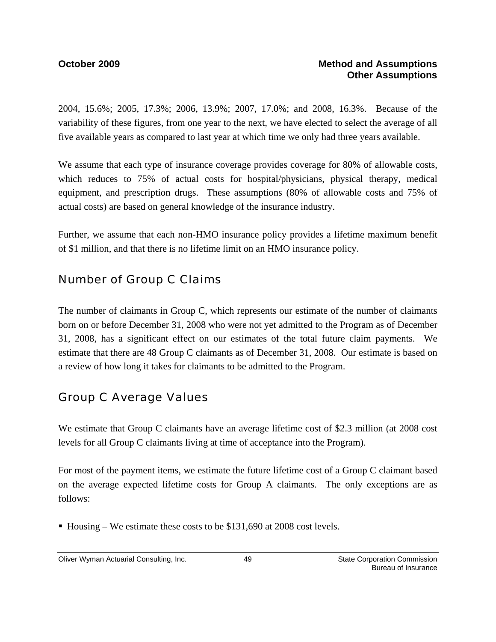2004, 15.6%; 2005, 17.3%; 2006, 13.9%; 2007, 17.0%; and 2008, 16.3%. Because of the variability of these figures, from one year to the next, we have elected to select the average of all five available years as compared to last year at which time we only had three years available.

We assume that each type of insurance coverage provides coverage for 80% of allowable costs, which reduces to 75% of actual costs for hospital/physicians, physical therapy, medical equipment, and prescription drugs. These assumptions (80% of allowable costs and 75% of actual costs) are based on general knowledge of the insurance industry.

Further, we assume that each non-HMO insurance policy provides a lifetime maximum benefit of \$1 million, and that there is no lifetime limit on an HMO insurance policy.

## Number of Group C Claims

The number of claimants in Group C, which represents our estimate of the number of claimants born on or before December 31, 2008 who were not yet admitted to the Program as of December 31, 2008, has a significant effect on our estimates of the total future claim payments. We estimate that there are 48 Group C claimants as of December 31, 2008. Our estimate is based on a review of how long it takes for claimants to be admitted to the Program.

## Group C Average Values

We estimate that Group C claimants have an average lifetime cost of \$2.3 million (at 2008 cost levels for all Group C claimants living at time of acceptance into the Program).

For most of the payment items, we estimate the future lifetime cost of a Group C claimant based on the average expected lifetime costs for Group A claimants. The only exceptions are as follows:

■ Housing – We estimate these costs to be \$131,690 at 2008 cost levels.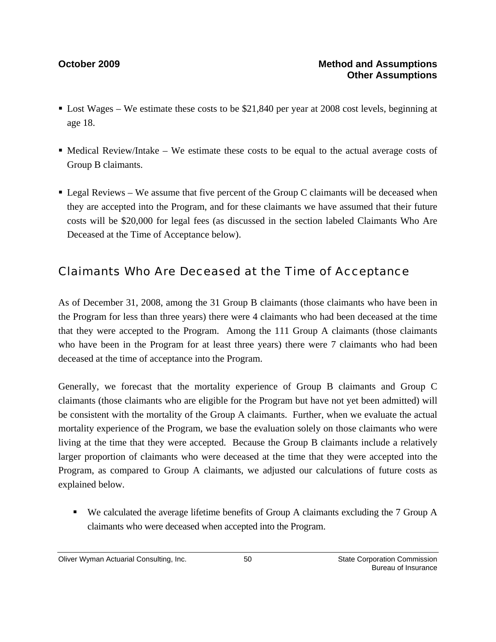- Lost Wages We estimate these costs to be \$21,840 per year at 2008 cost levels, beginning at age 18.
- $\blacksquare$  Medical Review/Intake We estimate these costs to be equal to the actual average costs of Group B claimants.
- $\blacksquare$  Legal Reviews We assume that five percent of the Group C claimants will be deceased when they are accepted into the Program, and for these claimants we have assumed that their future costs will be \$20,000 for legal fees (as discussed in the section labeled Claimants Who Are Deceased at the Time of Acceptance below).

## Claimants Who Are Deceased at the Time of Acceptance

As of December 31, 2008, among the 31 Group B claimants (those claimants who have been in the Program for less than three years) there were 4 claimants who had been deceased at the time that they were accepted to the Program. Among the 111 Group A claimants (those claimants who have been in the Program for at least three years) there were 7 claimants who had been deceased at the time of acceptance into the Program.

Generally, we forecast that the mortality experience of Group B claimants and Group C claimants (those claimants who are eligible for the Program but have not yet been admitted) will be consistent with the mortality of the Group A claimants. Further, when we evaluate the actual mortality experience of the Program, we base the evaluation solely on those claimants who were living at the time that they were accepted. Because the Group B claimants include a relatively larger proportion of claimants who were deceased at the time that they were accepted into the Program, as compared to Group A claimants, we adjusted our calculations of future costs as explained below.

■ We calculated the average lifetime benefits of Group A claimants excluding the 7 Group A claimants who were deceased when accepted into the Program.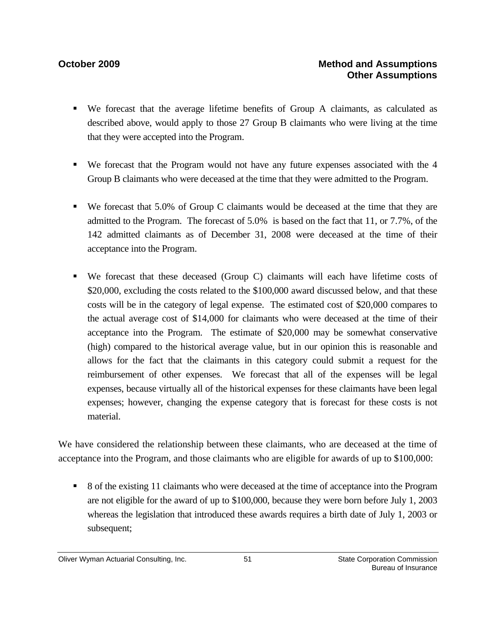- We forecast that the average lifetime benefits of Group A claimants, as calculated as described above, would apply to those 27 Group B claimants who were living at the time that they were accepted into the Program.
- We forecast that the Program would not have any future expenses associated with the 4 Group B claimants who were deceased at the time that they were admitted to the Program.
- We forecast that 5.0% of Group C claimants would be deceased at the time that they are admitted to the Program. The forecast of 5.0% is based on the fact that 11, or 7.7%, of the 142 admitted claimants as of December 31, 2008 were deceased at the time of their acceptance into the Program.
- We forecast that these deceased (Group C) claimants will each have lifetime costs of \$20,000, excluding the costs related to the \$100,000 award discussed below, and that these costs will be in the category of legal expense. The estimated cost of \$20,000 compares to the actual average cost of \$14,000 for claimants who were deceased at the time of their acceptance into the Program. The estimate of \$20,000 may be somewhat conservative (high) compared to the historical average value, but in our opinion this is reasonable and allows for the fact that the claimants in this category could submit a request for the reimbursement of other expenses. We forecast that all of the expenses will be legal expenses, because virtually all of the historical expenses for these claimants have been legal expenses; however, changing the expense category that is forecast for these costs is not material.

We have considered the relationship between these claimants, who are deceased at the time of acceptance into the Program, and those claimants who are eligible for awards of up to \$100,000:

 8 of the existing 11 claimants who were deceased at the time of acceptance into the Program are not eligible for the award of up to \$100,000, because they were born before July 1, 2003 whereas the legislation that introduced these awards requires a birth date of July 1, 2003 or subsequent;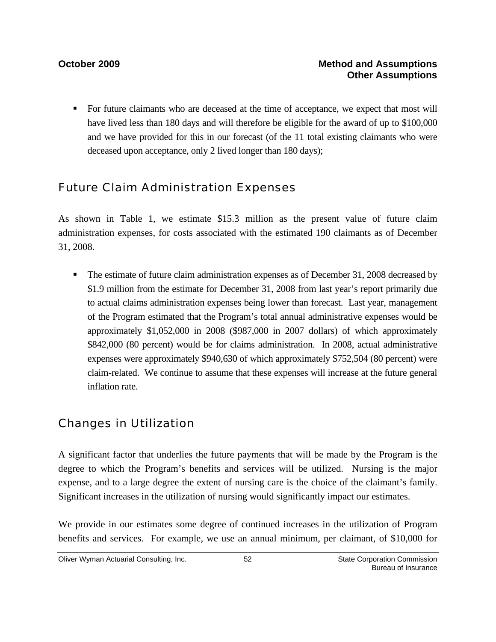For future claimants who are deceased at the time of acceptance, we expect that most will have lived less than 180 days and will therefore be eligible for the award of up to \$100,000 and we have provided for this in our forecast (of the 11 total existing claimants who were deceased upon acceptance, only 2 lived longer than 180 days);

## Future Claim Administration Expenses

As shown in Table 1, we estimate \$15.3 million as the present value of future claim administration expenses, for costs associated with the estimated 190 claimants as of December 31, 2008.

The estimate of future claim administration expenses as of December 31, 2008 decreased by \$1.9 million from the estimate for December 31, 2008 from last year's report primarily due to actual claims administration expenses being lower than forecast. Last year, management of the Program estimated that the Program's total annual administrative expenses would be approximately \$1,052,000 in 2008 (\$987,000 in 2007 dollars) of which approximately \$842,000 (80 percent) would be for claims administration. In 2008, actual administrative expenses were approximately \$940,630 of which approximately \$752,504 (80 percent) were claim-related. We continue to assume that these expenses will increase at the future general inflation rate.

## Changes in Utilization

A significant factor that underlies the future payments that will be made by the Program is the degree to which the Program's benefits and services will be utilized. Nursing is the major expense, and to a large degree the extent of nursing care is the choice of the claimant's family. Significant increases in the utilization of nursing would significantly impact our estimates.

We provide in our estimates some degree of continued increases in the utilization of Program benefits and services. For example, we use an annual minimum, per claimant, of \$10,000 for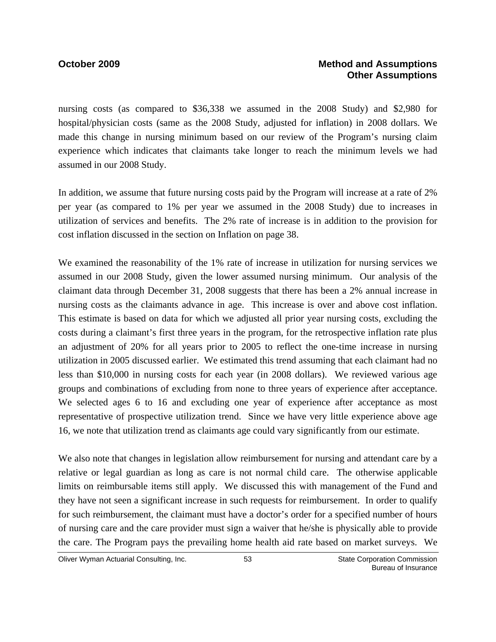nursing costs (as compared to \$36,338 we assumed in the 2008 Study) and \$2,980 for hospital/physician costs (same as the 2008 Study, adjusted for inflation) in 2008 dollars. We made this change in nursing minimum based on our review of the Program's nursing claim experience which indicates that claimants take longer to reach the minimum levels we had assumed in our 2008 Study.

In addition, we assume that future nursing costs paid by the Program will increase at a rate of 2% per year (as compared to 1% per year we assumed in the 2008 Study) due to increases in utilization of services and benefits. The 2% rate of increase is in addition to the provision for cost inflation discussed in the section on Inflation on page 38.

We examined the reasonability of the 1% rate of increase in utilization for nursing services we assumed in our 2008 Study, given the lower assumed nursing minimum. Our analysis of the claimant data through December 31, 2008 suggests that there has been a 2% annual increase in nursing costs as the claimants advance in age. This increase is over and above cost inflation. This estimate is based on data for which we adjusted all prior year nursing costs, excluding the costs during a claimant's first three years in the program, for the retrospective inflation rate plus an adjustment of 20% for all years prior to 2005 to reflect the one-time increase in nursing utilization in 2005 discussed earlier. We estimated this trend assuming that each claimant had no less than \$10,000 in nursing costs for each year (in 2008 dollars). We reviewed various age groups and combinations of excluding from none to three years of experience after acceptance. We selected ages 6 to 16 and excluding one year of experience after acceptance as most representative of prospective utilization trend. Since we have very little experience above age 16, we note that utilization trend as claimants age could vary significantly from our estimate.

We also note that changes in legislation allow reimbursement for nursing and attendant care by a relative or legal guardian as long as care is not normal child care. The otherwise applicable limits on reimbursable items still apply. We discussed this with management of the Fund and they have not seen a significant increase in such requests for reimbursement. In order to qualify for such reimbursement, the claimant must have a doctor's order for a specified number of hours of nursing care and the care provider must sign a waiver that he/she is physically able to provide the care. The Program pays the prevailing home health aid rate based on market surveys. We

Oliver Wyman Actuarial Consulting, Inc.  $\qquad \qquad$  53 State Corporation Commission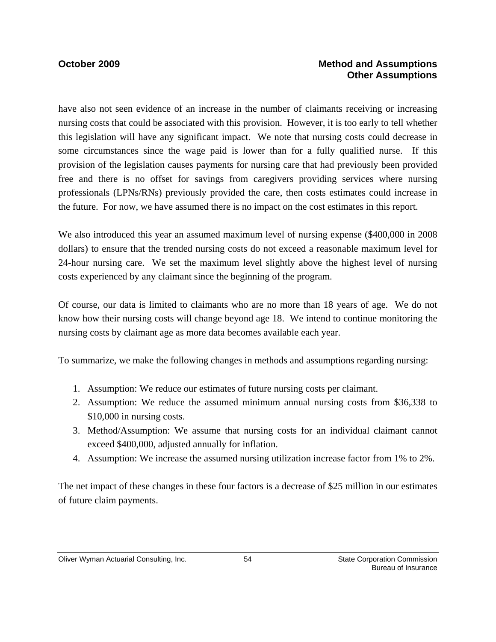### **October 2009 Method and Assumptions Other Assumptions**

have also not seen evidence of an increase in the number of claimants receiving or increasing nursing costs that could be associated with this provision. However, it is too early to tell whether this legislation will have any significant impact. We note that nursing costs could decrease in some circumstances since the wage paid is lower than for a fully qualified nurse. If this provision of the legislation causes payments for nursing care that had previously been provided free and there is no offset for savings from caregivers providing services where nursing professionals (LPNs/RNs) previously provided the care, then costs estimates could increase in the future. For now, we have assumed there is no impact on the cost estimates in this report.

We also introduced this year an assumed maximum level of nursing expense (\$400,000 in 2008 dollars) to ensure that the trended nursing costs do not exceed a reasonable maximum level for 24-hour nursing care. We set the maximum level slightly above the highest level of nursing costs experienced by any claimant since the beginning of the program.

Of course, our data is limited to claimants who are no more than 18 years of age. We do not know how their nursing costs will change beyond age 18. We intend to continue monitoring the nursing costs by claimant age as more data becomes available each year.

To summarize, we make the following changes in methods and assumptions regarding nursing:

- 1. Assumption: We reduce our estimates of future nursing costs per claimant.
- 2. Assumption: We reduce the assumed minimum annual nursing costs from \$36,338 to \$10,000 in nursing costs.
- 3. Method/Assumption: We assume that nursing costs for an individual claimant cannot exceed \$400,000, adjusted annually for inflation.
- 4. Assumption: We increase the assumed nursing utilization increase factor from 1% to 2%.

The net impact of these changes in these four factors is a decrease of \$25 million in our estimates of future claim payments.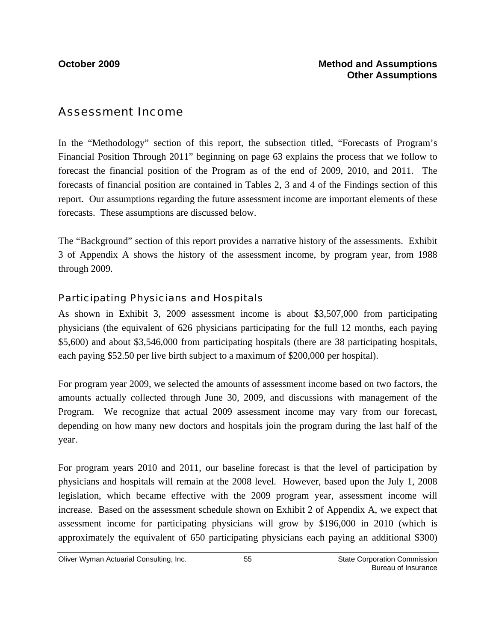### Assessment Income

In the "Methodology" section of this report, the subsection titled, "Forecasts of Program's Financial Position Through 2011" beginning on page 63 explains the process that we follow to forecast the financial position of the Program as of the end of 2009, 2010, and 2011. The forecasts of financial position are contained in Tables 2, 3 and 4 of the Findings section of this report. Our assumptions regarding the future assessment income are important elements of these forecasts. These assumptions are discussed below.

The "Background" section of this report provides a narrative history of the assessments. Exhibit 3 of Appendix A shows the history of the assessment income, by program year, from 1988 through 2009.

### *Participating Physicians and Hospitals*

As shown in Exhibit 3, 2009 assessment income is about \$3,507,000 from participating physicians (the equivalent of 626 physicians participating for the full 12 months, each paying \$5,600) and about \$3,546,000 from participating hospitals (there are 38 participating hospitals, each paying \$52.50 per live birth subject to a maximum of \$200,000 per hospital).

For program year 2009, we selected the amounts of assessment income based on two factors, the amounts actually collected through June 30, 2009, and discussions with management of the Program. We recognize that actual 2009 assessment income may vary from our forecast, depending on how many new doctors and hospitals join the program during the last half of the year.

For program years 2010 and 2011, our baseline forecast is that the level of participation by physicians and hospitals will remain at the 2008 level. However, based upon the July 1, 2008 legislation, which became effective with the 2009 program year, assessment income will increase. Based on the assessment schedule shown on Exhibit 2 of Appendix A, we expect that assessment income for participating physicians will grow by \$196,000 in 2010 (which is approximately the equivalent of 650 participating physicians each paying an additional \$300)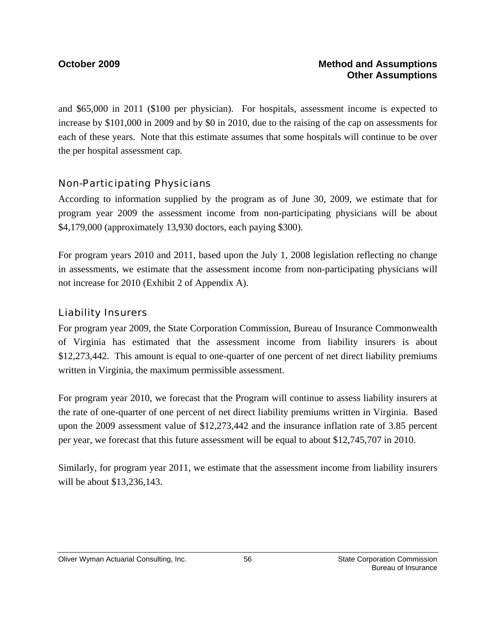and \$65,000 in 2011 (\$100 per physician). For hospitals, assessment income is expected to increase by \$101,000 in 2009 and by \$0 in 2010, due to the raising of the cap on assessments for each of these years. Note that this estimate assumes that some hospitals will continue to be over the per hospital assessment cap.

### *Non-Participating Physicians*

According to information supplied by the program as of June 30, 2009, we estimate that for program year 2009 the assessment income from non-participating physicians will be about \$4,179,000 (approximately 13,930 doctors, each paying \$300).

For program years 2010 and 2011, based upon the July 1, 2008 legislation reflecting no change in assessments, we estimate that the assessment income from non-participating physicians will not increase for 2010 (Exhibit 2 of Appendix A).

### *Liability Insurers*

For program year 2009, the State Corporation Commission, Bureau of Insurance Commonwealth of Virginia has estimated that the assessment income from liability insurers is about \$12,273,442. This amount is equal to one-quarter of one percent of net direct liability premiums written in Virginia, the maximum permissible assessment.

For program year 2010, we forecast that the Program will continue to assess liability insurers at the rate of one-quarter of one percent of net direct liability premiums written in Virginia. Based upon the 2009 assessment value of \$12,273,442 and the insurance inflation rate of 3.85 percent per year, we forecast that this future assessment will be equal to about \$12,745,707 in 2010.

Similarly, for program year 2011, we estimate that the assessment income from liability insurers will be about \$13,236,143.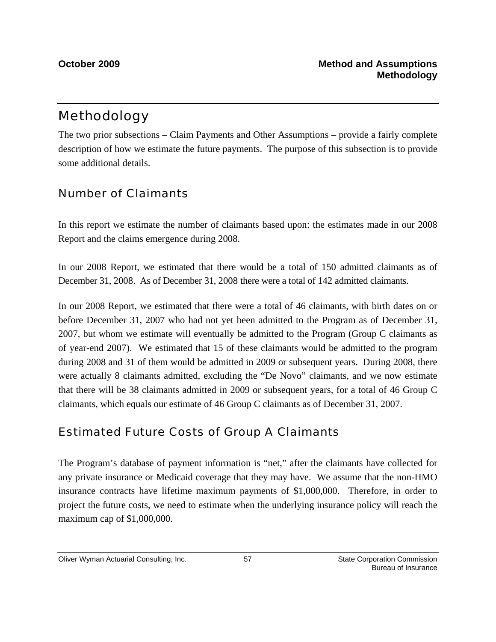## Methodology

The two prior subsections – Claim Payments and Other Assumptions – provide a fairly complete description of how we estimate the future payments. The purpose of this subsection is to provide some additional details.

### Number of Claimants

In this report we estimate the number of claimants based upon: the estimates made in our 2008 Report and the claims emergence during 2008.

In our 2008 Report, we estimated that there would be a total of 150 admitted claimants as of December 31, 2008. As of December 31, 2008 there were a total of 142 admitted claimants.

In our 2008 Report, we estimated that there were a total of 46 claimants, with birth dates on or before December 31, 2007 who had not yet been admitted to the Program as of December 31, 2007, but whom we estimate will eventually be admitted to the Program (Group C claimants as of year-end 2007). We estimated that 15 of these claimants would be admitted to the program during 2008 and 31 of them would be admitted in 2009 or subsequent years. During 2008, there were actually 8 claimants admitted, excluding the "De Novo" claimants, and we now estimate that there will be 38 claimants admitted in 2009 or subsequent years, for a total of 46 Group C claimants, which equals our estimate of 46 Group C claimants as of December 31, 2007.

## Estimated Future Costs of Group A Claimants

The Program's database of payment information is "net," after the claimants have collected for any private insurance or Medicaid coverage that they may have. We assume that the non-HMO insurance contracts have lifetime maximum payments of \$1,000,000. Therefore, in order to project the future costs, we need to estimate when the underlying insurance policy will reach the maximum cap of \$1,000,000.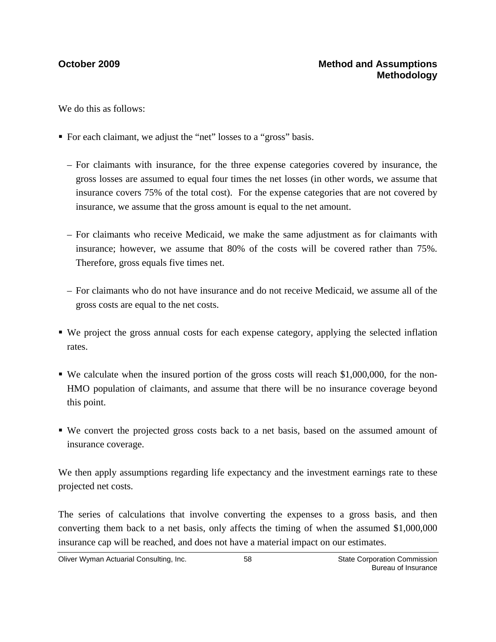We do this as follows:

- For each claimant, we adjust the "net" losses to a "gross" basis.
	- For claimants with insurance, for the three expense categories covered by insurance, the gross losses are assumed to equal four times the net losses (in other words, we assume that insurance covers 75% of the total cost). For the expense categories that are not covered by insurance, we assume that the gross amount is equal to the net amount.
	- For claimants who receive Medicaid, we make the same adjustment as for claimants with insurance; however, we assume that 80% of the costs will be covered rather than 75%. Therefore, gross equals five times net.
	- For claimants who do not have insurance and do not receive Medicaid, we assume all of the gross costs are equal to the net costs.
- We project the gross annual costs for each expense category, applying the selected inflation rates.
- We calculate when the insured portion of the gross costs will reach \$1,000,000, for the non-HMO population of claimants, and assume that there will be no insurance coverage beyond this point.
- We convert the projected gross costs back to a net basis, based on the assumed amount of insurance coverage.

We then apply assumptions regarding life expectancy and the investment earnings rate to these projected net costs.

The series of calculations that involve converting the expenses to a gross basis, and then converting them back to a net basis, only affects the timing of when the assumed \$1,000,000 insurance cap will be reached, and does not have a material impact on our estimates.

Oliver Wyman Actuarial Consulting, Inc.  $\overline{58}$  58 State Corporation Commission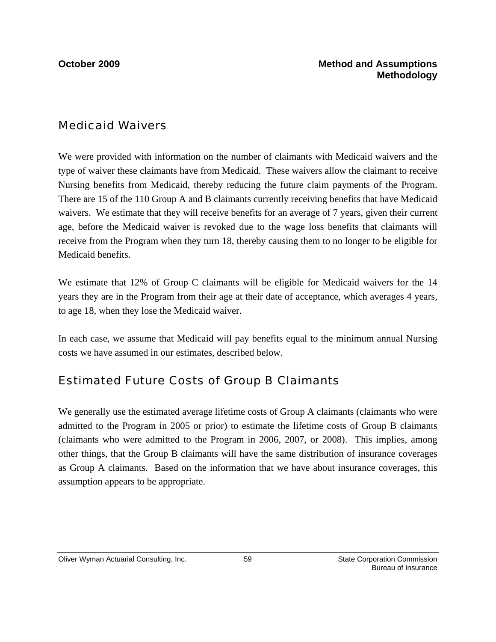### Medicaid Waivers

We were provided with information on the number of claimants with Medicaid waivers and the type of waiver these claimants have from Medicaid. These waivers allow the claimant to receive Nursing benefits from Medicaid, thereby reducing the future claim payments of the Program. There are 15 of the 110 Group A and B claimants currently receiving benefits that have Medicaid waivers. We estimate that they will receive benefits for an average of 7 years, given their current age, before the Medicaid waiver is revoked due to the wage loss benefits that claimants will receive from the Program when they turn 18, thereby causing them to no longer to be eligible for Medicaid benefits.

We estimate that 12% of Group C claimants will be eligible for Medicaid waivers for the 14 years they are in the Program from their age at their date of acceptance, which averages 4 years, to age 18, when they lose the Medicaid waiver.

In each case, we assume that Medicaid will pay benefits equal to the minimum annual Nursing costs we have assumed in our estimates, described below.

### Estimated Future Costs of Group B Claimants

We generally use the estimated average lifetime costs of Group A claimants (claimants who were admitted to the Program in 2005 or prior) to estimate the lifetime costs of Group B claimants (claimants who were admitted to the Program in 2006, 2007, or 2008). This implies, among other things, that the Group B claimants will have the same distribution of insurance coverages as Group A claimants. Based on the information that we have about insurance coverages, this assumption appears to be appropriate.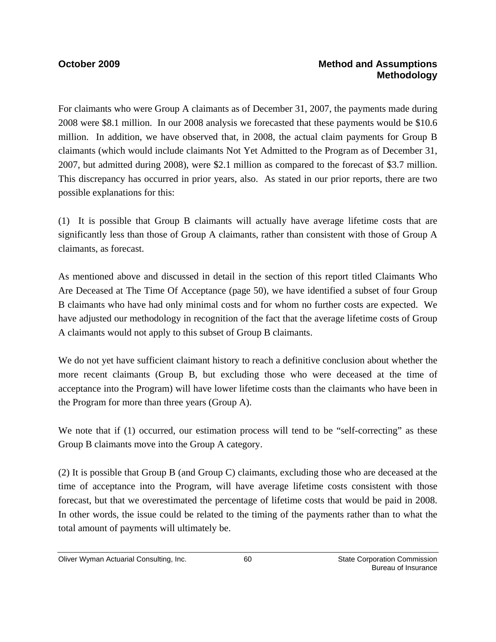### **October 2009 Method and Assumptions Methodology**

For claimants who were Group A claimants as of December 31, 2007, the payments made during 2008 were \$8.1 million. In our 2008 analysis we forecasted that these payments would be \$10.6 million. In addition, we have observed that, in 2008, the actual claim payments for Group B claimants (which would include claimants Not Yet Admitted to the Program as of December 31, 2007, but admitted during 2008), were \$2.1 million as compared to the forecast of \$3.7 million. This discrepancy has occurred in prior years, also. As stated in our prior reports, there are two possible explanations for this:

(1) It is possible that Group B claimants will actually have average lifetime costs that are significantly less than those of Group A claimants, rather than consistent with those of Group A claimants, as forecast.

As mentioned above and discussed in detail in the section of this report titled Claimants Who Are Deceased at The Time Of Acceptance (page 50), we have identified a subset of four Group B claimants who have had only minimal costs and for whom no further costs are expected. We have adjusted our methodology in recognition of the fact that the average lifetime costs of Group A claimants would not apply to this subset of Group B claimants.

We do not yet have sufficient claimant history to reach a definitive conclusion about whether the more recent claimants (Group B, but excluding those who were deceased at the time of acceptance into the Program) will have lower lifetime costs than the claimants who have been in the Program for more than three years (Group A).

We note that if (1) occurred, our estimation process will tend to be "self-correcting" as these Group B claimants move into the Group A category.

(2) It is possible that Group B (and Group C) claimants, excluding those who are deceased at the time of acceptance into the Program, will have average lifetime costs consistent with those forecast, but that we overestimated the percentage of lifetime costs that would be paid in 2008. In other words, the issue could be related to the timing of the payments rather than to what the total amount of payments will ultimately be.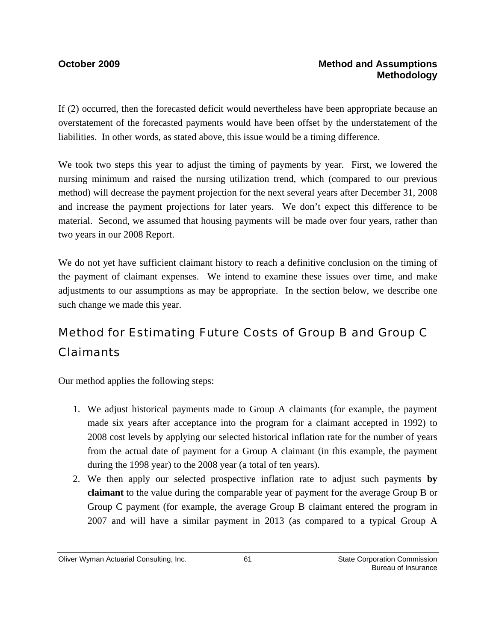If (2) occurred, then the forecasted deficit would nevertheless have been appropriate because an overstatement of the forecasted payments would have been offset by the understatement of the liabilities. In other words, as stated above, this issue would be a timing difference.

We took two steps this year to adjust the timing of payments by year. First, we lowered the nursing minimum and raised the nursing utilization trend, which (compared to our previous method) will decrease the payment projection for the next several years after December 31, 2008 and increase the payment projections for later years. We don't expect this difference to be material. Second, we assumed that housing payments will be made over four years, rather than two years in our 2008 Report.

We do not yet have sufficient claimant history to reach a definitive conclusion on the timing of the payment of claimant expenses. We intend to examine these issues over time, and make adjustments to our assumptions as may be appropriate. In the section below, we describe one such change we made this year.

# Method for Estimating Future Costs of Group B and Group C Claimants

Our method applies the following steps:

- 1. We adjust historical payments made to Group A claimants (for example, the payment made six years after acceptance into the program for a claimant accepted in 1992) to 2008 cost levels by applying our selected historical inflation rate for the number of years from the actual date of payment for a Group A claimant (in this example, the payment during the 1998 year) to the 2008 year (a total of ten years).
- 2. We then apply our selected prospective inflation rate to adjust such payments **by claimant** to the value during the comparable year of payment for the average Group B or Group C payment (for example, the average Group B claimant entered the program in 2007 and will have a similar payment in 2013 (as compared to a typical Group A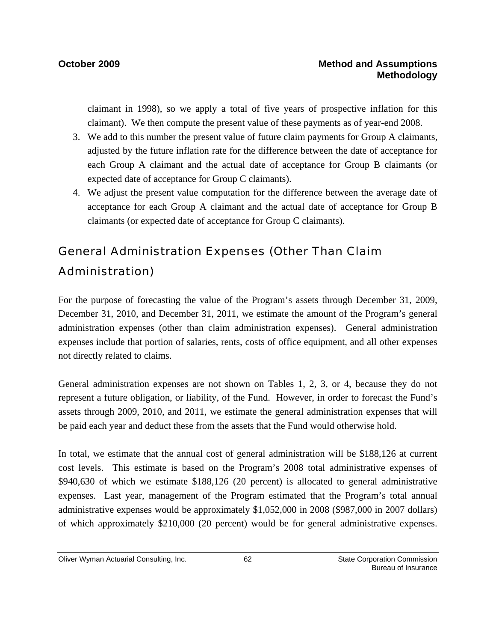claimant in 1998), so we apply a total of five years of prospective inflation for this claimant). We then compute the present value of these payments as of year-end 2008.

- 3. We add to this number the present value of future claim payments for Group A claimants, adjusted by the future inflation rate for the difference between the date of acceptance for each Group A claimant and the actual date of acceptance for Group B claimants (or expected date of acceptance for Group C claimants).
- 4. We adjust the present value computation for the difference between the average date of acceptance for each Group A claimant and the actual date of acceptance for Group B claimants (or expected date of acceptance for Group C claimants).

# General Administration Expenses (Other Than Claim Administration)

For the purpose of forecasting the value of the Program's assets through December 31, 2009, December 31, 2010, and December 31, 2011, we estimate the amount of the Program's general administration expenses (other than claim administration expenses). General administration expenses include that portion of salaries, rents, costs of office equipment, and all other expenses not directly related to claims.

General administration expenses are not shown on Tables 1, 2, 3, or 4, because they do not represent a future obligation, or liability, of the Fund. However, in order to forecast the Fund's assets through 2009, 2010, and 2011, we estimate the general administration expenses that will be paid each year and deduct these from the assets that the Fund would otherwise hold.

In total, we estimate that the annual cost of general administration will be \$188,126 at current cost levels. This estimate is based on the Program's 2008 total administrative expenses of \$940,630 of which we estimate \$188,126 (20 percent) is allocated to general administrative expenses. Last year, management of the Program estimated that the Program's total annual administrative expenses would be approximately \$1,052,000 in 2008 (\$987,000 in 2007 dollars) of which approximately \$210,000 (20 percent) would be for general administrative expenses.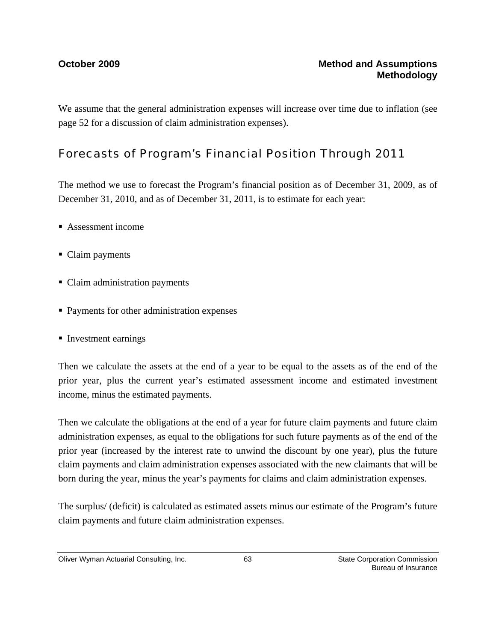We assume that the general administration expenses will increase over time due to inflation (see page 52 for a discussion of claim administration expenses).

## Forecasts of Program's Financial Position Through 2011

The method we use to forecast the Program's financial position as of December 31, 2009, as of December 31, 2010, and as of December 31, 2011, is to estimate for each year:

- Assessment income
- Claim payments
- Claim administration payments
- **Payments for other administration expenses**
- **Investment earnings**

Then we calculate the assets at the end of a year to be equal to the assets as of the end of the prior year, plus the current year's estimated assessment income and estimated investment income, minus the estimated payments.

Then we calculate the obligations at the end of a year for future claim payments and future claim administration expenses, as equal to the obligations for such future payments as of the end of the prior year (increased by the interest rate to unwind the discount by one year), plus the future claim payments and claim administration expenses associated with the new claimants that will be born during the year, minus the year's payments for claims and claim administration expenses.

The surplus/ (deficit) is calculated as estimated assets minus our estimate of the Program's future claim payments and future claim administration expenses.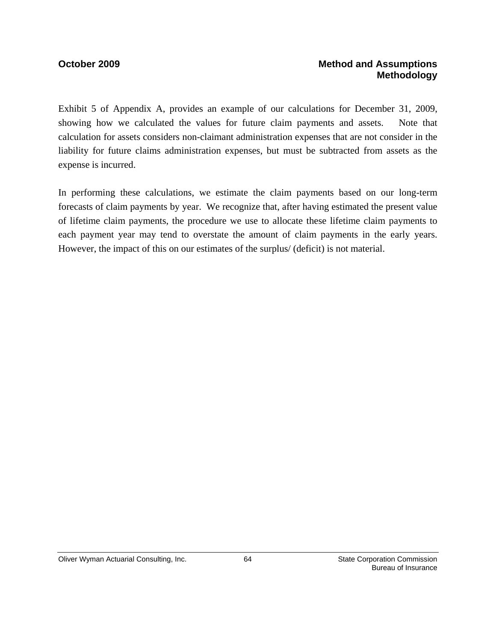### **October 2009 Method and Assumptions Methodology**

Exhibit 5 of Appendix A, provides an example of our calculations for December 31, 2009, showing how we calculated the values for future claim payments and assets. Note that calculation for assets considers non-claimant administration expenses that are not consider in the liability for future claims administration expenses, but must be subtracted from assets as the expense is incurred.

In performing these calculations, we estimate the claim payments based on our long-term forecasts of claim payments by year. We recognize that, after having estimated the present value of lifetime claim payments, the procedure we use to allocate these lifetime claim payments to each payment year may tend to overstate the amount of claim payments in the early years. However, the impact of this on our estimates of the surplus/ (deficit) is not material.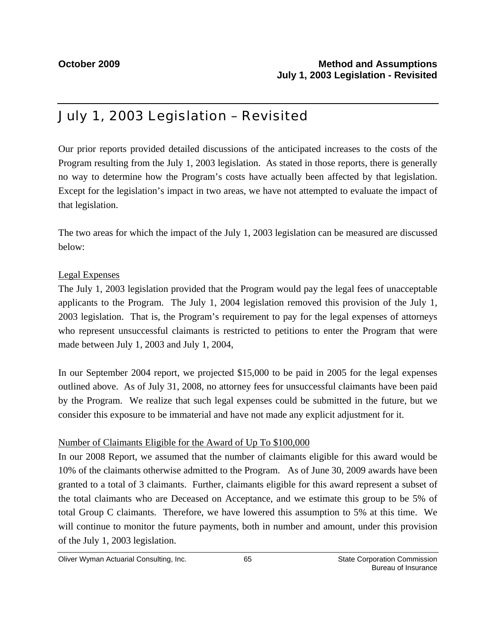# July 1, 2003 Legislation – Revisited

Our prior reports provided detailed discussions of the anticipated increases to the costs of the Program resulting from the July 1, 2003 legislation. As stated in those reports, there is generally no way to determine how the Program's costs have actually been affected by that legislation. Except for the legislation's impact in two areas, we have not attempted to evaluate the impact of that legislation.

The two areas for which the impact of the July 1, 2003 legislation can be measured are discussed below:

### Legal Expenses

The July 1, 2003 legislation provided that the Program would pay the legal fees of unacceptable applicants to the Program. The July 1, 2004 legislation removed this provision of the July 1, 2003 legislation. That is, the Program's requirement to pay for the legal expenses of attorneys who represent unsuccessful claimants is restricted to petitions to enter the Program that were made between July 1, 2003 and July 1, 2004,

In our September 2004 report, we projected \$15,000 to be paid in 2005 for the legal expenses outlined above. As of July 31, 2008, no attorney fees for unsuccessful claimants have been paid by the Program. We realize that such legal expenses could be submitted in the future, but we consider this exposure to be immaterial and have not made any explicit adjustment for it.

### Number of Claimants Eligible for the Award of Up To \$100,000

In our 2008 Report, we assumed that the number of claimants eligible for this award would be 10% of the claimants otherwise admitted to the Program. As of June 30, 2009 awards have been granted to a total of 3 claimants. Further, claimants eligible for this award represent a subset of the total claimants who are Deceased on Acceptance, and we estimate this group to be 5% of total Group C claimants. Therefore, we have lowered this assumption to 5% at this time. We will continue to monitor the future payments, both in number and amount, under this provision of the July 1, 2003 legislation.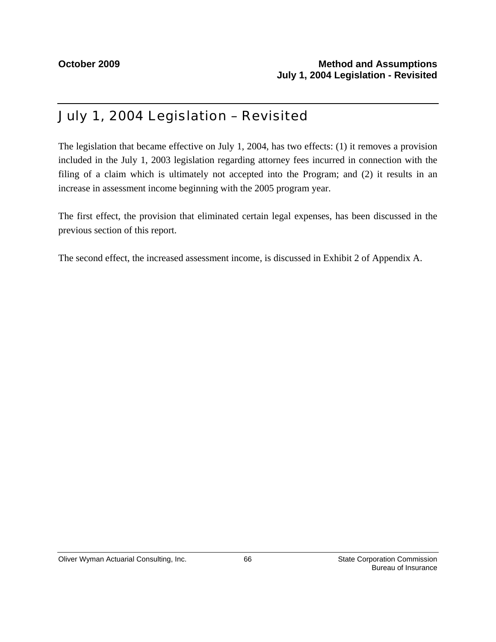# July 1, 2004 Legislation – Revisited

The legislation that became effective on July 1, 2004, has two effects: (1) it removes a provision included in the July 1, 2003 legislation regarding attorney fees incurred in connection with the filing of a claim which is ultimately not accepted into the Program; and (2) it results in an increase in assessment income beginning with the 2005 program year.

The first effect, the provision that eliminated certain legal expenses, has been discussed in the previous section of this report.

The second effect, the increased assessment income, is discussed in Exhibit 2 of Appendix A.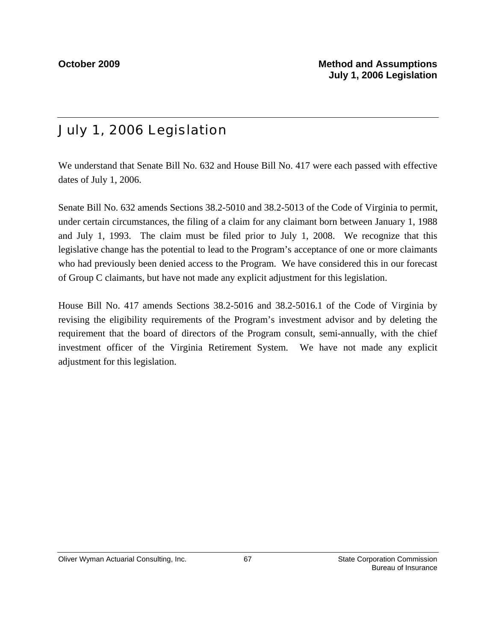# July 1, 2006 Legislation

We understand that Senate Bill No. 632 and House Bill No. 417 were each passed with effective dates of July 1, 2006.

Senate Bill No. 632 amends Sections 38.2-5010 and 38.2-5013 of the Code of Virginia to permit, under certain circumstances, the filing of a claim for any claimant born between January 1, 1988 and July 1, 1993. The claim must be filed prior to July 1, 2008. We recognize that this legislative change has the potential to lead to the Program's acceptance of one or more claimants who had previously been denied access to the Program. We have considered this in our forecast of Group C claimants, but have not made any explicit adjustment for this legislation.

House Bill No. 417 amends Sections 38.2-5016 and 38.2-5016.1 of the Code of Virginia by revising the eligibility requirements of the Program's investment advisor and by deleting the requirement that the board of directors of the Program consult, semi-annually, with the chief investment officer of the Virginia Retirement System. We have not made any explicit adjustment for this legislation.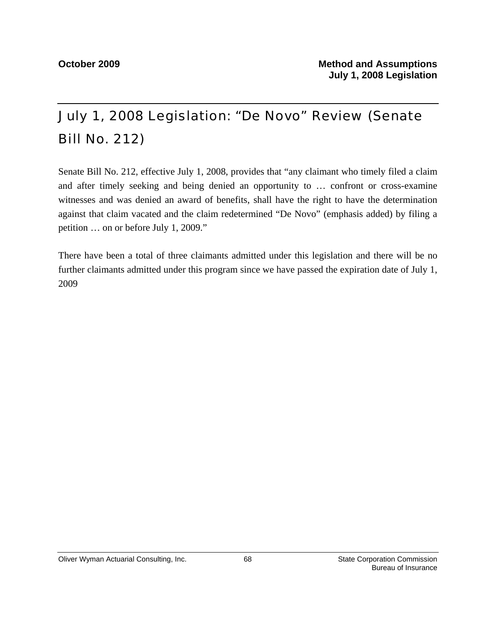# July 1, 2008 Legislation: "De Novo" Review (Senate Bill No. 212)

Senate Bill No. 212, effective July 1, 2008, provides that "any claimant who timely filed a claim and after timely seeking and being denied an opportunity to … confront or cross-examine witnesses and was denied an award of benefits, shall have the right to have the determination against that claim vacated and the claim redetermined "De Novo" (emphasis added) by filing a petition … on or before July 1, 2009."

There have been a total of three claimants admitted under this legislation and there will be no further claimants admitted under this program since we have passed the expiration date of July 1, 2009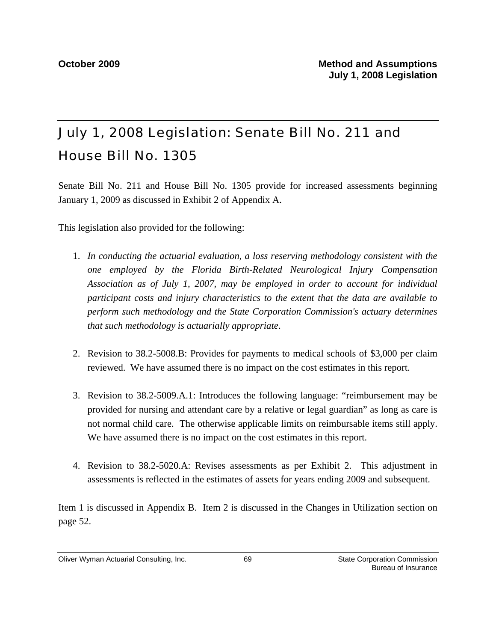# July 1, 2008 Legislation: Senate Bill No. 211 and House Bill No. 1305

Senate Bill No. 211 and House Bill No. 1305 provide for increased assessments beginning January 1, 2009 as discussed in Exhibit 2 of Appendix A.

This legislation also provided for the following:

- 1. *In conducting the actuarial evaluation, a loss reserving methodology consistent with the one employed by the Florida Birth-Related Neurological Injury Compensation Association as of July 1, 2007, may be employed in order to account for individual participant costs and injury characteristics to the extent that the data are available to perform such methodology and the State Corporation Commission's actuary determines that such methodology is actuarially appropriate*.
- 2. Revision to 38.2-5008.B: Provides for payments to medical schools of \$3,000 per claim reviewed. We have assumed there is no impact on the cost estimates in this report.
- 3. Revision to 38.2-5009.A.1: Introduces the following language: "reimbursement may be provided for nursing and attendant care by a relative or legal guardian" as long as care is not normal child care. The otherwise applicable limits on reimbursable items still apply. We have assumed there is no impact on the cost estimates in this report.
- 4. Revision to 38.2-5020.A: Revises assessments as per Exhibit 2. This adjustment in assessments is reflected in the estimates of assets for years ending 2009 and subsequent.

Item 1 is discussed in Appendix B. Item 2 is discussed in the Changes in Utilization section on page 52.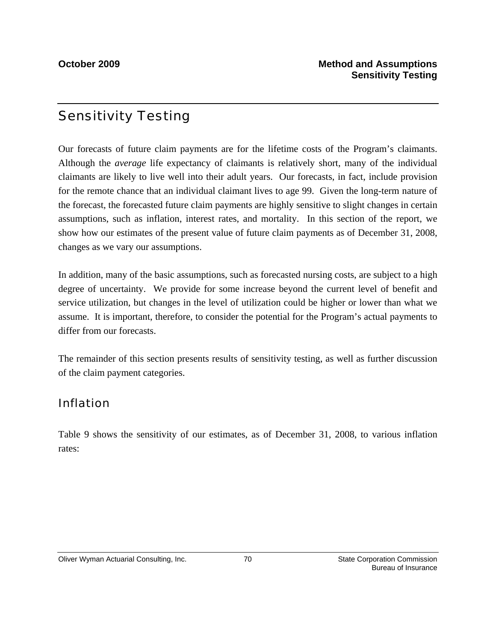## Sensitivity Testing

Our forecasts of future claim payments are for the lifetime costs of the Program's claimants. Although the *average* life expectancy of claimants is relatively short, many of the individual claimants are likely to live well into their adult years. Our forecasts, in fact, include provision for the remote chance that an individual claimant lives to age 99. Given the long-term nature of the forecast, the forecasted future claim payments are highly sensitive to slight changes in certain assumptions, such as inflation, interest rates, and mortality. In this section of the report, we show how our estimates of the present value of future claim payments as of December 31, 2008, changes as we vary our assumptions.

In addition, many of the basic assumptions, such as forecasted nursing costs, are subject to a high degree of uncertainty. We provide for some increase beyond the current level of benefit and service utilization, but changes in the level of utilization could be higher or lower than what we assume. It is important, therefore, to consider the potential for the Program's actual payments to differ from our forecasts.

The remainder of this section presents results of sensitivity testing, as well as further discussion of the claim payment categories.

## Inflation

Table 9 shows the sensitivity of our estimates, as of December 31, 2008, to various inflation rates: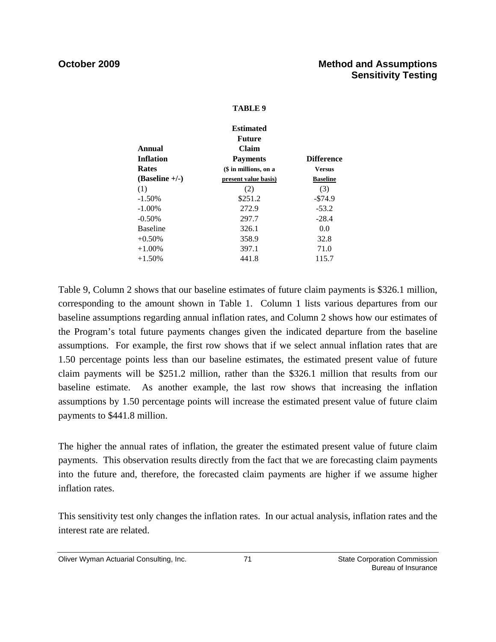### **TABLE 9**

|                  | <b>Estimated</b>      |                   |
|------------------|-----------------------|-------------------|
|                  | <b>Future</b>         |                   |
| Annual           | <b>Claim</b>          |                   |
| <b>Inflation</b> | <b>Payments</b>       | <b>Difference</b> |
| <b>Rates</b>     | (\$ in millions, on a | Versus            |
| $(Baseline +/-)$ | present value basis)  | <b>Baseline</b>   |
| (1)              | (2)                   | (3)               |
| $-1.50%$         | \$251.2               | $-574.9$          |
| $-1.00\%$        | 272.9                 | $-53.2$           |
| $-0.50%$         | 297.7                 | $-28.4$           |
| <b>Baseline</b>  | 326.1                 | 0.0               |
| $+0.50\%$        | 358.9                 | 32.8              |
| $+1.00\%$        | 397.1                 | 71.0              |
| $+1.50%$         | 441.8                 | 115.7             |
|                  |                       |                   |

Table 9, Column 2 shows that our baseline estimates of future claim payments is \$326.1 million, corresponding to the amount shown in Table 1. Column 1 lists various departures from our baseline assumptions regarding annual inflation rates, and Column 2 shows how our estimates of the Program's total future payments changes given the indicated departure from the baseline assumptions. For example, the first row shows that if we select annual inflation rates that are 1.50 percentage points less than our baseline estimates, the estimated present value of future claim payments will be \$251.2 million, rather than the \$326.1 million that results from our baseline estimate. As another example, the last row shows that increasing the inflation assumptions by 1.50 percentage points will increase the estimated present value of future claim payments to \$441.8 million.

The higher the annual rates of inflation, the greater the estimated present value of future claim payments. This observation results directly from the fact that we are forecasting claim payments into the future and, therefore, the forecasted claim payments are higher if we assume higher inflation rates.

This sensitivity test only changes the inflation rates. In our actual analysis, inflation rates and the interest rate are related.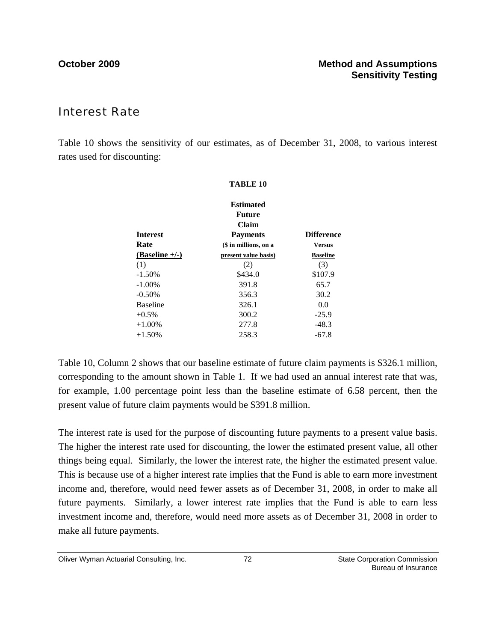## Interest Rate

Table 10 shows the sensitivity of our estimates, as of December 31, 2008, to various interest rates used for discounting:

**TABLE 10**

|                  | <b>Estimated</b><br><b>Future</b> |                   |
|------------------|-----------------------------------|-------------------|
| <b>Interest</b>  | <b>Claim</b><br><b>Payments</b>   | <b>Difference</b> |
| Rate             | (\$ in millions, on a             | <b>Versus</b>     |
| $(Baseline +/-)$ | present value basis)              | <b>Baseline</b>   |
| (1)              | (2)                               | (3)               |
| $-1.50%$         | \$434.0                           | \$107.9           |
| $-1.00\%$        | 391.8                             | 65.7              |
| $-0.50%$         | 356.3                             | 30.2              |
| <b>Baseline</b>  | 326.1                             | 0.0               |
| $+0.5\%$         | 300.2                             | $-25.9$           |
| $+1.00\%$        | 277.8                             | $-48.3$           |
| $+1.50%$         | 258.3                             | -67.8             |
|                  |                                   |                   |

## Table 10, Column 2 shows that our baseline estimate of future claim payments is \$326.1 million, corresponding to the amount shown in Table 1. If we had used an annual interest rate that was, for example, 1.00 percentage point less than the baseline estimate of 6.58 percent, then the present value of future claim payments would be \$391.8 million.

The interest rate is used for the purpose of discounting future payments to a present value basis. The higher the interest rate used for discounting, the lower the estimated present value, all other things being equal. Similarly, the lower the interest rate, the higher the estimated present value. This is because use of a higher interest rate implies that the Fund is able to earn more investment income and, therefore, would need fewer assets as of December 31, 2008, in order to make all future payments. Similarly, a lower interest rate implies that the Fund is able to earn less investment income and, therefore, would need more assets as of December 31, 2008 in order to make all future payments.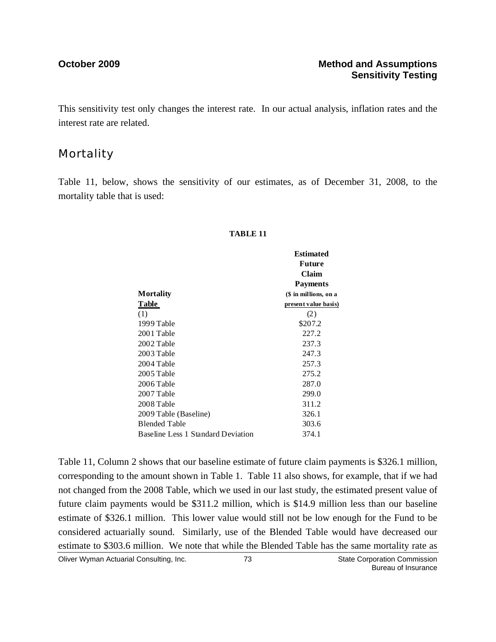This sensitivity test only changes the interest rate. In our actual analysis, inflation rates and the interest rate are related.

## **Mortality**

Table 11, below, shows the sensitivity of our estimates, as of December 31, 2008, to the mortality table that is used:

### **TABLE 11**

|                                    | <b>Estimated</b><br><b>Future</b><br>Claim |
|------------------------------------|--------------------------------------------|
|                                    | <b>Payments</b>                            |
| <b>Mortality</b>                   | (\$ in millions, on a                      |
| Table                              | present value basis)                       |
| (1)                                | (2)                                        |
| 1999 Table                         | \$207.2                                    |
| 2001 Table                         | 227.2                                      |
| 2002 Table                         | 237.3                                      |
| 2003 Table                         | 247.3                                      |
| 2004 Table                         | 257.3                                      |
| 2005 Table                         | 275.2                                      |
| 2006 Table                         | 287.0                                      |
| 2007 Table                         | 299.0                                      |
| 2008 Table                         | 311.2                                      |
| 2009 Table (Baseline)              | 326.1                                      |
| <b>Blended Table</b>               | 303.6                                      |
| Baseline Less 1 Standard Deviation | 374.1                                      |

Table 11, Column 2 shows that our baseline estimate of future claim payments is \$326.1 million, corresponding to the amount shown in Table 1. Table 11 also shows, for example, that if we had not changed from the 2008 Table, which we used in our last study, the estimated present value of future claim payments would be \$311.2 million, which is \$14.9 million less than our baseline estimate of \$326.1 million. This lower value would still not be low enough for the Fund to be considered actuarially sound. Similarly, use of the Blended Table would have decreased our estimate to \$303.6 million. We note that while the Blended Table has the same mortality rate as

Oliver Wyman Actuarial Consulting, Inc. The State Corporation Commission Commission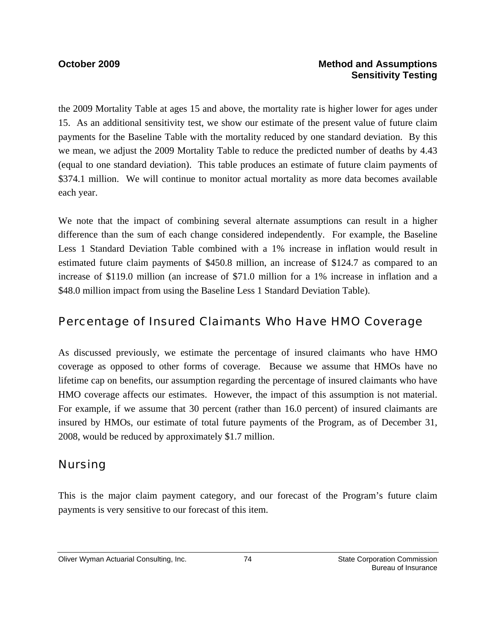### **October 2009 Method and Assumptions Sensitivity Testing**

the 2009 Mortality Table at ages 15 and above, the mortality rate is higher lower for ages under 15. As an additional sensitivity test, we show our estimate of the present value of future claim payments for the Baseline Table with the mortality reduced by one standard deviation. By this we mean, we adjust the 2009 Mortality Table to reduce the predicted number of deaths by 4.43 (equal to one standard deviation). This table produces an estimate of future claim payments of \$374.1 million. We will continue to monitor actual mortality as more data becomes available each year.

We note that the impact of combining several alternate assumptions can result in a higher difference than the sum of each change considered independently. For example, the Baseline Less 1 Standard Deviation Table combined with a 1% increase in inflation would result in estimated future claim payments of \$450.8 million, an increase of \$124.7 as compared to an increase of \$119.0 million (an increase of \$71.0 million for a 1% increase in inflation and a \$48.0 million impact from using the Baseline Less 1 Standard Deviation Table).

## Percentage of Insured Claimants Who Have HMO Coverage

As discussed previously, we estimate the percentage of insured claimants who have HMO coverage as opposed to other forms of coverage. Because we assume that HMOs have no lifetime cap on benefits, our assumption regarding the percentage of insured claimants who have HMO coverage affects our estimates. However, the impact of this assumption is not material. For example, if we assume that 30 percent (rather than 16.0 percent) of insured claimants are insured by HMOs, our estimate of total future payments of the Program, as of December 31, 2008, would be reduced by approximately \$1.7 million.

## Nursing

This is the major claim payment category, and our forecast of the Program's future claim payments is very sensitive to our forecast of this item.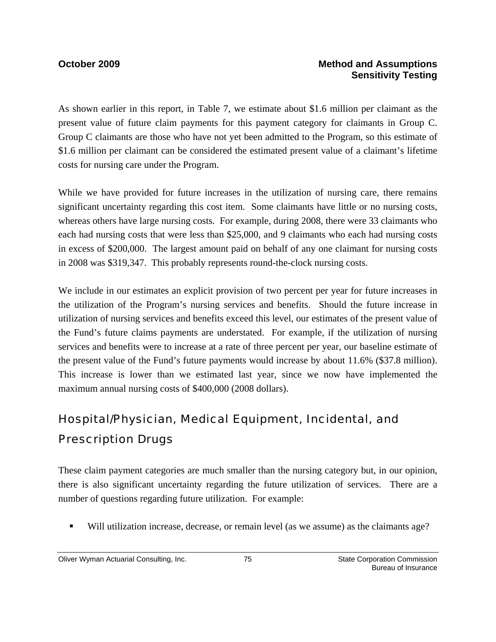### **October 2009 Method and Assumptions Sensitivity Testing**

As shown earlier in this report, in Table 7, we estimate about \$1.6 million per claimant as the present value of future claim payments for this payment category for claimants in Group C. Group C claimants are those who have not yet been admitted to the Program, so this estimate of \$1.6 million per claimant can be considered the estimated present value of a claimant's lifetime costs for nursing care under the Program.

While we have provided for future increases in the utilization of nursing care, there remains significant uncertainty regarding this cost item. Some claimants have little or no nursing costs, whereas others have large nursing costs. For example, during 2008, there were 33 claimants who each had nursing costs that were less than \$25,000, and 9 claimants who each had nursing costs in excess of \$200,000. The largest amount paid on behalf of any one claimant for nursing costs in 2008 was \$319,347. This probably represents round-the-clock nursing costs.

We include in our estimates an explicit provision of two percent per year for future increases in the utilization of the Program's nursing services and benefits. Should the future increase in utilization of nursing services and benefits exceed this level, our estimates of the present value of the Fund's future claims payments are understated. For example, if the utilization of nursing services and benefits were to increase at a rate of three percent per year, our baseline estimate of the present value of the Fund's future payments would increase by about 11.6% (\$37.8 million). This increase is lower than we estimated last year, since we now have implemented the maximum annual nursing costs of \$400,000 (2008 dollars).

## Hospital/Physician, Medical Equipment, Incidental, and Prescription Drugs

These claim payment categories are much smaller than the nursing category but, in our opinion, there is also significant uncertainty regarding the future utilization of services. There are a number of questions regarding future utilization. For example:

Will utilization increase, decrease, or remain level (as we assume) as the claimants age?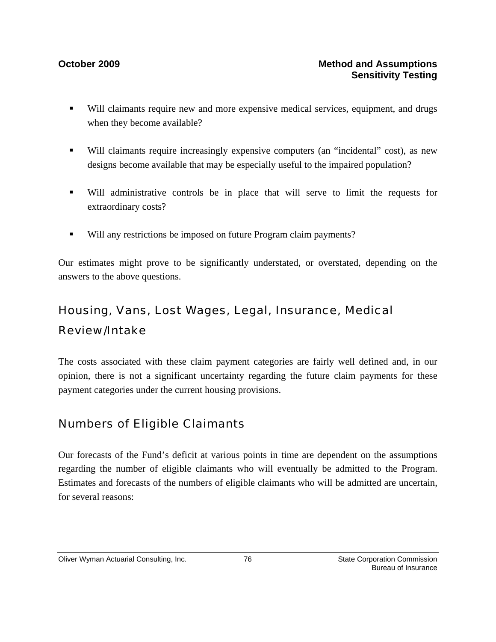- Will claimants require new and more expensive medical services, equipment, and drugs when they become available?
- Will claimants require increasingly expensive computers (an "incidental" cost), as new designs become available that may be especially useful to the impaired population?
- Will administrative controls be in place that will serve to limit the requests for extraordinary costs?
- Will any restrictions be imposed on future Program claim payments?

Our estimates might prove to be significantly understated, or overstated, depending on the answers to the above questions.

## Housing, Vans, Lost Wages, Legal, Insurance, Medical Review/Intake

The costs associated with these claim payment categories are fairly well defined and, in our opinion, there is not a significant uncertainty regarding the future claim payments for these payment categories under the current housing provisions.

## Numbers of Eligible Claimants

Our forecasts of the Fund's deficit at various points in time are dependent on the assumptions regarding the number of eligible claimants who will eventually be admitted to the Program. Estimates and forecasts of the numbers of eligible claimants who will be admitted are uncertain, for several reasons: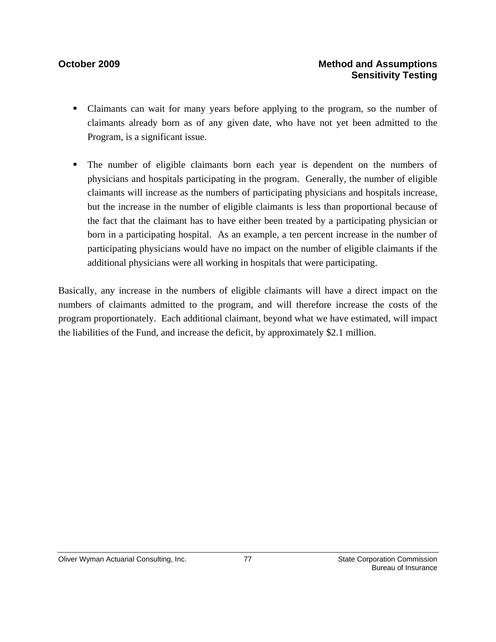- Claimants can wait for many years before applying to the program, so the number of claimants already born as of any given date, who have not yet been admitted to the Program, is a significant issue.
- The number of eligible claimants born each year is dependent on the numbers of physicians and hospitals participating in the program. Generally, the number of eligible claimants will increase as the numbers of participating physicians and hospitals increase, but the increase in the number of eligible claimants is less than proportional because of the fact that the claimant has to have either been treated by a participating physician or born in a participating hospital. As an example, a ten percent increase in the number of participating physicians would have no impact on the number of eligible claimants if the additional physicians were all working in hospitals that were participating.

Basically, any increase in the numbers of eligible claimants will have a direct impact on the numbers of claimants admitted to the program, and will therefore increase the costs of the program proportionately. Each additional claimant, beyond what we have estimated, will impact the liabilities of the Fund, and increase the deficit, by approximately \$2.1 million.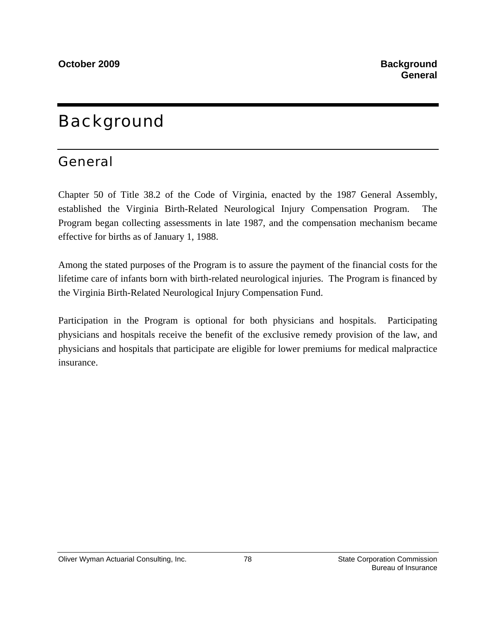# Background

## General

Chapter 50 of Title 38.2 of the Code of Virginia, enacted by the 1987 General Assembly, established the Virginia Birth-Related Neurological Injury Compensation Program. The Program began collecting assessments in late 1987, and the compensation mechanism became effective for births as of January 1, 1988.

Among the stated purposes of the Program is to assure the payment of the financial costs for the lifetime care of infants born with birth-related neurological injuries. The Program is financed by the Virginia Birth-Related Neurological Injury Compensation Fund.

Participation in the Program is optional for both physicians and hospitals. Participating physicians and hospitals receive the benefit of the exclusive remedy provision of the law, and physicians and hospitals that participate are eligible for lower premiums for medical malpractice insurance.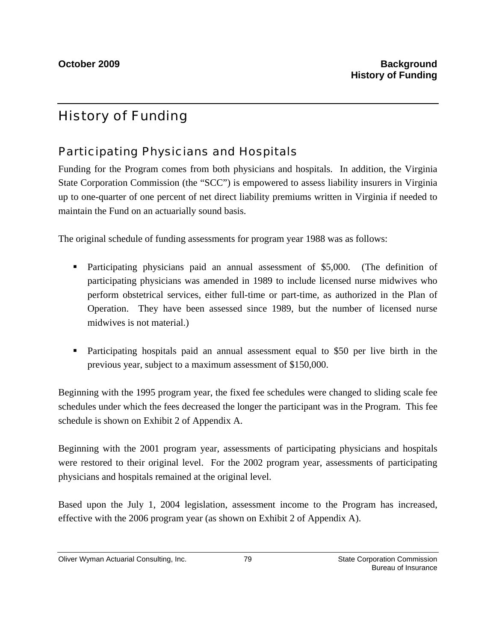## History of Funding

## Participating Physicians and Hospitals

Funding for the Program comes from both physicians and hospitals. In addition, the Virginia State Corporation Commission (the "SCC") is empowered to assess liability insurers in Virginia up to one-quarter of one percent of net direct liability premiums written in Virginia if needed to maintain the Fund on an actuarially sound basis.

The original schedule of funding assessments for program year 1988 was as follows:

- Participating physicians paid an annual assessment of \$5,000. (The definition of participating physicians was amended in 1989 to include licensed nurse midwives who perform obstetrical services, either full-time or part-time, as authorized in the Plan of Operation. They have been assessed since 1989, but the number of licensed nurse midwives is not material.)
- Participating hospitals paid an annual assessment equal to \$50 per live birth in the previous year, subject to a maximum assessment of \$150,000.

Beginning with the 1995 program year, the fixed fee schedules were changed to sliding scale fee schedules under which the fees decreased the longer the participant was in the Program. This fee schedule is shown on Exhibit 2 of Appendix A.

Beginning with the 2001 program year, assessments of participating physicians and hospitals were restored to their original level. For the 2002 program year, assessments of participating physicians and hospitals remained at the original level.

Based upon the July 1, 2004 legislation, assessment income to the Program has increased, effective with the 2006 program year (as shown on Exhibit 2 of Appendix A).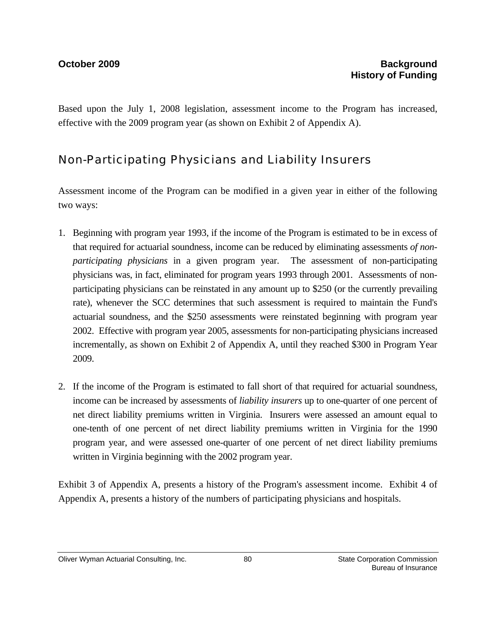Based upon the July 1, 2008 legislation, assessment income to the Program has increased, effective with the 2009 program year (as shown on Exhibit 2 of Appendix A).

## Non-Participating Physicians and Liability Insurers

Assessment income of the Program can be modified in a given year in either of the following two ways:

- 1. Beginning with program year 1993, if the income of the Program is estimated to be in excess of that required for actuarial soundness, income can be reduced by eliminating assessments *of nonparticipating physicians* in a given program year. The assessment of non-participating physicians was, in fact, eliminated for program years 1993 through 2001. Assessments of nonparticipating physicians can be reinstated in any amount up to \$250 (or the currently prevailing rate), whenever the SCC determines that such assessment is required to maintain the Fund's actuarial soundness, and the \$250 assessments were reinstated beginning with program year 2002. Effective with program year 2005, assessments for non-participating physicians increased incrementally, as shown on Exhibit 2 of Appendix A, until they reached \$300 in Program Year 2009.
- 2. If the income of the Program is estimated to fall short of that required for actuarial soundness, income can be increased by assessments of *liability insurers* up to one-quarter of one percent of net direct liability premiums written in Virginia. Insurers were assessed an amount equal to one-tenth of one percent of net direct liability premiums written in Virginia for the 1990 program year, and were assessed one-quarter of one percent of net direct liability premiums written in Virginia beginning with the 2002 program year.

Exhibit 3 of Appendix A, presents a history of the Program's assessment income. Exhibit 4 of Appendix A, presents a history of the numbers of participating physicians and hospitals.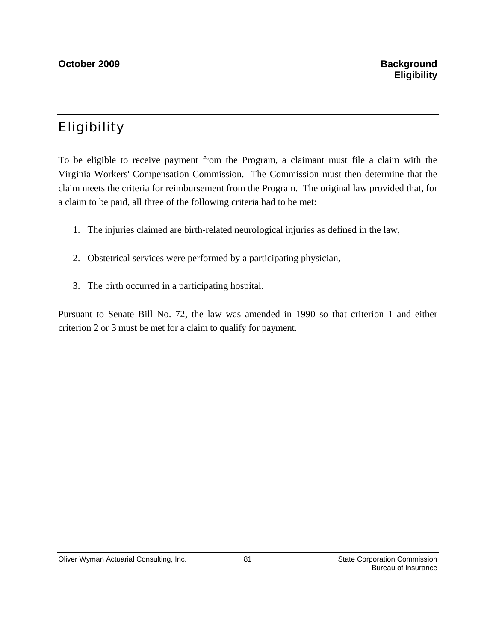## Eligibility

To be eligible to receive payment from the Program, a claimant must file a claim with the Virginia Workers' Compensation Commission. The Commission must then determine that the claim meets the criteria for reimbursement from the Program. The original law provided that, for a claim to be paid, all three of the following criteria had to be met:

- 1. The injuries claimed are birth-related neurological injuries as defined in the law,
- 2. Obstetrical services were performed by a participating physician,
- 3. The birth occurred in a participating hospital.

Pursuant to Senate Bill No. 72, the law was amended in 1990 so that criterion 1 and either criterion 2 or 3 must be met for a claim to qualify for payment.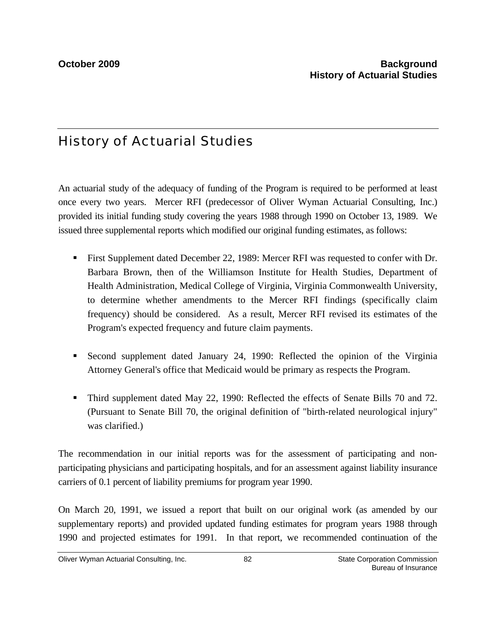## History of Actuarial Studies

An actuarial study of the adequacy of funding of the Program is required to be performed at least once every two years. Mercer RFI (predecessor of Oliver Wyman Actuarial Consulting, Inc.) provided its initial funding study covering the years 1988 through 1990 on October 13, 1989. We issued three supplemental reports which modified our original funding estimates, as follows:

- First Supplement dated December 22, 1989: Mercer RFI was requested to confer with Dr. Barbara Brown, then of the Williamson Institute for Health Studies, Department of Health Administration, Medical College of Virginia, Virginia Commonwealth University, to determine whether amendments to the Mercer RFI findings (specifically claim frequency) should be considered. As a result, Mercer RFI revised its estimates of the Program's expected frequency and future claim payments.
- Second supplement dated January 24, 1990: Reflected the opinion of the Virginia Attorney General's office that Medicaid would be primary as respects the Program.
- Third supplement dated May 22, 1990: Reflected the effects of Senate Bills 70 and 72. (Pursuant to Senate Bill 70, the original definition of "birth-related neurological injury" was clarified.)

The recommendation in our initial reports was for the assessment of participating and nonparticipating physicians and participating hospitals, and for an assessment against liability insurance carriers of 0.1 percent of liability premiums for program year 1990.

On March 20, 1991, we issued a report that built on our original work (as amended by our supplementary reports) and provided updated funding estimates for program years 1988 through 1990 and projected estimates for 1991. In that report, we recommended continuation of the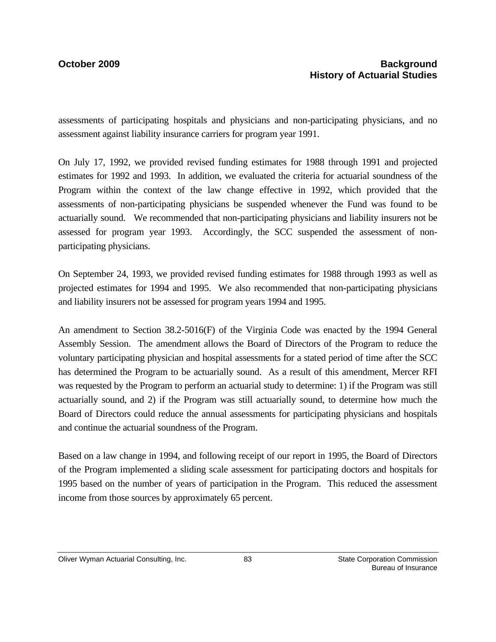assessments of participating hospitals and physicians and non-participating physicians, and no assessment against liability insurance carriers for program year 1991.

On July 17, 1992, we provided revised funding estimates for 1988 through 1991 and projected estimates for 1992 and 1993. In addition, we evaluated the criteria for actuarial soundness of the Program within the context of the law change effective in 1992, which provided that the assessments of non-participating physicians be suspended whenever the Fund was found to be actuarially sound. We recommended that non-participating physicians and liability insurers not be assessed for program year 1993. Accordingly, the SCC suspended the assessment of nonparticipating physicians.

On September 24, 1993, we provided revised funding estimates for 1988 through 1993 as well as projected estimates for 1994 and 1995. We also recommended that non-participating physicians and liability insurers not be assessed for program years 1994 and 1995.

An amendment to Section 38.2-5016(F) of the Virginia Code was enacted by the 1994 General Assembly Session. The amendment allows the Board of Directors of the Program to reduce the voluntary participating physician and hospital assessments for a stated period of time after the SCC has determined the Program to be actuarially sound. As a result of this amendment, Mercer RFI was requested by the Program to perform an actuarial study to determine: 1) if the Program was still actuarially sound, and 2) if the Program was still actuarially sound, to determine how much the Board of Directors could reduce the annual assessments for participating physicians and hospitals and continue the actuarial soundness of the Program.

Based on a law change in 1994, and following receipt of our report in 1995, the Board of Directors of the Program implemented a sliding scale assessment for participating doctors and hospitals for 1995 based on the number of years of participation in the Program. This reduced the assessment income from those sources by approximately 65 percent.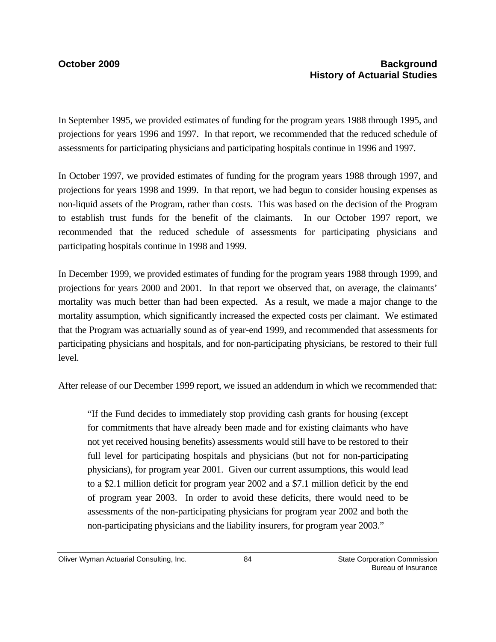In September 1995, we provided estimates of funding for the program years 1988 through 1995, and projections for years 1996 and 1997. In that report, we recommended that the reduced schedule of assessments for participating physicians and participating hospitals continue in 1996 and 1997.

In October 1997, we provided estimates of funding for the program years 1988 through 1997, and projections for years 1998 and 1999. In that report, we had begun to consider housing expenses as non-liquid assets of the Program, rather than costs. This was based on the decision of the Program to establish trust funds for the benefit of the claimants. In our October 1997 report, we recommended that the reduced schedule of assessments for participating physicians and participating hospitals continue in 1998 and 1999.

In December 1999, we provided estimates of funding for the program years 1988 through 1999, and projections for years 2000 and 2001. In that report we observed that, on average, the claimants' mortality was much better than had been expected. As a result, we made a major change to the mortality assumption, which significantly increased the expected costs per claimant. We estimated that the Program was actuarially sound as of year-end 1999, and recommended that assessments for participating physicians and hospitals, and for non-participating physicians, be restored to their full level.

After release of our December 1999 report, we issued an addendum in which we recommended that:

"If the Fund decides to immediately stop providing cash grants for housing (except for commitments that have already been made and for existing claimants who have not yet received housing benefits) assessments would still have to be restored to their full level for participating hospitals and physicians (but not for non-participating physicians), for program year 2001. Given our current assumptions, this would lead to a \$2.1 million deficit for program year 2002 and a \$7.1 million deficit by the end of program year 2003. In order to avoid these deficits, there would need to be assessments of the non-participating physicians for program year 2002 and both the non-participating physicians and the liability insurers, for program year 2003."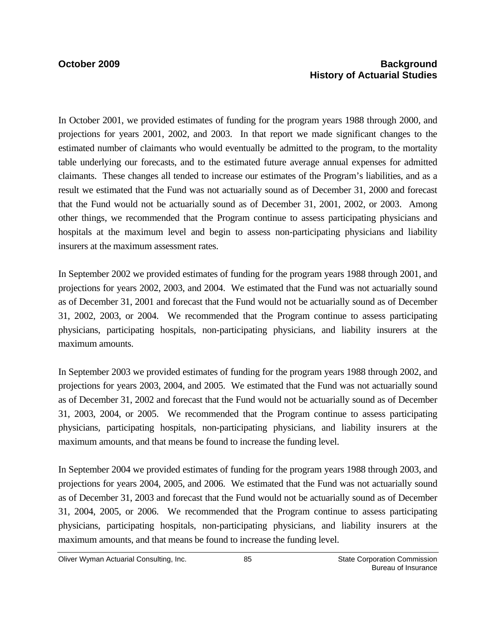### **October 2009 Background 2009 History of Actuarial Studies**

In October 2001, we provided estimates of funding for the program years 1988 through 2000, and projections for years 2001, 2002, and 2003. In that report we made significant changes to the estimated number of claimants who would eventually be admitted to the program, to the mortality table underlying our forecasts, and to the estimated future average annual expenses for admitted claimants. These changes all tended to increase our estimates of the Program's liabilities, and as a result we estimated that the Fund was not actuarially sound as of December 31, 2000 and forecast that the Fund would not be actuarially sound as of December 31, 2001, 2002, or 2003. Among other things, we recommended that the Program continue to assess participating physicians and hospitals at the maximum level and begin to assess non-participating physicians and liability insurers at the maximum assessment rates.

In September 2002 we provided estimates of funding for the program years 1988 through 2001, and projections for years 2002, 2003, and 2004. We estimated that the Fund was not actuarially sound as of December 31, 2001 and forecast that the Fund would not be actuarially sound as of December 31, 2002, 2003, or 2004. We recommended that the Program continue to assess participating physicians, participating hospitals, non-participating physicians, and liability insurers at the maximum amounts.

In September 2003 we provided estimates of funding for the program years 1988 through 2002, and projections for years 2003, 2004, and 2005. We estimated that the Fund was not actuarially sound as of December 31, 2002 and forecast that the Fund would not be actuarially sound as of December 31, 2003, 2004, or 2005. We recommended that the Program continue to assess participating physicians, participating hospitals, non-participating physicians, and liability insurers at the maximum amounts, and that means be found to increase the funding level.

In September 2004 we provided estimates of funding for the program years 1988 through 2003, and projections for years 2004, 2005, and 2006. We estimated that the Fund was not actuarially sound as of December 31, 2003 and forecast that the Fund would not be actuarially sound as of December 31, 2004, 2005, or 2006. We recommended that the Program continue to assess participating physicians, participating hospitals, non-participating physicians, and liability insurers at the maximum amounts, and that means be found to increase the funding level.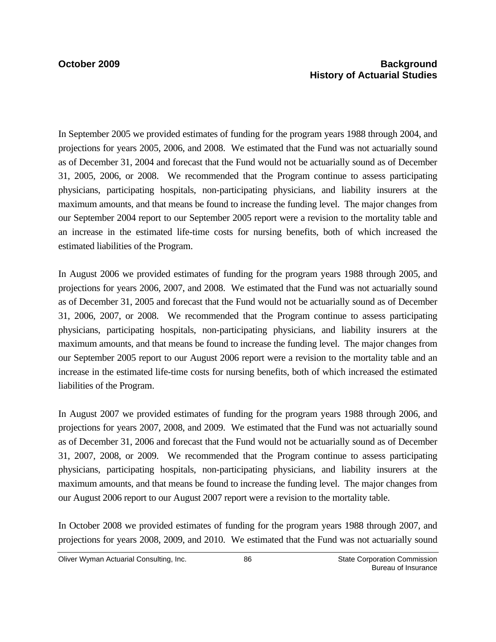In September 2005 we provided estimates of funding for the program years 1988 through 2004, and projections for years 2005, 2006, and 2008. We estimated that the Fund was not actuarially sound as of December 31, 2004 and forecast that the Fund would not be actuarially sound as of December 31, 2005, 2006, or 2008. We recommended that the Program continue to assess participating physicians, participating hospitals, non-participating physicians, and liability insurers at the maximum amounts, and that means be found to increase the funding level. The major changes from our September 2004 report to our September 2005 report were a revision to the mortality table and an increase in the estimated life-time costs for nursing benefits, both of which increased the estimated liabilities of the Program.

In August 2006 we provided estimates of funding for the program years 1988 through 2005, and projections for years 2006, 2007, and 2008. We estimated that the Fund was not actuarially sound as of December 31, 2005 and forecast that the Fund would not be actuarially sound as of December 31, 2006, 2007, or 2008. We recommended that the Program continue to assess participating physicians, participating hospitals, non-participating physicians, and liability insurers at the maximum amounts, and that means be found to increase the funding level. The major changes from our September 2005 report to our August 2006 report were a revision to the mortality table and an increase in the estimated life-time costs for nursing benefits, both of which increased the estimated liabilities of the Program.

In August 2007 we provided estimates of funding for the program years 1988 through 2006, and projections for years 2007, 2008, and 2009. We estimated that the Fund was not actuarially sound as of December 31, 2006 and forecast that the Fund would not be actuarially sound as of December 31, 2007, 2008, or 2009. We recommended that the Program continue to assess participating physicians, participating hospitals, non-participating physicians, and liability insurers at the maximum amounts, and that means be found to increase the funding level. The major changes from our August 2006 report to our August 2007 report were a revision to the mortality table.

In October 2008 we provided estimates of funding for the program years 1988 through 2007, and projections for years 2008, 2009, and 2010. We estimated that the Fund was not actuarially sound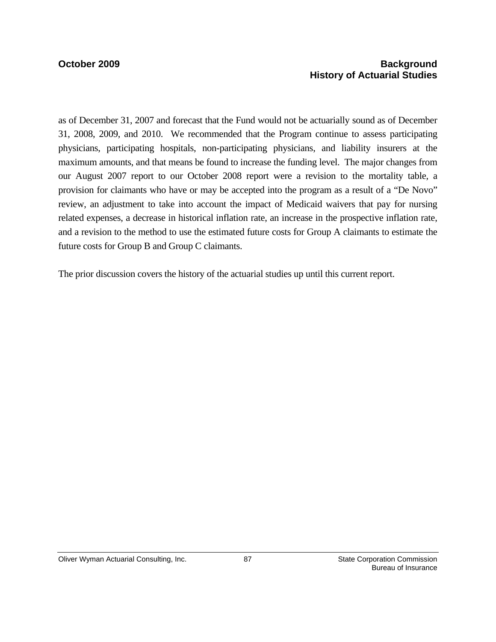### **October 2009 Background 2009 History of Actuarial Studies**

as of December 31, 2007 and forecast that the Fund would not be actuarially sound as of December 31, 2008, 2009, and 2010. We recommended that the Program continue to assess participating physicians, participating hospitals, non-participating physicians, and liability insurers at the maximum amounts, and that means be found to increase the funding level. The major changes from our August 2007 report to our October 2008 report were a revision to the mortality table, a provision for claimants who have or may be accepted into the program as a result of a "De Novo" review, an adjustment to take into account the impact of Medicaid waivers that pay for nursing related expenses, a decrease in historical inflation rate, an increase in the prospective inflation rate, and a revision to the method to use the estimated future costs for Group A claimants to estimate the future costs for Group B and Group C claimants.

The prior discussion covers the history of the actuarial studies up until this current report.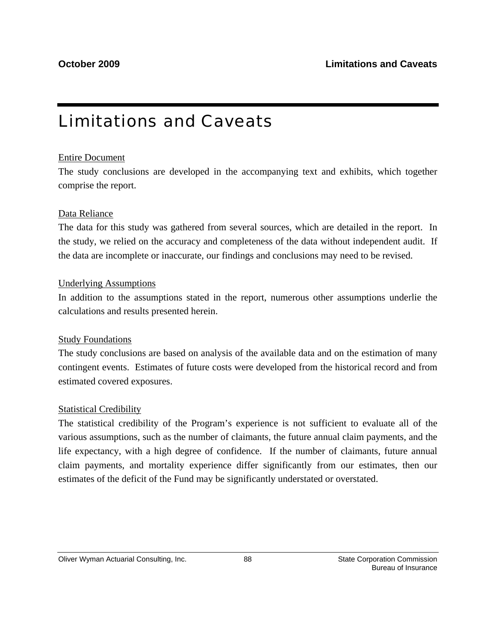# Limitations and Caveats

### Entire Document

The study conclusions are developed in the accompanying text and exhibits, which together comprise the report.

### Data Reliance

The data for this study was gathered from several sources, which are detailed in the report. In the study, we relied on the accuracy and completeness of the data without independent audit. If the data are incomplete or inaccurate, our findings and conclusions may need to be revised.

### Underlying Assumptions

In addition to the assumptions stated in the report, numerous other assumptions underlie the calculations and results presented herein.

### Study Foundations

The study conclusions are based on analysis of the available data and on the estimation of many contingent events. Estimates of future costs were developed from the historical record and from estimated covered exposures.

### Statistical Credibility

The statistical credibility of the Program's experience is not sufficient to evaluate all of the various assumptions, such as the number of claimants, the future annual claim payments, and the life expectancy, with a high degree of confidence. If the number of claimants, future annual claim payments, and mortality experience differ significantly from our estimates, then our estimates of the deficit of the Fund may be significantly understated or overstated.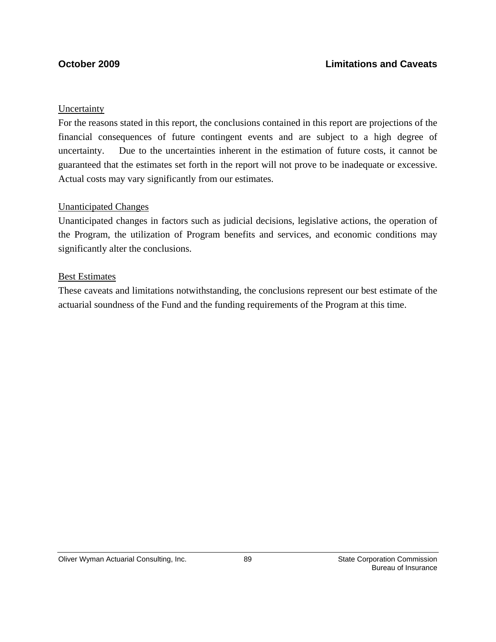### Uncertainty

For the reasons stated in this report, the conclusions contained in this report are projections of the financial consequences of future contingent events and are subject to a high degree of uncertainty. Due to the uncertainties inherent in the estimation of future costs, it cannot be guaranteed that the estimates set forth in the report will not prove to be inadequate or excessive. Actual costs may vary significantly from our estimates.

### Unanticipated Changes

Unanticipated changes in factors such as judicial decisions, legislative actions, the operation of the Program, the utilization of Program benefits and services, and economic conditions may significantly alter the conclusions.

### Best Estimates

These caveats and limitations notwithstanding, the conclusions represent our best estimate of the actuarial soundness of the Fund and the funding requirements of the Program at this time.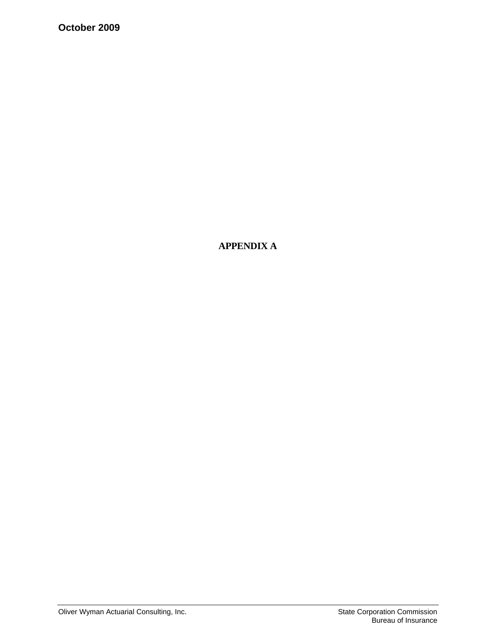**October 2009** 

**APPENDIX A**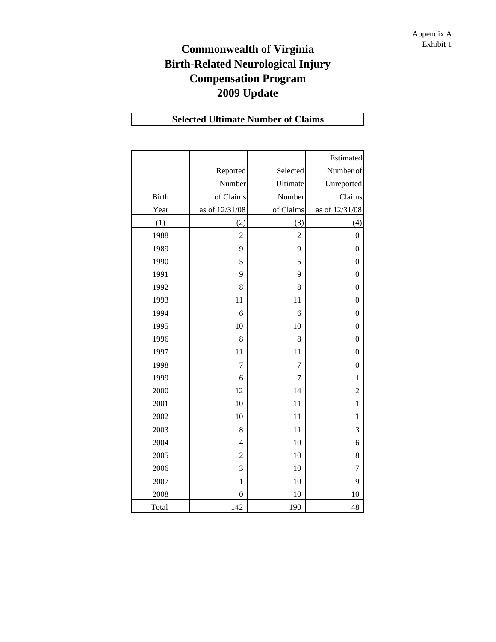## **Commonwealth of Virginia** Exhibit 1 **Birth-Related Neurological Injury Compensation Program 2009 Update**

## **Selected Ultimate Number of Claims**

|              |                  |                | Estimated        |
|--------------|------------------|----------------|------------------|
|              | Reported         | Selected       | Number of        |
|              | Number           | Ultimate       | Unreported       |
| <b>Birth</b> | of Claims        | Number         | Claims           |
| Year         | as of 12/31/08   | of Claims      | as of 12/31/08   |
| (1)          | (2)              | (3)            | (4)              |
| 1988         | $\overline{c}$   | $\overline{2}$ | $\boldsymbol{0}$ |
| 1989         | 9                | 9              | $\boldsymbol{0}$ |
| 1990         | 5                | 5              | $\boldsymbol{0}$ |
| 1991         | 9                | 9              | $\overline{0}$   |
| 1992         | 8                | 8              | $\boldsymbol{0}$ |
| 1993         | 11               | 11             | $\boldsymbol{0}$ |
| 1994         | 6                | 6              | $\boldsymbol{0}$ |
| 1995         | 10               | 10             | $\boldsymbol{0}$ |
| 1996         | 8                | 8              | $\overline{0}$   |
| 1997         | 11               | 11             | $\boldsymbol{0}$ |
| 1998         | $\overline{7}$   | 7              | $\boldsymbol{0}$ |
| 1999         | 6                | $\overline{7}$ | $\mathbf{1}$     |
| 2000         | 12               | 14             | $\overline{c}$   |
| 2001         | 10               | 11             | $\mathbf{1}$     |
| 2002         | 10               | 11             | $\mathbf{1}$     |
| 2003         | 8                | 11             | 3                |
| 2004         | $\overline{4}$   | 10             | 6                |
| 2005         | $\overline{2}$   | 10             | 8                |
| 2006         | 3                | 10             | 7                |
| 2007         | $\mathbf{1}$     | 10             | 9                |
| 2008         | $\boldsymbol{0}$ | 10             | 10               |
| Total        | 142              | 190            | 48               |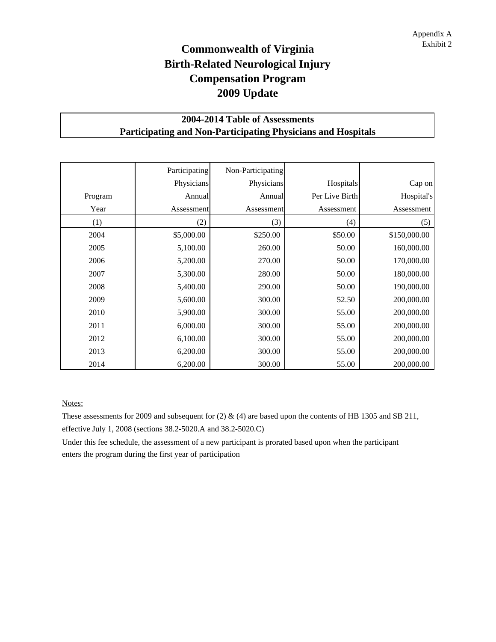## **Commonwealth of Virginia** Exhibit 2 **Birth-Related Neurological Injury Compensation Program 2009 Update**

### **2004-2014 Table of Assessments Participating and Non-Participating Physicians and Hospitals**

|         | Participating | Non-Participating |                |              |
|---------|---------------|-------------------|----------------|--------------|
|         | Physicians    | Physicians        | Hospitals      | Cap on       |
| Program | Annual        | Annual            | Per Live Birth | Hospital's   |
| Year    | Assessment    | Assessment        | Assessment     | Assessment   |
| (1)     | (2)           | (3)               | (4)            | (5)          |
| 2004    | \$5,000.00    | \$250.00          | \$50.00        | \$150,000.00 |
| 2005    | 5,100.00      | 260.00            | 50.00          | 160,000.00   |
| 2006    | 5,200.00      | 270.00            | 50.00          | 170,000.00   |
| 2007    | 5,300.00      | 280.00            | 50.00          | 180,000.00   |
| 2008    | 5,400.00      | 290.00            | 50.00          | 190,000.00   |
| 2009    | 5,600.00      | 300.00            | 52.50          | 200,000.00   |
| 2010    | 5,900.00      | 300.00            | 55.00          | 200,000.00   |
| 2011    | 6,000.00      | 300.00            | 55.00          | 200,000.00   |
| 2012    | 6,100.00      | 300.00            | 55.00          | 200,000.00   |
| 2013    | 6,200.00      | 300.00            | 55.00          | 200,000.00   |
| 2014    | 6,200.00      | 300.00            | 55.00          | 200,000.00   |

Notes:

These assessments for 2009 and subsequent for  $(2)$  &  $(4)$  are based upon the contents of HB 1305 and SB 211, effective July 1, 2008 (sections 38.2-5020.A and 38.2-5020.C)

Under this fee schedule, the assessment of a new participant is prorated based upon when the participant enters the program during the first year of participation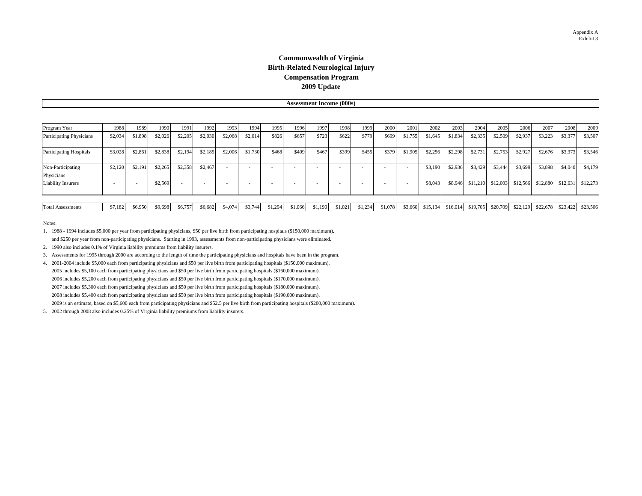### **Commonwealth of Virginia Birth-Related Neurological Injury Compensation Program 2009 Update**

### **Assessment Income (000s)**

| Program Year                    | 1988    | 1989    | 1990    | 1991    | 1992    | 1993    | 1994    | 1995   | 1996    | 1997    | 1998    | 1999    | 2000    | 2001    | 2002     | 2003     | 2004     | 2005     | 2006     | 2007     | 2008     | 2009     |
|---------------------------------|---------|---------|---------|---------|---------|---------|---------|--------|---------|---------|---------|---------|---------|---------|----------|----------|----------|----------|----------|----------|----------|----------|
| Participating Physicians        | \$2,034 | \$1,898 | \$2,026 | \$2,205 | \$2,030 | \$2,068 | \$2,014 | \$826  | \$657   | \$723   | \$622   | \$779   | \$699   | \$1,755 | \$1,645  | \$1,834  | \$2,335  | \$2,509  | \$2,937  | \$3,223  | \$3,377  | \$3,507  |
| <b>Participating Hospitals</b>  | \$3,028 | \$2,861 | \$2,838 | \$2,194 | \$2,185 | \$2,006 | \$1,730 | \$468  | \$409   | \$467   | \$399   | \$455   | \$379   | \$1,905 | \$2,256  | \$2,298  | \$2,731  | \$2,753  | \$2,927  | \$2,676  | \$3,373  | \$3,546  |
| Non-Participating<br>Physicians | \$2,120 | \$2,191 | \$2,265 | \$2,358 | \$2,467 |         |         |        |         |         |         |         |         |         | \$3,190  | \$2,936  | \$3,429  | \$3,444  | \$3,699  | \$3,898  | \$4,040  | \$4,179  |
| <b>Liability Insurers</b>       |         |         | \$2,569 |         |         |         |         |        |         |         |         |         |         |         | \$8,043  | \$8,946  | \$11,210 | \$12,003 | \$12,566 | \$12,880 | \$12,631 | \$12,273 |
|                                 |         |         |         |         |         |         |         |        |         |         |         |         |         |         |          |          |          |          |          |          |          |          |
| <b>Total Assessments</b>        | \$7,182 | \$6,950 | \$9,698 | \$6,757 | \$6,682 | \$4,074 | \$3,744 | `1,294 | \$1,066 | \$1,190 | \$1,021 | \$1,234 | \$1,078 | \$3,660 | \$15,134 | \$16,014 | \$19,705 | \$20,709 | \$22,129 | \$22,678 | \$23,422 | \$23,506 |

### Notes:

1. 1988 - 1994 includes \$5,000 per year from participating physicians, \$50 per live birth from participating hospitals (\$150,000 maximum), and \$250 per year from non-participating physicians. Starting in 1993, assessments from non-participating physicians were eliminated.

- 2. 1990 also includes 0.1% of Virginia liability premiums from liability insurers.
- 3. Assessments for 1995 through 2000 are according to the length of time the participating physicians and hospitals have been in the program.
- 4. 2001-2004 include \$5,000 each from participating physicians and \$50 per live birth from participating hospitals (\$150,000 maximum). 2005 includes \$5,100 each from participating physicians and \$50 per live birth from participating hospitals (\$160,000 maximum). 2006 includes \$5,200 each from participating physicians and \$50 per live birth from participating hospitals (\$170,000 maximum). 2007 includes \$5,300 each from participating physicians and \$50 per live birth from participating hospitals (\$180,000 maximum). 2008 includes \$5,400 each from participating physicians and \$50 per live birth from participating hospitals (\$190,000 maximum). 2009 is an estimate, based on \$5,600 each from participating physicians and \$52.5 per live birth from participating hospitals (\$200,000 maximum).
- 5. 2002 through 2008 also includes 0.25% of Virginia liability premiums from liability insurers.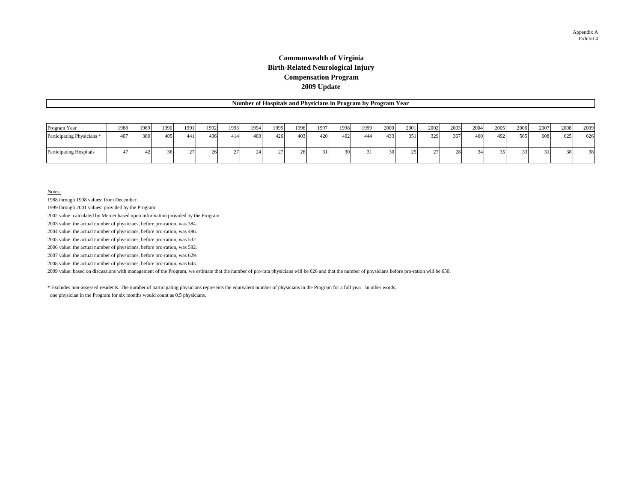### **Commonwealth of Virginia Birth-Related Neurological Injury Compensation Program 2009 Update**

|                                       | Number of Hospitals and Physicians in Program by Program Year |      |      |      |      |      |      |      |      |      |      |      |      |      |      |      |      |      |      |      |      |      |
|---------------------------------------|---------------------------------------------------------------|------|------|------|------|------|------|------|------|------|------|------|------|------|------|------|------|------|------|------|------|------|
|                                       |                                                               |      |      |      |      |      |      |      |      |      |      |      |      |      |      |      |      |      |      |      |      |      |
| Program Year                          | 1988                                                          | 1989 | 1990 | 1991 | 1992 | 1993 | 1994 | 1995 | 1996 | 1997 | 1998 | 1999 | 2000 | 2001 | 2002 | 2003 | 2004 | 2005 | 2006 | 2007 | 2008 | 2009 |
| Participating Physicians <sup>*</sup> | 407                                                           | 380  | 405  | 441  | 406  | 414  | 403  | 4261 | 403  | 420  | 402  | 444  | 433  | 351  | 329  | 3671 | 460  | 492  | 565  | 608  | 625  | 626  |
| <b>Participating Hospitals</b>        | 47                                                            |      |      |      |      |      |      |      |      | 31   |      |      |      | 25   |      | 28   |      |      |      | 31   |      | 38   |

Notes:

1988 through 1998 values: from December.

1999 through 2001 values: provided by the Program.

2002 value: calculated by Mercer based upon information provided by the Program.

2003 value: the actual number of physicians, before pro-ration, was 384.

2004 value: the actual number of physicians, before pro-ration, was 496.

2005 value: the actual number of physicians, before pro-ration, was 532.

2006 value: the actual number of physicians, before pro-ration, was 582.

2007 value: the actual number of physicians, before pro-ration, was 629.

2008 value: the actual number of physicians, before pro-ration, was 643.

2009 value: based on discussions with management of the Program, we estimate that the number of pro-rata physicians will be 626 and that the number of physicians before pro-ration will be 650.

\* Excludes non-assessed residents. The number of participating physicians represents the equivalent number of physicians in the Program for a full year. In other words,

one physician in the Program for six months would count as 0.5 physicians.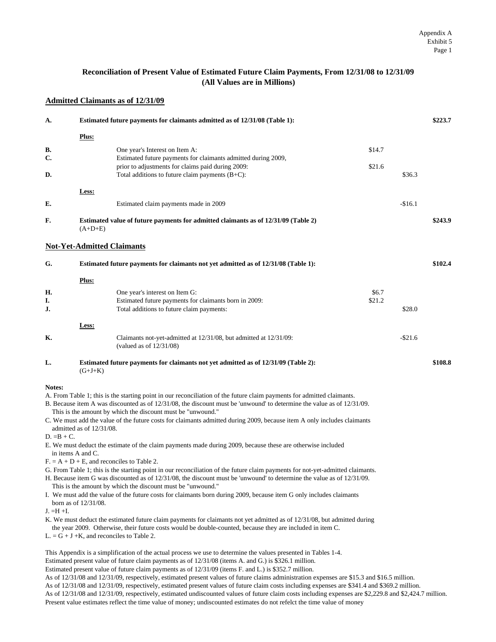### **Reconciliation of Present Value of Estimated Future Claim Payments, From 12/31/08 to 12/31/09 (All Values are in Millions)**

### **Admitted Claimants as of 12/31/09**

| A.            |                                   | Estimated future payments for claimants admitted as of 12/31/08 (Table 1):                                                                                                                                     |        |            | \$223.7 |
|---------------|-----------------------------------|----------------------------------------------------------------------------------------------------------------------------------------------------------------------------------------------------------------|--------|------------|---------|
|               | <u>Plus:</u>                      |                                                                                                                                                                                                                |        |            |         |
| В.            |                                   | One year's Interest on Item A:                                                                                                                                                                                 | \$14.7 |            |         |
| C.            |                                   | Estimated future payments for claimants admitted during 2009,                                                                                                                                                  |        |            |         |
|               |                                   | prior to adjustments for claims paid during 2009:                                                                                                                                                              | \$21.6 |            |         |
| D.            |                                   | Total additions to future claim payments $(B+C)$ :                                                                                                                                                             |        | \$36.3     |         |
|               | Less:                             |                                                                                                                                                                                                                |        |            |         |
| E.            |                                   | Estimated claim payments made in 2009                                                                                                                                                                          |        | $-$16.1$   |         |
| F.            | $(A+D+E)$                         | Estimated value of future payments for admitted claimants as of 12/31/09 (Table 2)                                                                                                                             |        |            | \$243.9 |
|               | <b>Not-Yet-Admitted Claimants</b> |                                                                                                                                                                                                                |        |            |         |
| G.            |                                   | <b>Estimated future payments for claimants not yet admitted as of 12/31/08 (Table 1):</b>                                                                                                                      |        |            | \$102.4 |
|               | Plus:                             |                                                                                                                                                                                                                |        |            |         |
| Н.            |                                   | One year's interest on Item G:                                                                                                                                                                                 | \$6.7  |            |         |
| I.            |                                   | Estimated future payments for claimants born in 2009:                                                                                                                                                          | \$21.2 |            |         |
| J.            |                                   | Total additions to future claim payments:                                                                                                                                                                      |        | \$28.0     |         |
|               | Less:                             |                                                                                                                                                                                                                |        |            |         |
| K.            |                                   | Claimants not-yet-admitted at 12/31/08, but admitted at 12/31/09:<br>(valued as of $12/31/08$ )                                                                                                                |        | $-$ \$21.6 |         |
| L.            | $(G+J+K)$                         | <b>Estimated future payments for claimants not yet admitted as of 12/31/09 (Table 2):</b>                                                                                                                      |        |            | \$108.8 |
| <b>Notes:</b> |                                   |                                                                                                                                                                                                                |        |            |         |
|               |                                   | A. From Table 1; this is the starting point in our reconciliation of the future claim payments for admitted claimants.                                                                                         |        |            |         |
|               |                                   | B. Because item A was discounted as of 12/31/08, the discount must be 'unwound' to determine the value as of 12/31/09.                                                                                         |        |            |         |
|               |                                   | This is the amount by which the discount must be "unwound."                                                                                                                                                    |        |            |         |
|               | admitted as of $12/31/08$ .       | C. We must add the value of the future costs for claimants admitted during 2009, because item A only includes claimants                                                                                        |        |            |         |
| $D. = B + C.$ |                                   |                                                                                                                                                                                                                |        |            |         |
|               | in items A and C.                 | E. We must deduct the estimate of the claim payments made during 2009, because these are otherwise included                                                                                                    |        |            |         |
|               |                                   | $F = A + D + E$ , and reconciles to Table 2.                                                                                                                                                                   |        |            |         |
|               |                                   | G. From Table 1; this is the starting point in our reconciliation of the future claim payments for not-yet-admitted claimants.                                                                                 |        |            |         |
|               |                                   | H. Because item G was discounted as of 12/31/08, the discount must be 'unwound' to determine the value as of 12/31/09.                                                                                         |        |            |         |
|               |                                   | This is the amount by which the discount must be "unwound."<br>I. We must add the value of the future costs for claimants born during 2009, because item G only includes claimants                             |        |            |         |
|               | born as of $12/31/08$ .           |                                                                                                                                                                                                                |        |            |         |
| $J. = H + I.$ |                                   |                                                                                                                                                                                                                |        |            |         |
|               |                                   | K. We must deduct the estimated future claim payments for claimants not yet admitted as of 12/31/08, but admitted during                                                                                       |        |            |         |
|               |                                   | the year 2009. Otherwise, their future costs would be double-counted, because they are included in item C.<br>$L = G + J + K$ , and reconciles to Table 2.                                                     |        |            |         |
|               |                                   |                                                                                                                                                                                                                |        |            |         |
|               |                                   | This Appendix is a simplification of the actual process we use to determine the values presented in Tables 1-4.                                                                                                |        |            |         |
|               |                                   | Estimated present value of future claim payments as of 12/31/08 (items A. and G.) is \$326.1 million.<br>Estimated present value of future claim payments as of 12/31/09 (items F. and L.) is \$352.7 million. |        |            |         |
|               |                                   | As of 12/31/08 and 12/31/09, respectively, estimated present values of future claims administration expenses are \$15.3 and \$16.5 million.                                                                    |        |            |         |
|               |                                   | As of 12/31/08 and 12/31/09, respectively, estimated present values of future claim costs including expenses are \$341.4 and \$369.2 million.                                                                  |        |            |         |

As of 12/31/08 and 12/31/09, respectively, estimated undiscounted values of future claim costs including expenses are \$2,229.8 and \$2,424.7 million. Present value estimates reflect the time value of money; undiscounted estimates do not refelct the time value of money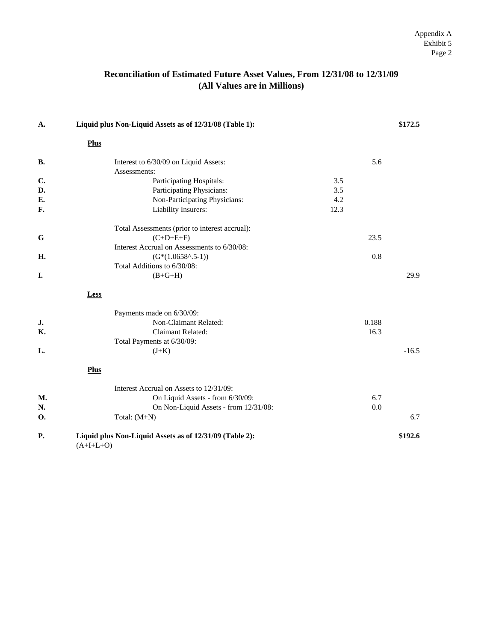### **Reconciliation of Estimated Future Asset Values, From 12/31/08 to 12/31/09 (All Values are in Millions)**

| A.        | Liquid plus Non-Liquid Assets as of 12/31/08 (Table 1):                |      |       | \$172.5 |
|-----------|------------------------------------------------------------------------|------|-------|---------|
|           | <b>Plus</b>                                                            |      |       |         |
| <b>B.</b> | Interest to 6/30/09 on Liquid Assets:                                  |      | 5.6   |         |
|           | Assessments:                                                           |      |       |         |
| C.        | Participating Hospitals:                                               | 3.5  |       |         |
| D.        | Participating Physicians:                                              | 3.5  |       |         |
| E.        | Non-Participating Physicians:                                          | 4.2  |       |         |
| F.        | Liability Insurers:                                                    | 12.3 |       |         |
|           | Total Assessments (prior to interest accrual):                         |      |       |         |
| G         | $(C+D+E+F)$                                                            |      | 23.5  |         |
|           | Interest Accrual on Assessments to 6/30/08:                            |      |       |         |
| H.        | $(G*(1.0658^{\wedge}.5-1))$                                            |      | 0.8   |         |
|           | Total Additions to 6/30/08:                                            |      |       |         |
| I.        | $(B+G+H)$                                                              |      |       | 29.9    |
|           | Less                                                                   |      |       |         |
|           | Payments made on 6/30/09:                                              |      |       |         |
| J.        | Non-Claimant Related:                                                  |      | 0.188 |         |
| Κ.        | Claimant Related:                                                      |      | 16.3  |         |
|           | Total Payments at 6/30/09:                                             |      |       |         |
| L.        | $(J+K)$                                                                |      |       | $-16.5$ |
|           | <b>Plus</b>                                                            |      |       |         |
|           | Interest Accrual on Assets to 12/31/09:                                |      |       |         |
| <b>M.</b> | On Liquid Assets - from 6/30/09:                                       |      | 6.7   |         |
| N.        | On Non-Liquid Assets - from 12/31/08:                                  |      | 0.0   |         |
| <b>O.</b> | Total: $(M+N)$                                                         |      |       | 6.7     |
| Р.        | Liquid plus Non-Liquid Assets as of 12/31/09 (Table 2):<br>$(A+I+L+O)$ |      |       | \$192.6 |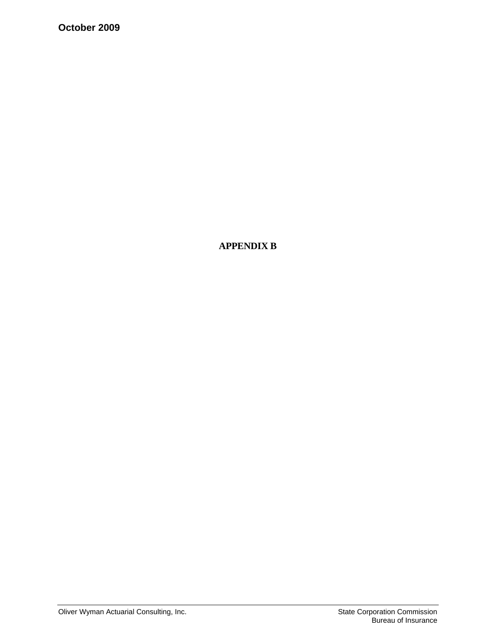**October 2009** 

**APPENDIX B**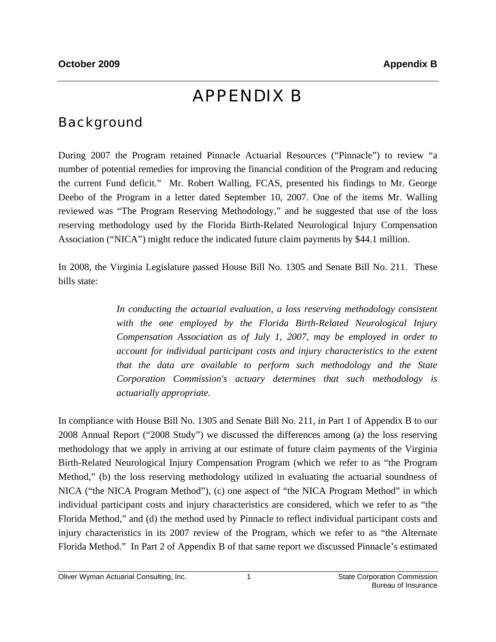# APPENDIX B

## Background

During 2007 the Program retained Pinnacle Actuarial Resources ("Pinnacle") to review "a number of potential remedies for improving the financial condition of the Program and reducing the current Fund deficit." Mr. Robert Walling, FCAS, presented his findings to Mr. George Deebo of the Program in a letter dated September 10, 2007. One of the items Mr. Walling reviewed was "The Program Reserving Methodology," and he suggested that use of the loss reserving methodology used by the Florida Birth-Related Neurological Injury Compensation Association ("NICA") might reduce the indicated future claim payments by \$44.1 million.

In 2008, the Virginia Legislature passed House Bill No. 1305 and Senate Bill No. 211. These bills state:

> *In conducting the actuarial evaluation, a loss reserving methodology consistent with the one employed by the Florida Birth-Related Neurological Injury Compensation Association as of July 1, 2007, may be employed in order to account for individual participant costs and injury characteristics to the extent that the data are available to perform such methodology and the State Corporation Commission's actuary determines that such methodology is actuarially appropriate.*

In compliance with House Bill No. 1305 and Senate Bill No. 211, in Part 1 of Appendix B to our 2008 Annual Report ("2008 Study") we discussed the differences among (a) the loss reserving methodology that we apply in arriving at our estimate of future claim payments of the Virginia Birth-Related Neurological Injury Compensation Program (which we refer to as "the Program Method," (b) the loss reserving methodology utilized in evaluating the actuarial soundness of NICA ("the NICA Program Method"), (c) one aspect of "the NICA Program Method" in which individual participant costs and injury characteristics are considered, which we refer to as "the Florida Method," and (d) the method used by Pinnacle to reflect individual participant costs and injury characteristics in its 2007 review of the Program, which we refer to as "the Alternate Florida Method." In Part 2 of Appendix B of that same report we discussed Pinnacle's estimated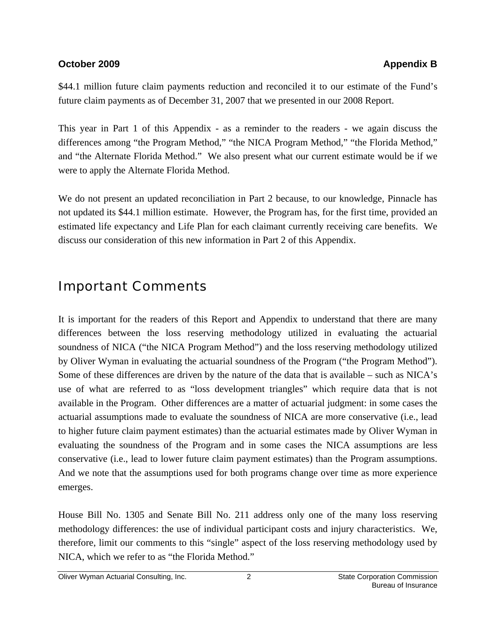### **October 2009 Appendix B Appendix B Appendix B Appendix B**

\$44.1 million future claim payments reduction and reconciled it to our estimate of the Fund's future claim payments as of December 31, 2007 that we presented in our 2008 Report.

This year in Part 1 of this Appendix - as a reminder to the readers - we again discuss the differences among "the Program Method," "the NICA Program Method," "the Florida Method," and "the Alternate Florida Method." We also present what our current estimate would be if we were to apply the Alternate Florida Method.

We do not present an updated reconciliation in Part 2 because, to our knowledge, Pinnacle has not updated its \$44.1 million estimate. However, the Program has, for the first time, provided an estimated life expectancy and Life Plan for each claimant currently receiving care benefits. We discuss our consideration of this new information in Part 2 of this Appendix.

## Important Comments

It is important for the readers of this Report and Appendix to understand that there are many differences between the loss reserving methodology utilized in evaluating the actuarial soundness of NICA ("the NICA Program Method") and the loss reserving methodology utilized by Oliver Wyman in evaluating the actuarial soundness of the Program ("the Program Method"). Some of these differences are driven by the nature of the data that is available – such as NICA's use of what are referred to as "loss development triangles" which require data that is not available in the Program. Other differences are a matter of actuarial judgment: in some cases the actuarial assumptions made to evaluate the soundness of NICA are more conservative (i.e., lead to higher future claim payment estimates) than the actuarial estimates made by Oliver Wyman in evaluating the soundness of the Program and in some cases the NICA assumptions are less conservative (i.e., lead to lower future claim payment estimates) than the Program assumptions. And we note that the assumptions used for both programs change over time as more experience emerges.

House Bill No. 1305 and Senate Bill No. 211 address only one of the many loss reserving methodology differences: the use of individual participant costs and injury characteristics. We, therefore, limit our comments to this "single" aspect of the loss reserving methodology used by NICA, which we refer to as "the Florida Method."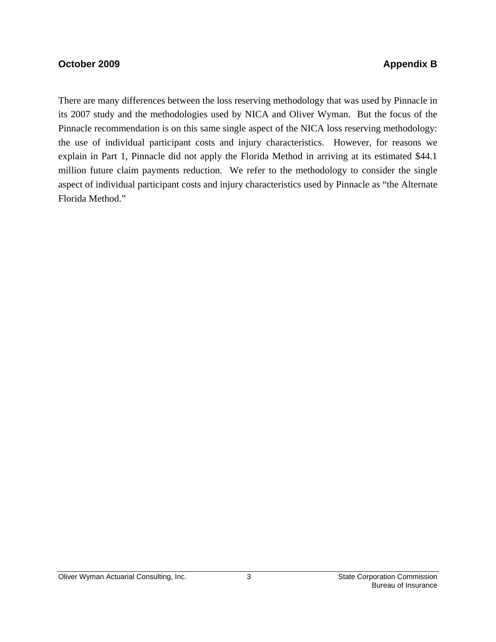### **October 2009 Appendix B Appendix B**

There are many differences between the loss reserving methodology that was used by Pinnacle in its 2007 study and the methodologies used by NICA and Oliver Wyman. But the focus of the Pinnacle recommendation is on this same single aspect of the NICA loss reserving methodology: the use of individual participant costs and injury characteristics. However, for reasons we explain in Part 1, Pinnacle did not apply the Florida Method in arriving at its estimated \$44.1 million future claim payments reduction. We refer to the methodology to consider the single aspect of individual participant costs and injury characteristics used by Pinnacle as "the Alternate Florida Method."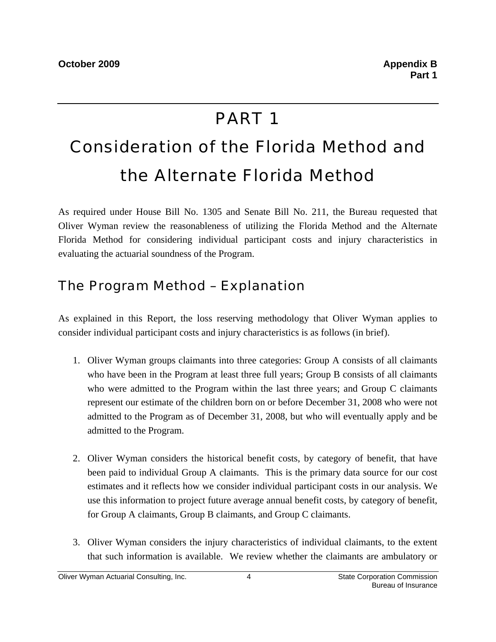# PART 1

# Consideration of the Florida Method and the Alternate Florida Method

As required under House Bill No. 1305 and Senate Bill No. 211, the Bureau requested that Oliver Wyman review the reasonableness of utilizing the Florida Method and the Alternate Florida Method for considering individual participant costs and injury characteristics in evaluating the actuarial soundness of the Program.

## The Program Method – Explanation

As explained in this Report, the loss reserving methodology that Oliver Wyman applies to consider individual participant costs and injury characteristics is as follows (in brief).

- 1. Oliver Wyman groups claimants into three categories: Group A consists of all claimants who have been in the Program at least three full years; Group B consists of all claimants who were admitted to the Program within the last three years; and Group C claimants represent our estimate of the children born on or before December 31, 2008 who were not admitted to the Program as of December 31, 2008, but who will eventually apply and be admitted to the Program.
- 2. Oliver Wyman considers the historical benefit costs, by category of benefit, that have been paid to individual Group A claimants. This is the primary data source for our cost estimates and it reflects how we consider individual participant costs in our analysis. We use this information to project future average annual benefit costs, by category of benefit, for Group A claimants, Group B claimants, and Group C claimants.
- 3. Oliver Wyman considers the injury characteristics of individual claimants, to the extent that such information is available. We review whether the claimants are ambulatory or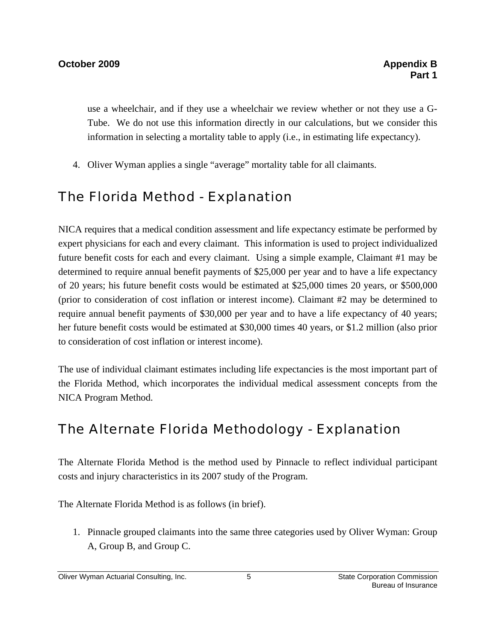use a wheelchair, and if they use a wheelchair we review whether or not they use a G-Tube. We do not use this information directly in our calculations, but we consider this information in selecting a mortality table to apply (i.e., in estimating life expectancy).

4. Oliver Wyman applies a single "average" mortality table for all claimants.

## The Florida Method - Explanation

NICA requires that a medical condition assessment and life expectancy estimate be performed by expert physicians for each and every claimant. This information is used to project individualized future benefit costs for each and every claimant. Using a simple example, Claimant #1 may be determined to require annual benefit payments of \$25,000 per year and to have a life expectancy of 20 years; his future benefit costs would be estimated at \$25,000 times 20 years, or \$500,000 (prior to consideration of cost inflation or interest income). Claimant #2 may be determined to require annual benefit payments of \$30,000 per year and to have a life expectancy of 40 years; her future benefit costs would be estimated at \$30,000 times 40 years, or \$1.2 million (also prior to consideration of cost inflation or interest income).

The use of individual claimant estimates including life expectancies is the most important part of the Florida Method, which incorporates the individual medical assessment concepts from the NICA Program Method.

## The Alternate Florida Methodology - Explanation

The Alternate Florida Method is the method used by Pinnacle to reflect individual participant costs and injury characteristics in its 2007 study of the Program.

The Alternate Florida Method is as follows (in brief).

1. Pinnacle grouped claimants into the same three categories used by Oliver Wyman: Group A, Group B, and Group C.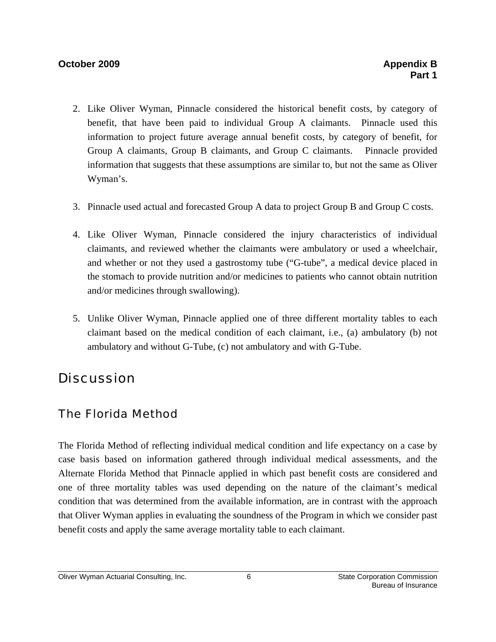### **October 2009 Appendix B Appendix B Appendix B Appendix B Appendix B Appendix B Appendix B Appendix B Appendix B**

- 2. Like Oliver Wyman, Pinnacle considered the historical benefit costs, by category of benefit, that have been paid to individual Group A claimants. Pinnacle used this information to project future average annual benefit costs, by category of benefit, for Group A claimants, Group B claimants, and Group C claimants. Pinnacle provided information that suggests that these assumptions are similar to, but not the same as Oliver Wyman's.
- 3. Pinnacle used actual and forecasted Group A data to project Group B and Group C costs.
- 4. Like Oliver Wyman, Pinnacle considered the injury characteristics of individual claimants, and reviewed whether the claimants were ambulatory or used a wheelchair, and whether or not they used a gastrostomy tube ("G-tube", a medical device placed in the stomach to provide nutrition and/or medicines to patients who cannot obtain nutrition and/or medicines through swallowing).
- 5. Unlike Oliver Wyman, Pinnacle applied one of three different mortality tables to each claimant based on the medical condition of each claimant, i.e., (a) ambulatory (b) not ambulatory and without G-Tube, (c) not ambulatory and with G-Tube.

## **Discussion**

## The Florida Method

The Florida Method of reflecting individual medical condition and life expectancy on a case by case basis based on information gathered through individual medical assessments, and the Alternate Florida Method that Pinnacle applied in which past benefit costs are considered and one of three mortality tables was used depending on the nature of the claimant's medical condition that was determined from the available information, are in contrast with the approach that Oliver Wyman applies in evaluating the soundness of the Program in which we consider past benefit costs and apply the same average mortality table to each claimant.

### Oliver Wyman Actuarial Consulting, Inc. 6 6 6 State Corporation Commission Commission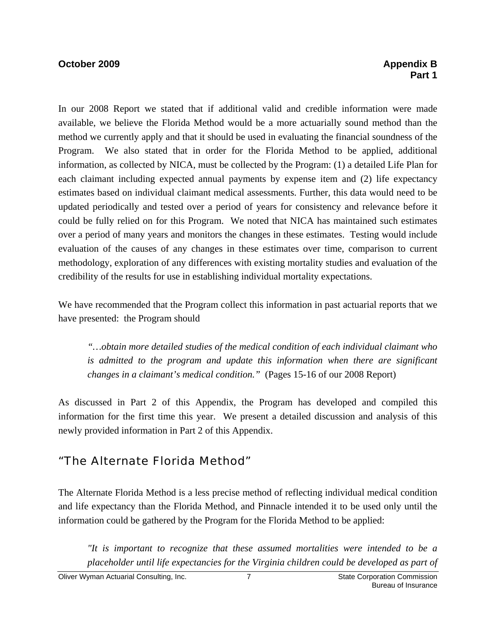### **October 2009 Appendix B Appendix B Appendix B Appendix B Appendix B Appendix B Appendix B Appendix B Appendix B**

In our 2008 Report we stated that if additional valid and credible information were made available, we believe the Florida Method would be a more actuarially sound method than the method we currently apply and that it should be used in evaluating the financial soundness of the Program. We also stated that in order for the Florida Method to be applied, additional information, as collected by NICA, must be collected by the Program: (1) a detailed Life Plan for each claimant including expected annual payments by expense item and (2) life expectancy estimates based on individual claimant medical assessments. Further, this data would need to be updated periodically and tested over a period of years for consistency and relevance before it could be fully relied on for this Program. We noted that NICA has maintained such estimates over a period of many years and monitors the changes in these estimates. Testing would include evaluation of the causes of any changes in these estimates over time, comparison to current methodology, exploration of any differences with existing mortality studies and evaluation of the credibility of the results for use in establishing individual mortality expectations.

We have recommended that the Program collect this information in past actuarial reports that we have presented: the Program should

*"…obtain more detailed studies of the medical condition of each individual claimant who is admitted to the program and update this information when there are significant changes in a claimant's medical condition."* (Pages 15-16 of our 2008 Report)

As discussed in Part 2 of this Appendix, the Program has developed and compiled this information for the first time this year. We present a detailed discussion and analysis of this newly provided information in Part 2 of this Appendix.

## "The Alternate Florida Method"

The Alternate Florida Method is a less precise method of reflecting individual medical condition and life expectancy than the Florida Method, and Pinnacle intended it to be used only until the information could be gathered by the Program for the Florida Method to be applied:

*"It is important to recognize that these assumed mortalities were intended to be a placeholder until life expectancies for the Virginia children could be developed as part of*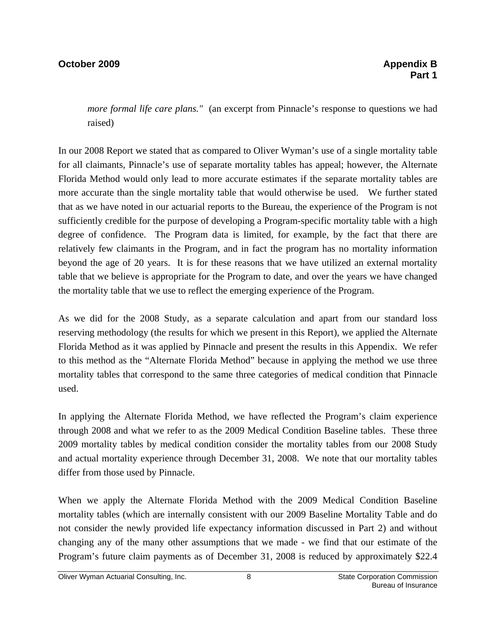#### **October 2009 Appendix B Appendix B Appendix B Appendix B Appendix B Appendix B Appendix B Appendix B Appendix B**

*more formal life care plans.*" (an excerpt from Pinnacle's response to questions we had raised)

In our 2008 Report we stated that as compared to Oliver Wyman's use of a single mortality table for all claimants, Pinnacle's use of separate mortality tables has appeal; however, the Alternate Florida Method would only lead to more accurate estimates if the separate mortality tables are more accurate than the single mortality table that would otherwise be used. We further stated that as we have noted in our actuarial reports to the Bureau, the experience of the Program is not sufficiently credible for the purpose of developing a Program-specific mortality table with a high degree of confidence. The Program data is limited, for example, by the fact that there are relatively few claimants in the Program, and in fact the program has no mortality information beyond the age of 20 years. It is for these reasons that we have utilized an external mortality table that we believe is appropriate for the Program to date, and over the years we have changed the mortality table that we use to reflect the emerging experience of the Program.

As we did for the 2008 Study, as a separate calculation and apart from our standard loss reserving methodology (the results for which we present in this Report), we applied the Alternate Florida Method as it was applied by Pinnacle and present the results in this Appendix. We refer to this method as the "Alternate Florida Method" because in applying the method we use three mortality tables that correspond to the same three categories of medical condition that Pinnacle used.

In applying the Alternate Florida Method, we have reflected the Program's claim experience through 2008 and what we refer to as the 2009 Medical Condition Baseline tables. These three 2009 mortality tables by medical condition consider the mortality tables from our 2008 Study and actual mortality experience through December 31, 2008. We note that our mortality tables differ from those used by Pinnacle.

When we apply the Alternate Florida Method with the 2009 Medical Condition Baseline mortality tables (which are internally consistent with our 2009 Baseline Mortality Table and do not consider the newly provided life expectancy information discussed in Part 2) and without changing any of the many other assumptions that we made - we find that our estimate of the Program's future claim payments as of December 31, 2008 is reduced by approximately \$22.4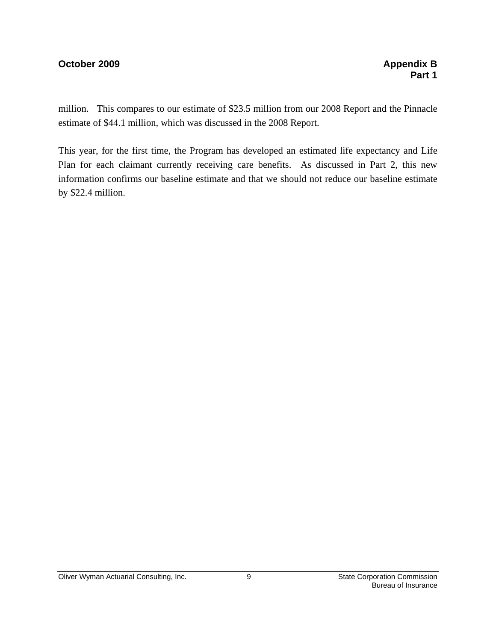#### **October 2009 Appendix B Appendix B**

million. This compares to our estimate of \$23.5 million from our 2008 Report and the Pinnacle estimate of \$44.1 million, which was discussed in the 2008 Report.

This year, for the first time, the Program has developed an estimated life expectancy and Life Plan for each claimant currently receiving care benefits. As discussed in Part 2, this new information confirms our baseline estimate and that we should not reduce our baseline estimate by \$22.4 million.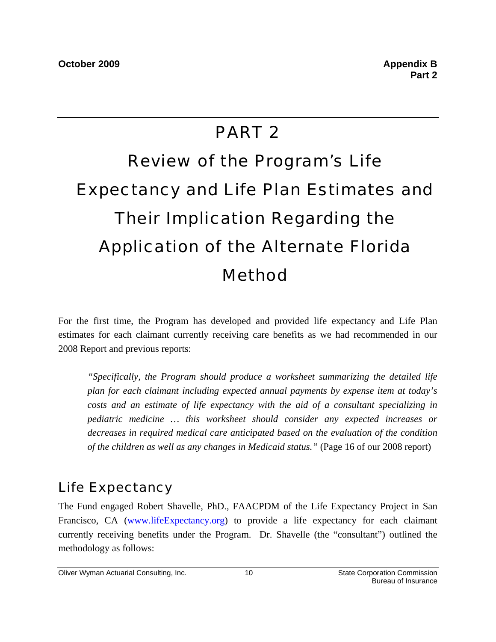### PART 2

# Review of the Program's Life Expectancy and Life Plan Estimates and Their Implication Regarding the Application of the Alternate Florida Method

For the first time, the Program has developed and provided life expectancy and Life Plan estimates for each claimant currently receiving care benefits as we had recommended in our 2008 Report and previous reports:

*"Specifically, the Program should produce a worksheet summarizing the detailed life plan for each claimant including expected annual payments by expense item at today's costs and an estimate of life expectancy with the aid of a consultant specializing in pediatric medicine … this worksheet should consider any expected increases or decreases in required medical care anticipated based on the evaluation of the condition of the children as well as any changes in Medicaid status."* (Page 16 of our 2008 report)

### Life Expectancy

The Fund engaged Robert Shavelle, PhD., FAACPDM of the Life Expectancy Project in San Francisco, CA (www.lifeExpectancy.org) to provide a life expectancy for each claimant currently receiving benefits under the Program. Dr. Shavelle (the "consultant") outlined the methodology as follows: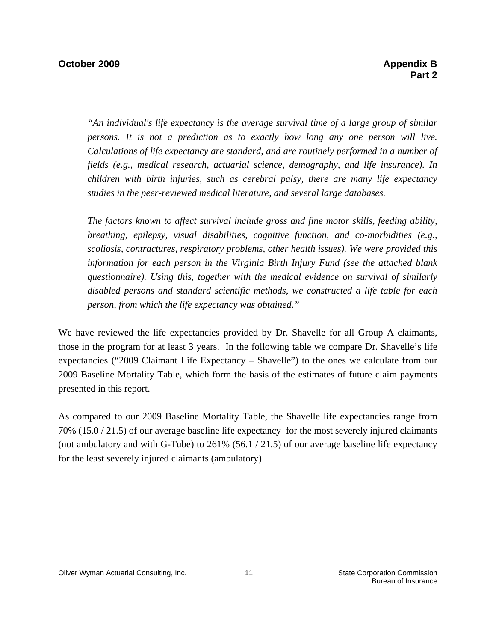*"An individual's life expectancy is the average survival time of a large group of similar persons. It is not a prediction as to exactly how long any one person will live. Calculations of life expectancy are standard, and are routinely performed in a number of fields (e.g., medical research, actuarial science, demography, and life insurance). In children with birth injuries, such as cerebral palsy, there are many life expectancy studies in the peer-reviewed medical literature, and several large databases.* 

*The factors known to affect survival include gross and fine motor skills, feeding ability, breathing, epilepsy, visual disabilities, cognitive function, and co-morbidities (e.g., scoliosis, contractures, respiratory problems, other health issues). We were provided this information for each person in the Virginia Birth Injury Fund (see the attached blank questionnaire). Using this, together with the medical evidence on survival of similarly disabled persons and standard scientific methods, we constructed a life table for each person, from which the life expectancy was obtained."* 

We have reviewed the life expectancies provided by Dr. Shavelle for all Group A claimants, those in the program for at least 3 years. In the following table we compare Dr. Shavelle's life expectancies ("2009 Claimant Life Expectancy – Shavelle") to the ones we calculate from our 2009 Baseline Mortality Table, which form the basis of the estimates of future claim payments presented in this report.

As compared to our 2009 Baseline Mortality Table, the Shavelle life expectancies range from 70% (15.0 / 21.5) of our average baseline life expectancy for the most severely injured claimants (not ambulatory and with G-Tube) to 261% (56.1 / 21.5) of our average baseline life expectancy for the least severely injured claimants (ambulatory).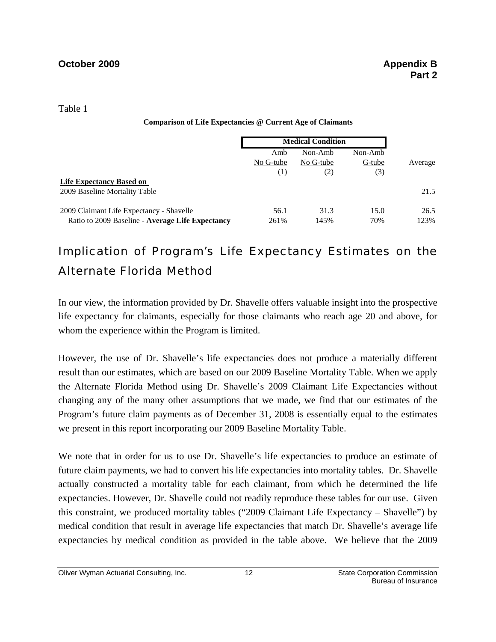Table 1

|  |  | <b>Comparison of Life Expectancies @ Current Age of Claimants</b> |  |  |  |  |
|--|--|-------------------------------------------------------------------|--|--|--|--|
|--|--|-------------------------------------------------------------------|--|--|--|--|

|                                                  | <b>Medical Condition</b> |           |         |         |
|--------------------------------------------------|--------------------------|-----------|---------|---------|
|                                                  | Amb                      | Non-Amb   | Non-Amb |         |
|                                                  | No G-tube                | No G-tube | G-tube  | Average |
|                                                  | $^{(1)}$                 | (2)       | (3)     |         |
| <b>Life Expectancy Based on</b>                  |                          |           |         |         |
| 2009 Baseline Mortality Table                    |                          |           |         | 21.5    |
| 2009 Claimant Life Expectancy - Shavelle         | 56.1                     | 31.3      | 15.0    | 26.5    |
| Ratio to 2009 Baseline - Average Life Expectancy | 261%                     | 145%      | 70%     | 123%    |

### Implication of Program's Life Expectancy Estimates on the Alternate Florida Method

In our view, the information provided by Dr. Shavelle offers valuable insight into the prospective life expectancy for claimants, especially for those claimants who reach age 20 and above, for whom the experience within the Program is limited.

However, the use of Dr. Shavelle's life expectancies does not produce a materially different result than our estimates, which are based on our 2009 Baseline Mortality Table. When we apply the Alternate Florida Method using Dr. Shavelle's 2009 Claimant Life Expectancies without changing any of the many other assumptions that we made, we find that our estimates of the Program's future claim payments as of December 31, 2008 is essentially equal to the estimates we present in this report incorporating our 2009 Baseline Mortality Table.

We note that in order for us to use Dr. Shavelle's life expectancies to produce an estimate of future claim payments, we had to convert his life expectancies into mortality tables. Dr. Shavelle actually constructed a mortality table for each claimant, from which he determined the life expectancies. However, Dr. Shavelle could not readily reproduce these tables for our use. Given this constraint, we produced mortality tables ("2009 Claimant Life Expectancy – Shavelle") by medical condition that result in average life expectancies that match Dr. Shavelle's average life expectancies by medical condition as provided in the table above. We believe that the 2009

Oliver Wyman Actuarial Consulting, Inc. 12 12 State Corporation Commission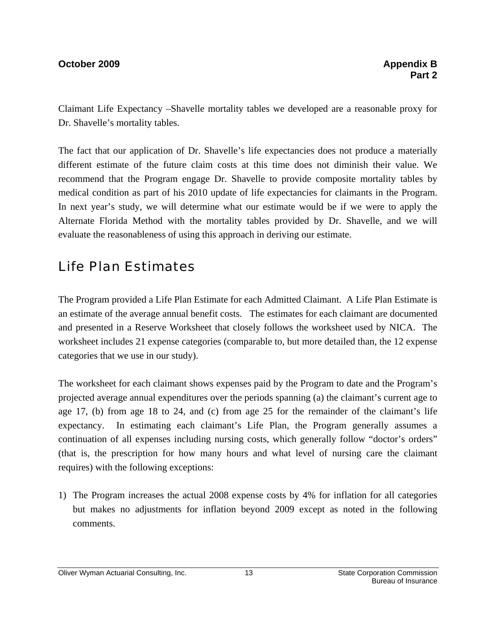#### **October 2009 Appendix B Appendix B Appendix B Appendix B Appendix B Appendix B Appendix B Appendix B Appendix B**

Claimant Life Expectancy –Shavelle mortality tables we developed are a reasonable proxy for Dr. Shavelle's mortality tables.

The fact that our application of Dr. Shavelle's life expectancies does not produce a materially different estimate of the future claim costs at this time does not diminish their value. We recommend that the Program engage Dr. Shavelle to provide composite mortality tables by medical condition as part of his 2010 update of life expectancies for claimants in the Program. In next year's study, we will determine what our estimate would be if we were to apply the Alternate Florida Method with the mortality tables provided by Dr. Shavelle, and we will evaluate the reasonableness of using this approach in deriving our estimate.

### Life Plan Estimates

The Program provided a Life Plan Estimate for each Admitted Claimant. A Life Plan Estimate is an estimate of the average annual benefit costs. The estimates for each claimant are documented and presented in a Reserve Worksheet that closely follows the worksheet used by NICA. The worksheet includes 21 expense categories (comparable to, but more detailed than, the 12 expense categories that we use in our study).

The worksheet for each claimant shows expenses paid by the Program to date and the Program's projected average annual expenditures over the periods spanning (a) the claimant's current age to age 17, (b) from age 18 to 24, and (c) from age 25 for the remainder of the claimant's life expectancy. In estimating each claimant's Life Plan, the Program generally assumes a continuation of all expenses including nursing costs, which generally follow "doctor's orders" (that is, the prescription for how many hours and what level of nursing care the claimant requires) with the following exceptions:

1) The Program increases the actual 2008 expense costs by 4% for inflation for all categories but makes no adjustments for inflation beyond 2009 except as noted in the following comments.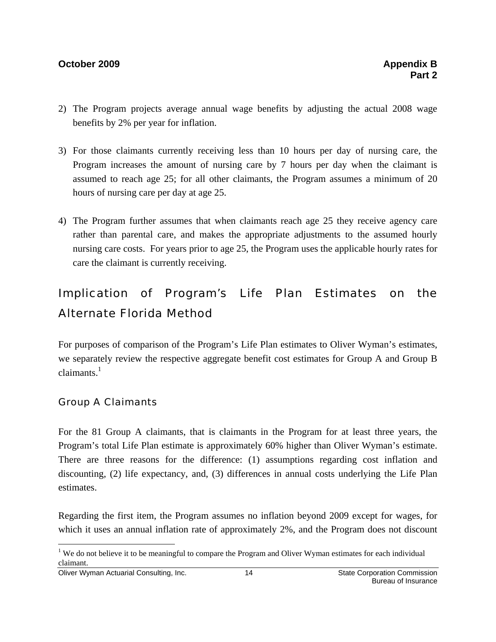#### **October 2009 Appendix B Appendix B**

- 2) The Program projects average annual wage benefits by adjusting the actual 2008 wage benefits by 2% per year for inflation.
- 3) For those claimants currently receiving less than 10 hours per day of nursing care, the Program increases the amount of nursing care by 7 hours per day when the claimant is assumed to reach age 25; for all other claimants, the Program assumes a minimum of 20 hours of nursing care per day at age 25.
- 4) The Program further assumes that when claimants reach age 25 they receive agency care rather than parental care, and makes the appropriate adjustments to the assumed hourly nursing care costs. For years prior to age 25, the Program uses the applicable hourly rates for care the claimant is currently receiving.

### Implication of Program's Life Plan Estimates on the Alternate Florida Method

For purposes of comparison of the Program's Life Plan estimates to Oliver Wyman's estimates, we separately review the respective aggregate benefit cost estimates for Group A and Group B  $claimants.<sup>1</sup>$ 

#### Group A Claimants

For the 81 Group A claimants, that is claimants in the Program for at least three years, the Program's total Life Plan estimate is approximately 60% higher than Oliver Wyman's estimate. There are three reasons for the difference: (1) assumptions regarding cost inflation and discounting, (2) life expectancy, and, (3) differences in annual costs underlying the Life Plan estimates.

Regarding the first item, the Program assumes no inflation beyond 2009 except for wages, for which it uses an annual inflation rate of approximately 2%, and the Program does not discount

<u>.</u>

<sup>&</sup>lt;sup>1</sup> We do not believe it to be meaningful to compare the Program and Oliver Wyman estimates for each individual claimant.

Oliver Wyman Actuarial Consulting, Inc. 14 14 State Corporation Commission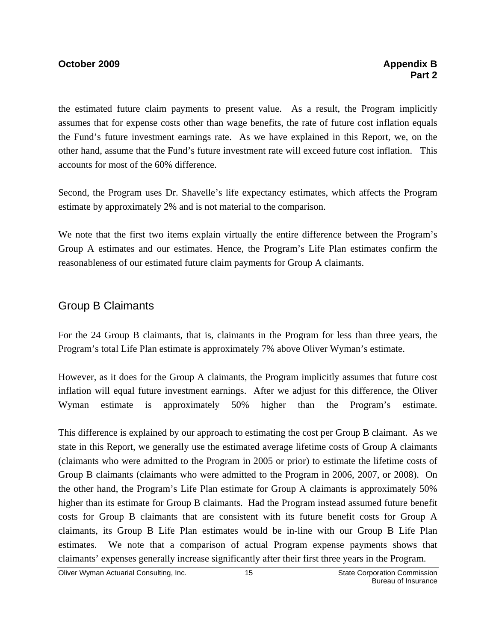#### **October 2009 Appendix B 2009**

the estimated future claim payments to present value. As a result, the Program implicitly assumes that for expense costs other than wage benefits, the rate of future cost inflation equals the Fund's future investment earnings rate. As we have explained in this Report, we, on the other hand, assume that the Fund's future investment rate will exceed future cost inflation. This accounts for most of the 60% difference.

Second, the Program uses Dr. Shavelle's life expectancy estimates, which affects the Program estimate by approximately 2% and is not material to the comparison.

We note that the first two items explain virtually the entire difference between the Program's Group A estimates and our estimates. Hence, the Program's Life Plan estimates confirm the reasonableness of our estimated future claim payments for Group A claimants.

#### Group B Claimants

For the 24 Group B claimants, that is, claimants in the Program for less than three years, the Program's total Life Plan estimate is approximately 7% above Oliver Wyman's estimate.

However, as it does for the Group A claimants, the Program implicitly assumes that future cost inflation will equal future investment earnings. After we adjust for this difference, the Oliver Wyman estimate is approximately 50% higher than the Program's estimate.

This difference is explained by our approach to estimating the cost per Group B claimant. As we state in this Report, we generally use the estimated average lifetime costs of Group A claimants (claimants who were admitted to the Program in 2005 or prior) to estimate the lifetime costs of Group B claimants (claimants who were admitted to the Program in 2006, 2007, or 2008). On the other hand, the Program's Life Plan estimate for Group A claimants is approximately 50% higher than its estimate for Group B claimants. Had the Program instead assumed future benefit costs for Group B claimants that are consistent with its future benefit costs for Group A claimants, its Group B Life Plan estimates would be in-line with our Group B Life Plan estimates. We note that a comparison of actual Program expense payments shows that claimants' expenses generally increase significantly after their first three years in the Program.

Oliver Wyman Actuarial Consulting, Inc. 15 15 State Corporation Commission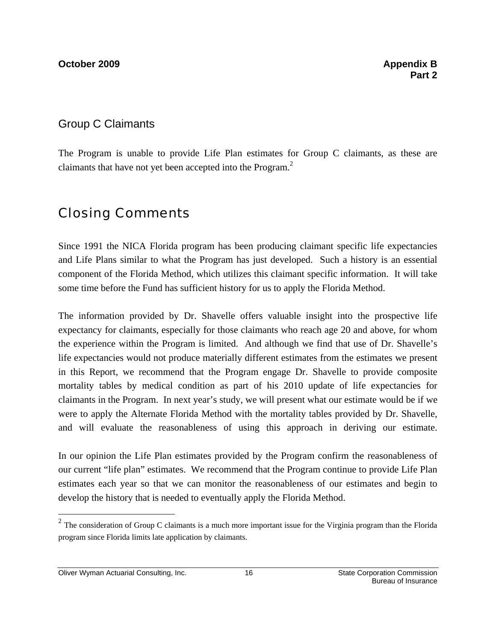#### Group C Claimants

The Program is unable to provide Life Plan estimates for Group C claimants, as these are claimants that have not yet been accepted into the Program.<sup>2</sup>

### Closing Comments

Since 1991 the NICA Florida program has been producing claimant specific life expectancies and Life Plans similar to what the Program has just developed. Such a history is an essential component of the Florida Method, which utilizes this claimant specific information. It will take some time before the Fund has sufficient history for us to apply the Florida Method.

The information provided by Dr. Shavelle offers valuable insight into the prospective life expectancy for claimants, especially for those claimants who reach age 20 and above, for whom the experience within the Program is limited. And although we find that use of Dr. Shavelle's life expectancies would not produce materially different estimates from the estimates we present in this Report, we recommend that the Program engage Dr. Shavelle to provide composite mortality tables by medical condition as part of his 2010 update of life expectancies for claimants in the Program. In next year's study, we will present what our estimate would be if we were to apply the Alternate Florida Method with the mortality tables provided by Dr. Shavelle, and will evaluate the reasonableness of using this approach in deriving our estimate.

In our opinion the Life Plan estimates provided by the Program confirm the reasonableness of our current "life plan" estimates. We recommend that the Program continue to provide Life Plan estimates each year so that we can monitor the reasonableness of our estimates and begin to develop the history that is needed to eventually apply the Florida Method.

Oliver Wyman Actuarial Consulting, Inc. 16 16 State Corporation Commission

 $\overline{a}$ 

 $2$  The consideration of Group C claimants is a much more important issue for the Virginia program than the Florida program since Florida limits late application by claimants.